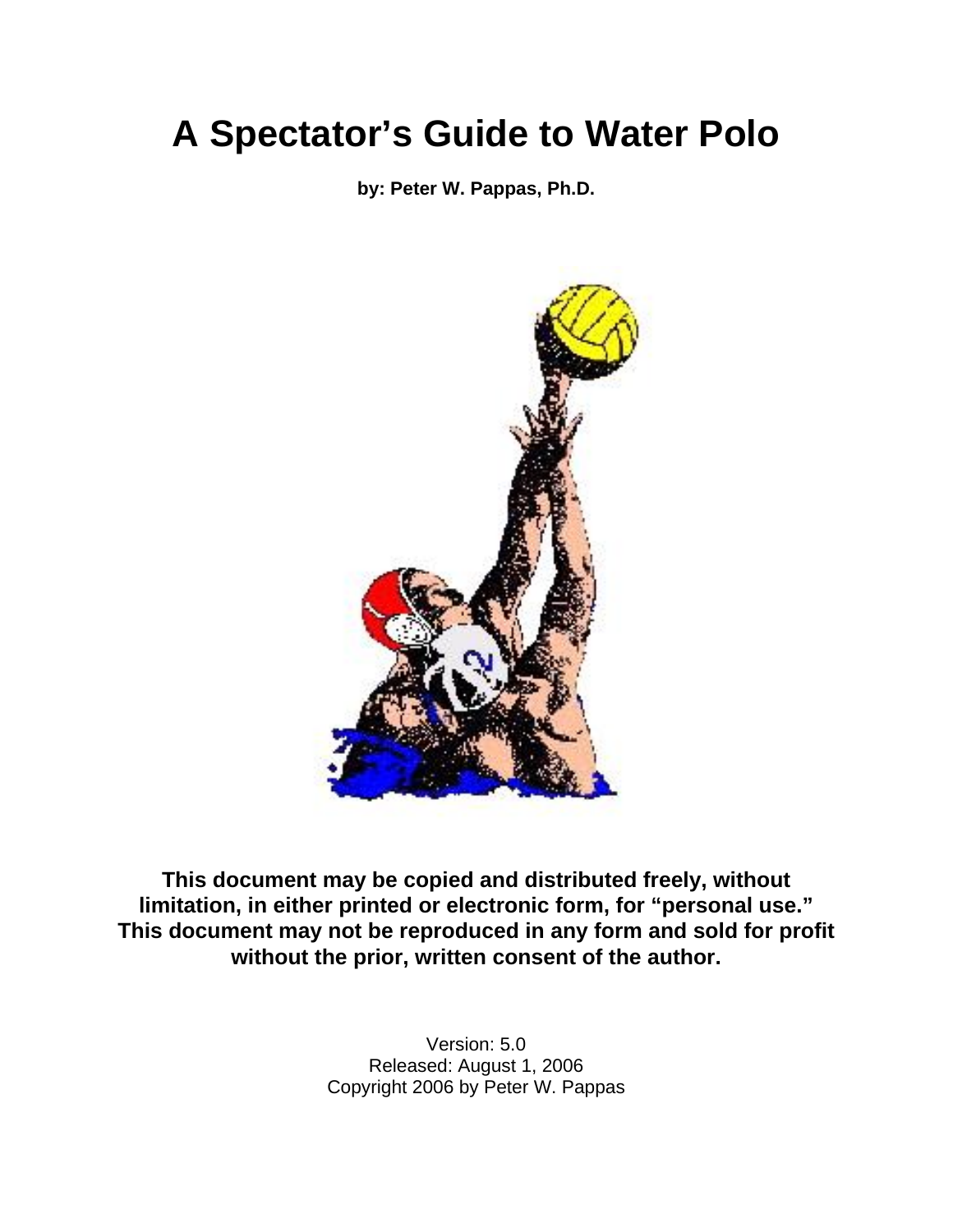**by: Peter W. Pappas, Ph.D.** 



**This document may be copied and distributed freely, without limitation, in either printed or electronic form, for "personal use." This document may not be reproduced in any form and sold for profit without the prior, written consent of the author.**

> Version: 5.0 Released: August 1, 2006 Copyright 2006 by Peter W. Pappas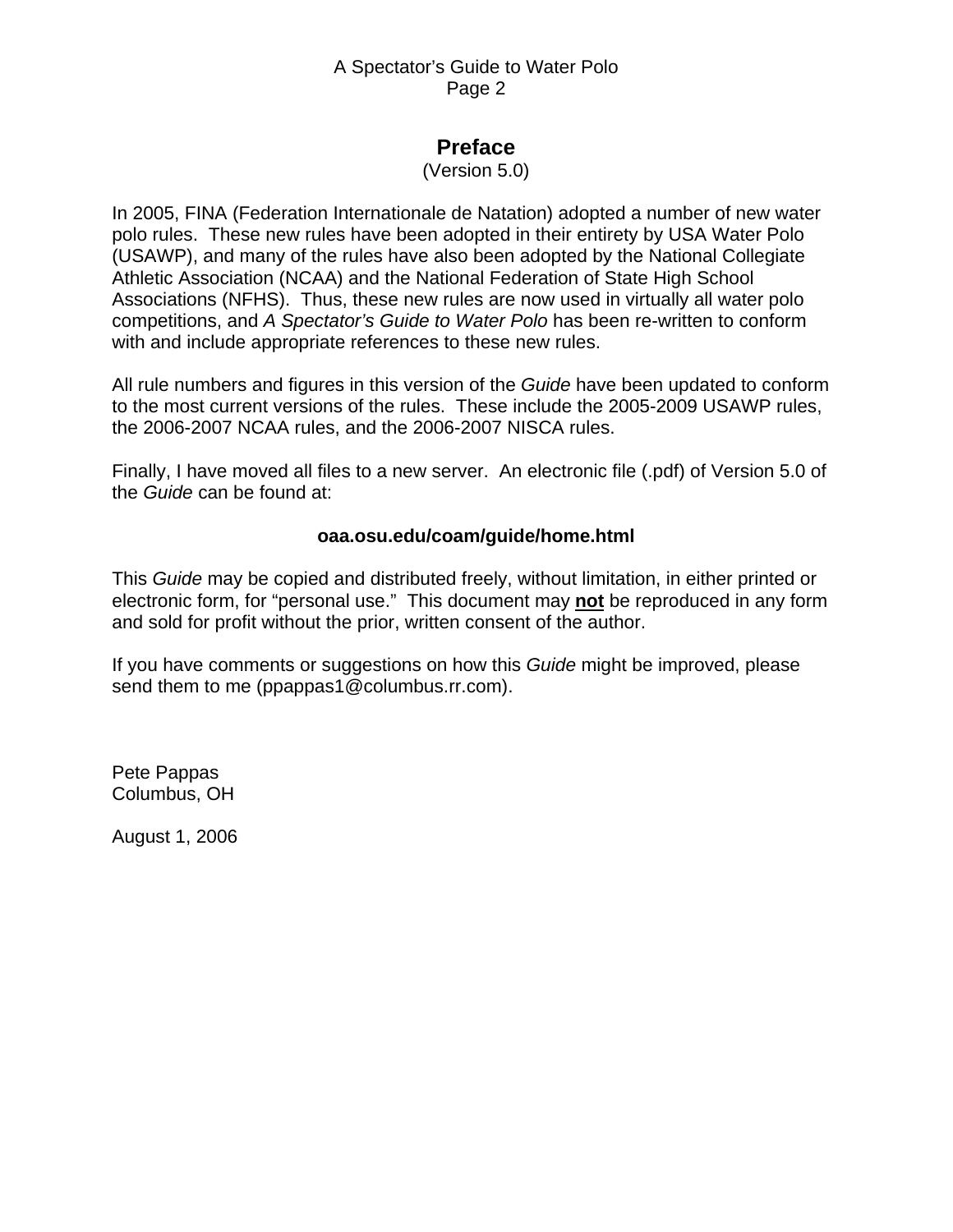# **Preface**

#### (Version 5.0)

<span id="page-1-0"></span>In 2005, FINA (Federation Internationale de Natation) adopted a number of new water polo rules. These new rules have been adopted in their entirety by USA Water Polo (USAWP), and many of the rules have also been adopted by the National Collegiate Athletic Association (NCAA) and the National Federation of State High School Associations (NFHS). Thus, these new rules are now used in virtually all water polo competitions, and *A Spectator's Guide to Water Polo* has been re-written to conform with and include appropriate references to these new rules.

All rule numbers and figures in this version of the *Guide* have been updated to conform to the most current versions of the rules. These include the 2005-2009 USAWP rules, the 2006-2007 NCAA rules, and the 2006-2007 NISCA rules.

Finally, I have moved all files to a new server. An electronic file (.pdf) of Version 5.0 of the *Guide* can be found at:

#### **oaa.osu.edu/coam/guide/home.html**

This *Guide* may be copied and distributed freely, without limitation, in either printed or electronic form, for "personal use." This document may **not** be reproduced in any form and sold for profit without the prior, written consent of the author.

If you have comments or suggestions on how this *Guide* might be improved, please send them to me (ppappas1@columbus.rr.com).

Pete Pappas Columbus, OH

August 1, 2006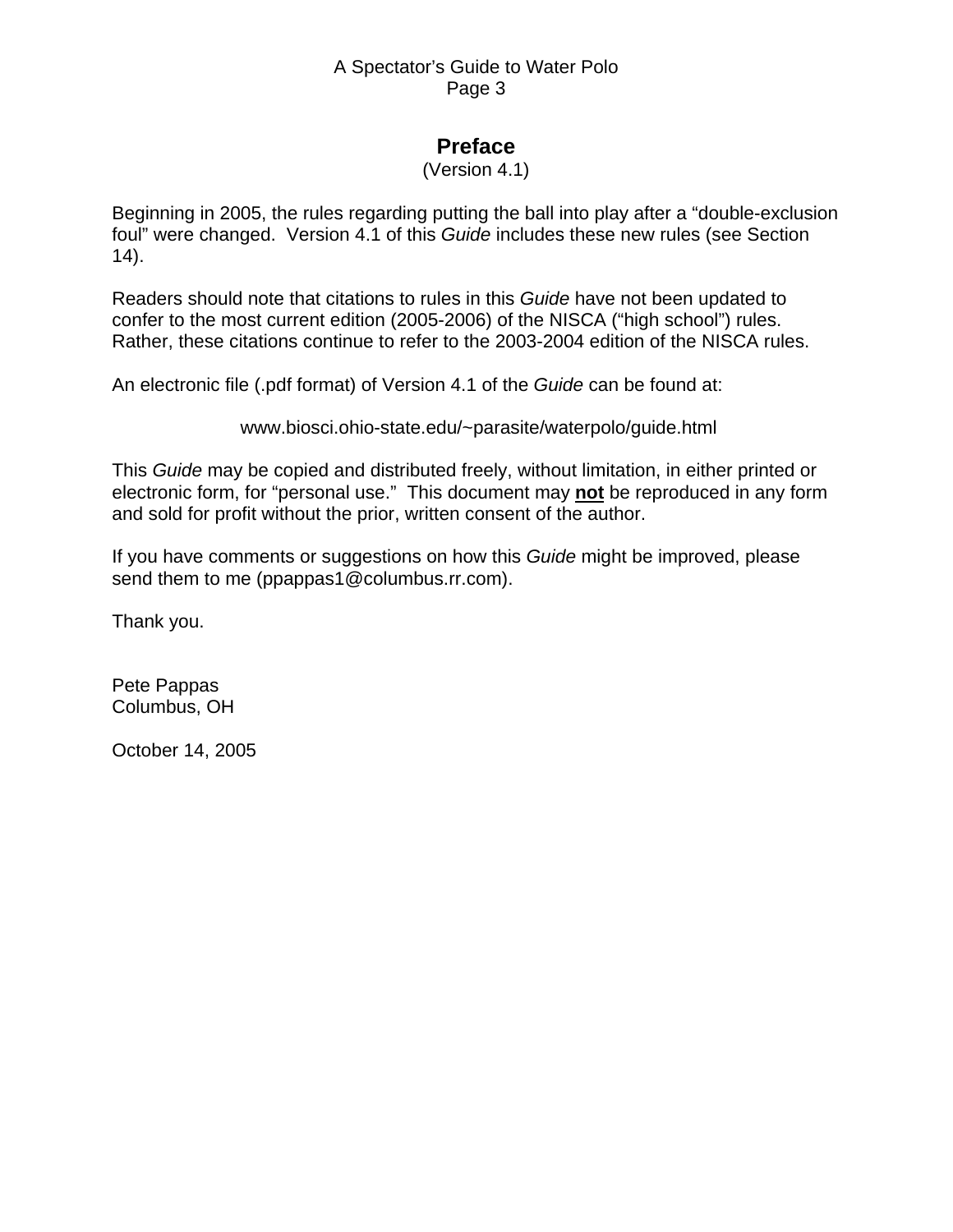# **Preface**

#### (Version 4.1)

Beginning in 2005, the rules regarding putting the ball into play after a "double-exclusion foul" were changed. Version 4.1 of this *Guide* includes these new rules (see Section 14).

Readers should note that citations to rules in this *Guide* have not been updated to confer to the most current edition (2005-2006) of the NISCA ("high school") rules. Rather, these citations continue to refer to the 2003-2004 edition of the NISCA rules.

An electronic file (.pdf format) of Version 4.1 of the *Guide* can be found at:

www.biosci.ohio-state.edu/~parasite/waterpolo/guide.html

This *Guide* may be copied and distributed freely, without limitation, in either printed or electronic form, for "personal use." This document may **not** be reproduced in any form and sold for profit without the prior, written consent of the author.

If you have comments or suggestions on how this *Guide* might be improved, please send them to me (ppappas1@columbus.rr.com).

Thank you.

Pete Pappas Columbus, OH

October 14, 2005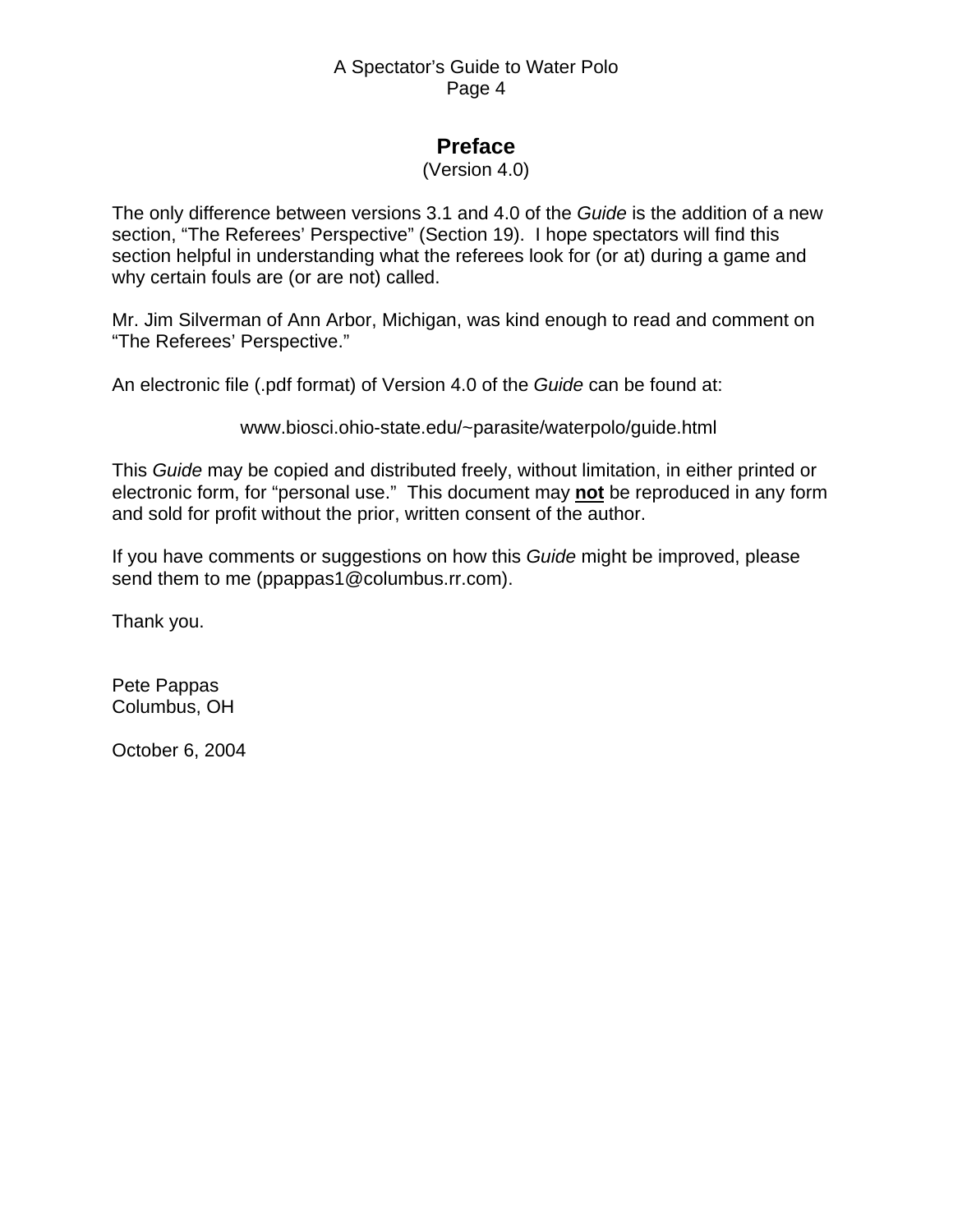# **Preface**

#### (Version 4.0)

The only difference between versions 3.1 and 4.0 of the *Guide* is the addition of a new section, "The Referees' Perspective" (Section 19). I hope spectators will find this section helpful in understanding what the referees look for (or at) during a game and why certain fouls are (or are not) called.

Mr. Jim Silverman of Ann Arbor, Michigan, was kind enough to read and comment on "The Referees' Perspective."

An electronic file (.pdf format) of Version 4.0 of the *Guide* can be found at:

www.biosci.ohio-state.edu/~parasite/waterpolo/guide.html

This *Guide* may be copied and distributed freely, without limitation, in either printed or electronic form, for "personal use." This document may **not** be reproduced in any form and sold for profit without the prior, written consent of the author.

If you have comments or suggestions on how this *Guide* might be improved, please send them to me (ppappas1@columbus.rr.com).

Thank you.

Pete Pappas Columbus, OH

October 6, 2004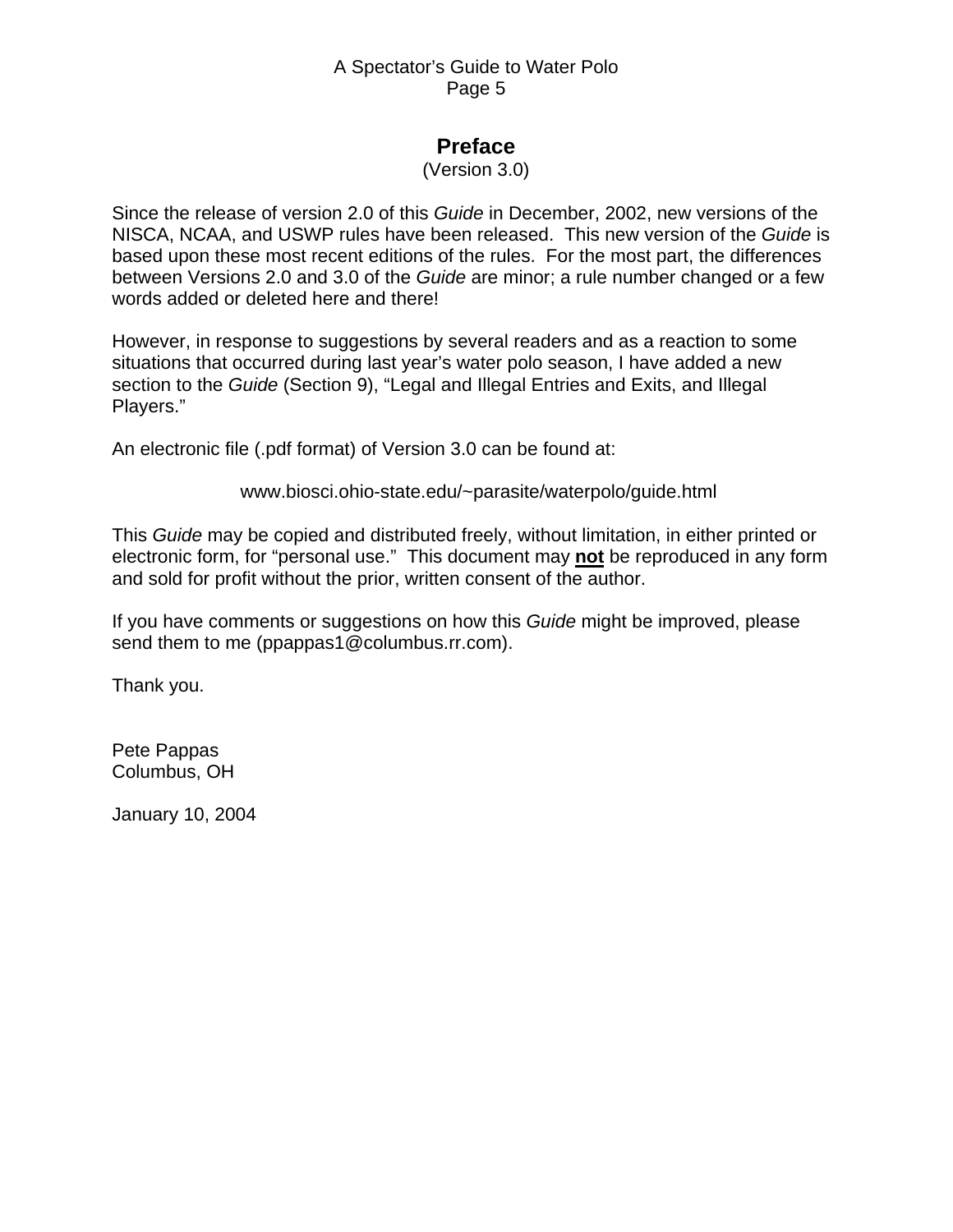# **Preface**

#### (Version 3.0)

Since the release of version 2.0 of this *Guide* in December, 2002, new versions of the NISCA, NCAA, and USWP rules have been released. This new version of the *Guide* is based upon these most recent editions of the rules. For the most part, the differences between Versions 2.0 and 3.0 of the *Guide* are minor; a rule number changed or a few words added or deleted here and there!

However, in response to suggestions by several readers and as a reaction to some situations that occurred during last year's water polo season, I have added a new section to the *Guide* (Section 9), "Legal and Illegal Entries and Exits, and Illegal Players."

An electronic file (.pdf format) of Version 3.0 can be found at:

#### www.biosci.ohio-state.edu/~parasite/waterpolo/guide.html

This *Guide* may be copied and distributed freely, without limitation, in either printed or electronic form, for "personal use." This document may **not** be reproduced in any form and sold for profit without the prior, written consent of the author.

If you have comments or suggestions on how this *Guide* might be improved, please send them to me (ppappas1@columbus.rr.com).

Thank you.

Pete Pappas Columbus, OH

January 10, 2004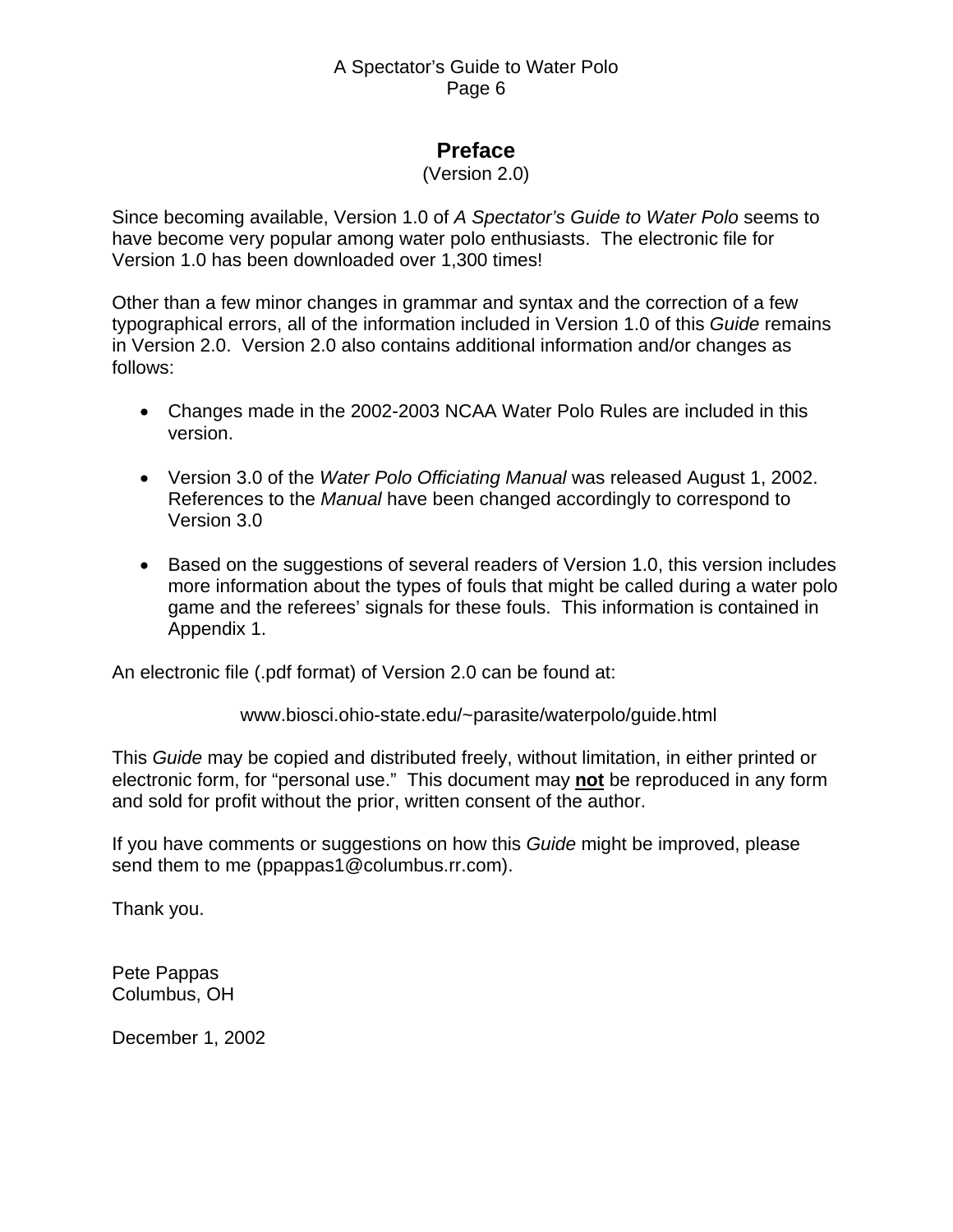# **Preface**

#### (Version 2.0)

Since becoming available, Version 1.0 of *A Spectator's Guide to Water Polo* seems to have become very popular among water polo enthusiasts. The electronic file for Version 1.0 has been downloaded over 1,300 times!

Other than a few minor changes in grammar and syntax and the correction of a few typographical errors, all of the information included in Version 1.0 of this *Guide* remains in Version 2.0. Version 2.0 also contains additional information and/or changes as follows:

- Changes made in the 2002-2003 NCAA Water Polo Rules are included in this version.
- Version 3.0 of the *Water Polo Officiating Manual* was released August 1, 2002. References to the *Manual* have been changed accordingly to correspond to Version 3.0
- Based on the suggestions of several readers of Version 1.0, this version includes more information about the types of fouls that might be called during a water polo game and the referees' signals for these fouls. This information is contained in Appendix 1.

An electronic file (.pdf format) of Version 2.0 can be found at:

www.biosci.ohio-state.edu/~parasite/waterpolo/guide.html

This *Guide* may be copied and distributed freely, without limitation, in either printed or electronic form, for "personal use." This document may **not** be reproduced in any form and sold for profit without the prior, written consent of the author.

If you have comments or suggestions on how this *Guide* might be improved, please send them to me (ppappas1@columbus.rr.com).

Thank you.

Pete Pappas Columbus, OH

December 1, 2002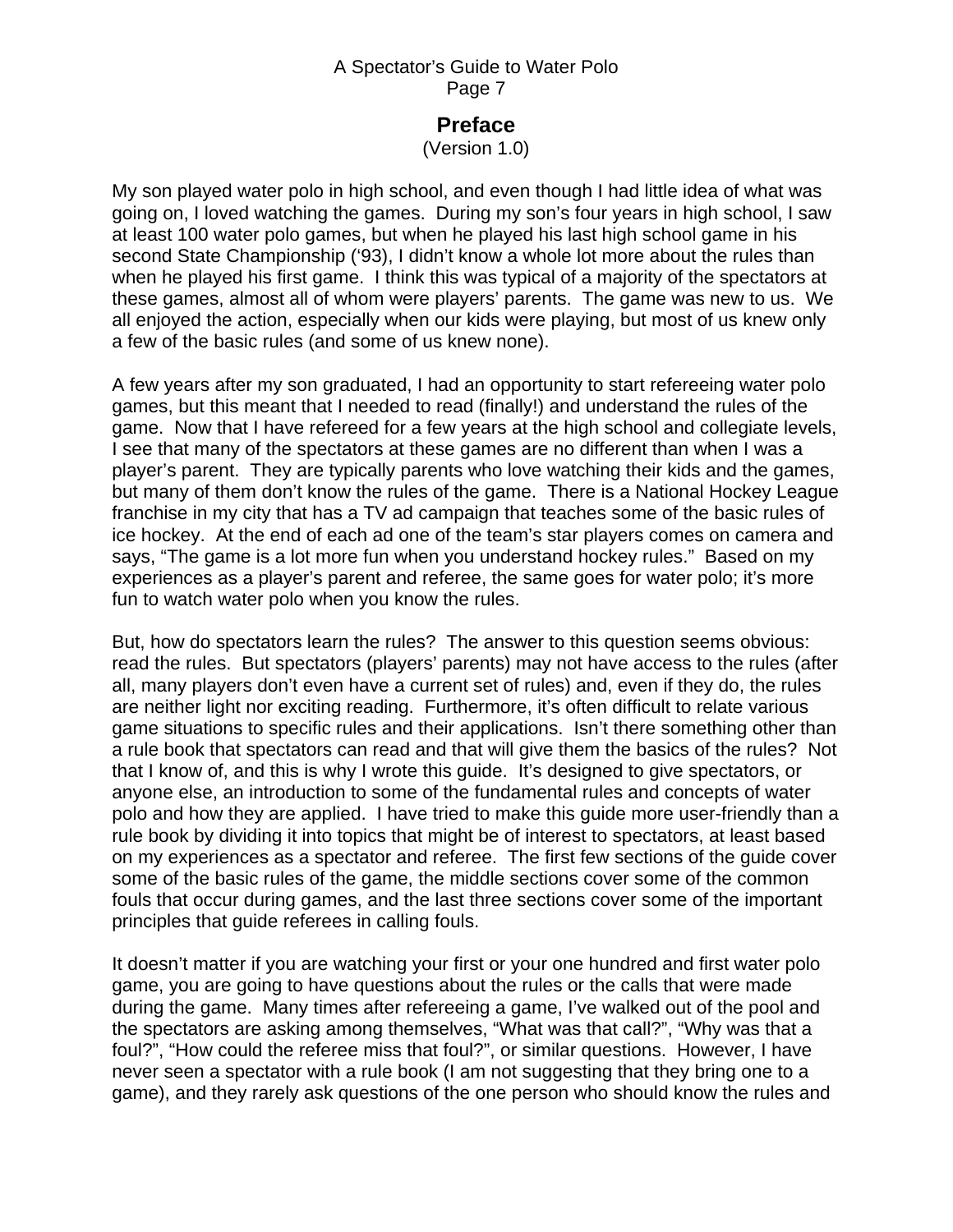### **Preface**

(Version 1.0)

My son played water polo in high school, and even though I had little idea of what was going on, I loved watching the games. During my son's four years in high school, I saw at least 100 water polo games, but when he played his last high school game in his second State Championship ('93), I didn't know a whole lot more about the rules than when he played his first game. I think this was typical of a majority of the spectators at these games, almost all of whom were players' parents. The game was new to us. We all enjoyed the action, especially when our kids were playing, but most of us knew only a few of the basic rules (and some of us knew none).

A few years after my son graduated, I had an opportunity to start refereeing water polo games, but this meant that I needed to read (finally!) and understand the rules of the game. Now that I have refereed for a few years at the high school and collegiate levels, I see that many of the spectators at these games are no different than when I was a player's parent. They are typically parents who love watching their kids and the games, but many of them don't know the rules of the game. There is a National Hockey League franchise in my city that has a TV ad campaign that teaches some of the basic rules of ice hockey. At the end of each ad one of the team's star players comes on camera and says, "The game is a lot more fun when you understand hockey rules." Based on my experiences as a player's parent and referee, the same goes for water polo; it's more fun to watch water polo when you know the rules.

But, how do spectators learn the rules? The answer to this question seems obvious: read the rules. But spectators (players' parents) may not have access to the rules (after all, many players don't even have a current set of rules) and, even if they do, the rules are neither light nor exciting reading. Furthermore, it's often difficult to relate various game situations to specific rules and their applications. Isn't there something other than a rule book that spectators can read and that will give them the basics of the rules? Not that I know of, and this is why I wrote this guide. It's designed to give spectators, or anyone else, an introduction to some of the fundamental rules and concepts of water polo and how they are applied. I have tried to make this guide more user-friendly than a rule book by dividing it into topics that might be of interest to spectators, at least based on my experiences as a spectator and referee. The first few sections of the guide cover some of the basic rules of the game, the middle sections cover some of the common fouls that occur during games, and the last three sections cover some of the important principles that guide referees in calling fouls.

It doesn't matter if you are watching your first or your one hundred and first water polo game, you are going to have questions about the rules or the calls that were made during the game. Many times after refereeing a game, I've walked out of the pool and the spectators are asking among themselves, "What was that call?", "Why was that a foul?", "How could the referee miss that foul?", or similar questions. However, I have never seen a spectator with a rule book (I am not suggesting that they bring one to a game), and they rarely ask questions of the one person who should know the rules and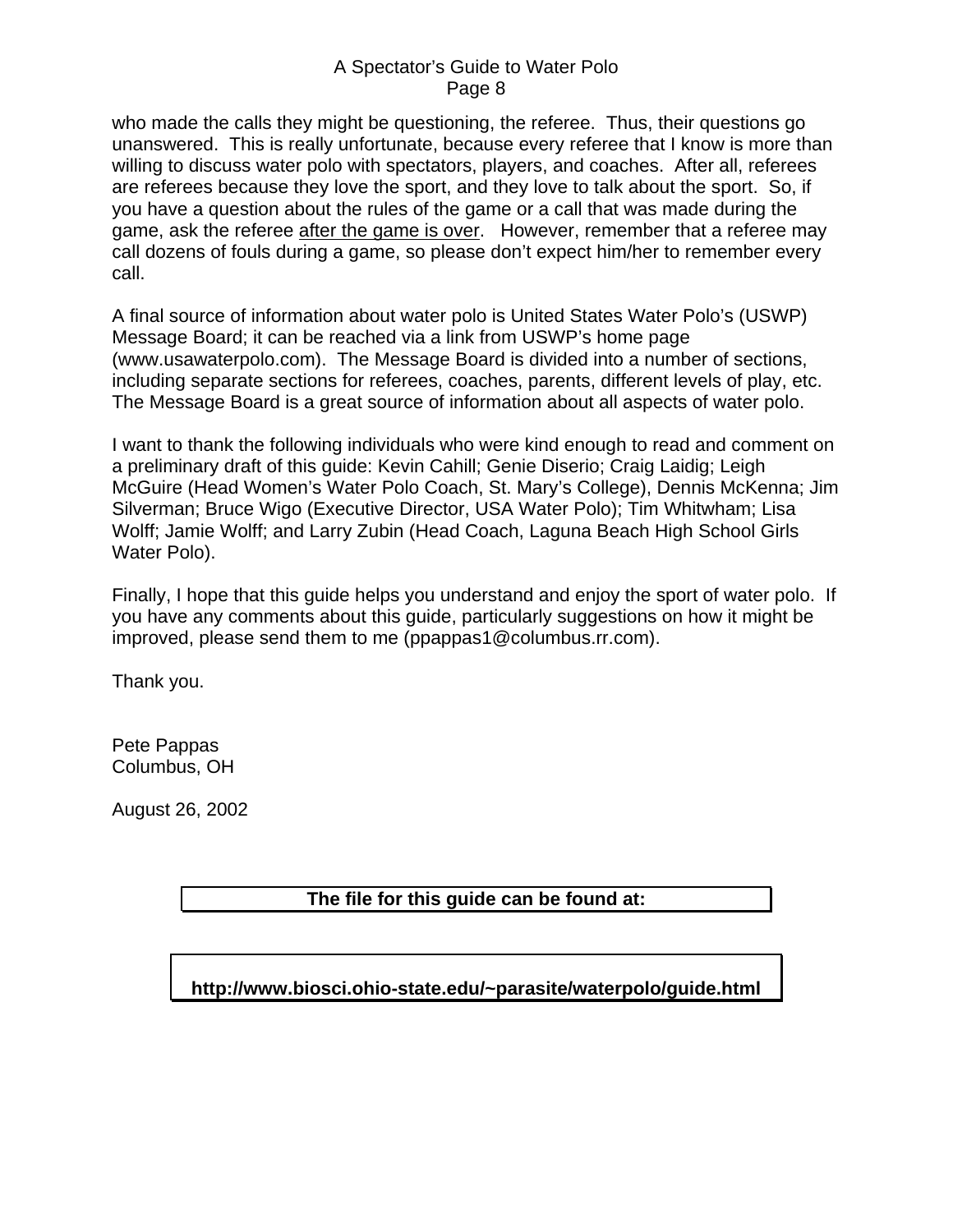who made the calls they might be questioning, the referee. Thus, their questions go unanswered. This is really unfortunate, because every referee that I know is more than willing to discuss water polo with spectators, players, and coaches. After all, referees are referees because they love the sport, and they love to talk about the sport. So, if you have a question about the rules of the game or a call that was made during the game, ask the referee after the game is over. However, remember that a referee may call dozens of fouls during a game, so please don't expect him/her to remember every call.

A final source of information about water polo is United States Water Polo's (USWP) Message Board; it can be reached via a link from USWP's home page (www.usawaterpolo.com). The Message Board is divided into a number of sections, including separate sections for referees, coaches, parents, different levels of play, etc. The Message Board is a great source of information about all aspects of water polo.

I want to thank the following individuals who were kind enough to read and comment on a preliminary draft of this guide: Kevin Cahill; Genie Diserio; Craig Laidig; Leigh McGuire (Head Women's Water Polo Coach, St. Mary's College), Dennis McKenna; Jim Silverman; Bruce Wigo (Executive Director, USA Water Polo); Tim Whitwham; Lisa Wolff; Jamie Wolff; and Larry Zubin (Head Coach, Laguna Beach High School Girls Water Polo).

Finally, I hope that this guide helps you understand and enjoy the sport of water polo. If you have any comments about this guide, particularly suggestions on how it might be improved, please send them to me (ppappas1@columbus.rr.com).

Thank you.

Pete Pappas Columbus, OH

August 26, 2002

### **The file for this guide can be found at:**

**http://www.biosci.ohio-state.edu/~parasite/waterpolo/guide.html**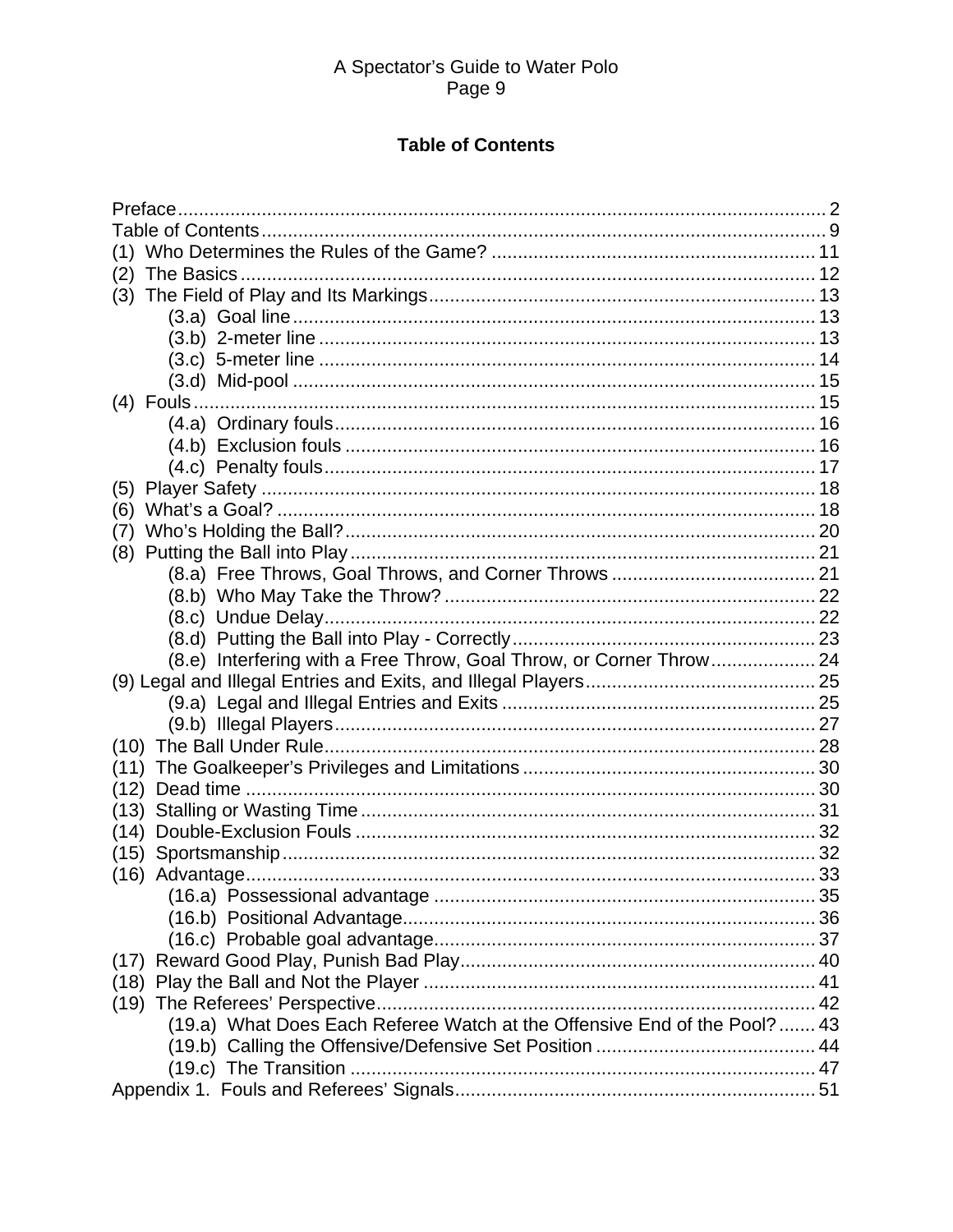### **Table of Contents**

<span id="page-8-0"></span>

| (2)                                                                       |  |
|---------------------------------------------------------------------------|--|
| (3)                                                                       |  |
|                                                                           |  |
|                                                                           |  |
|                                                                           |  |
|                                                                           |  |
|                                                                           |  |
|                                                                           |  |
|                                                                           |  |
|                                                                           |  |
| (5)                                                                       |  |
| (6)                                                                       |  |
| (7)                                                                       |  |
| (8)                                                                       |  |
|                                                                           |  |
|                                                                           |  |
|                                                                           |  |
|                                                                           |  |
| (8.e) Interfering with a Free Throw, Goal Throw, or Corner Throw 24       |  |
|                                                                           |  |
|                                                                           |  |
|                                                                           |  |
|                                                                           |  |
| (11)                                                                      |  |
| (12)                                                                      |  |
|                                                                           |  |
| (14)                                                                      |  |
| (15)                                                                      |  |
|                                                                           |  |
|                                                                           |  |
|                                                                           |  |
|                                                                           |  |
|                                                                           |  |
|                                                                           |  |
|                                                                           |  |
| (19.a) What Does Each Referee Watch at the Offensive End of the Pool?  43 |  |
|                                                                           |  |
|                                                                           |  |
|                                                                           |  |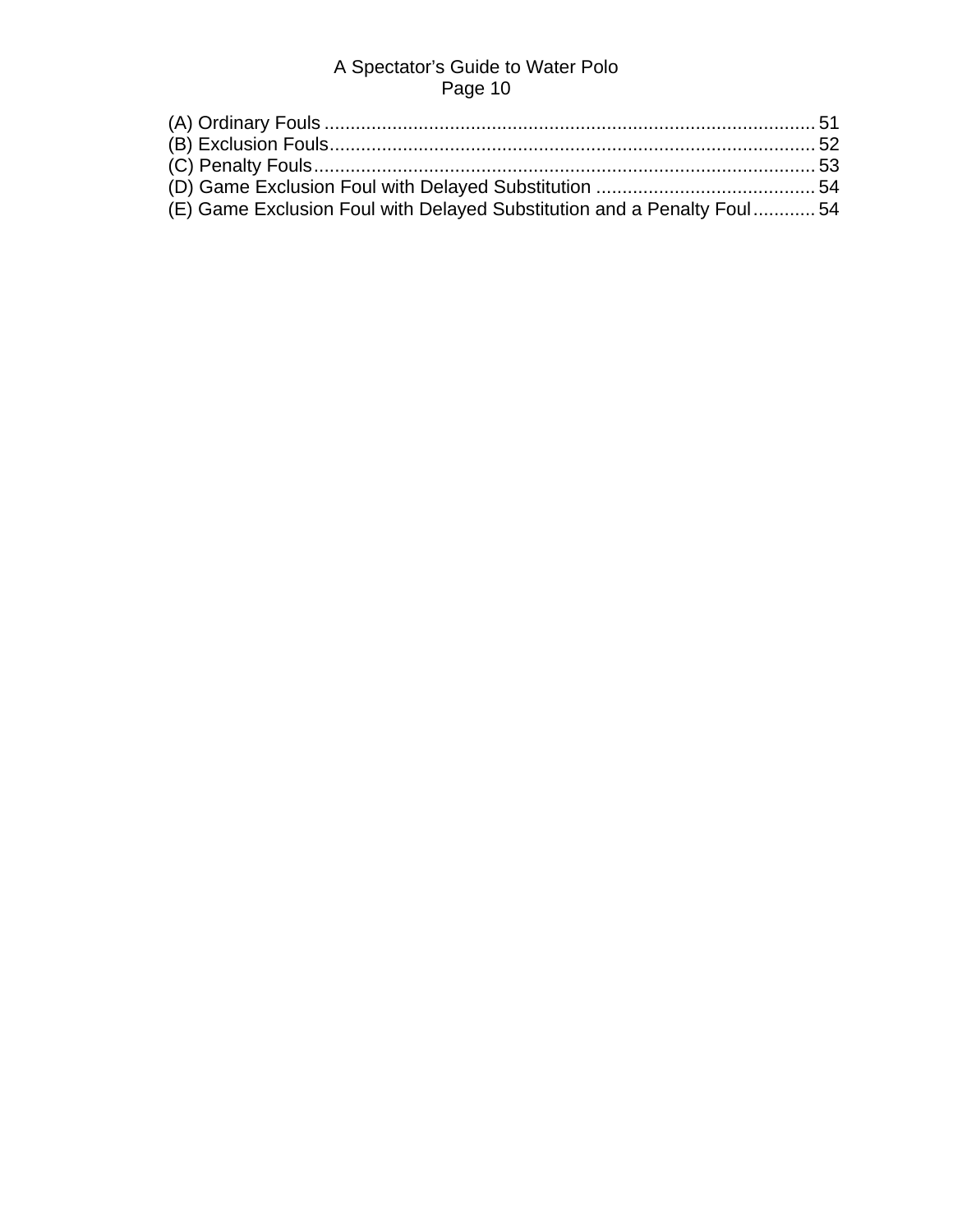| (E) Game Exclusion Foul with Delayed Substitution and a Penalty Foul54 |  |
|------------------------------------------------------------------------|--|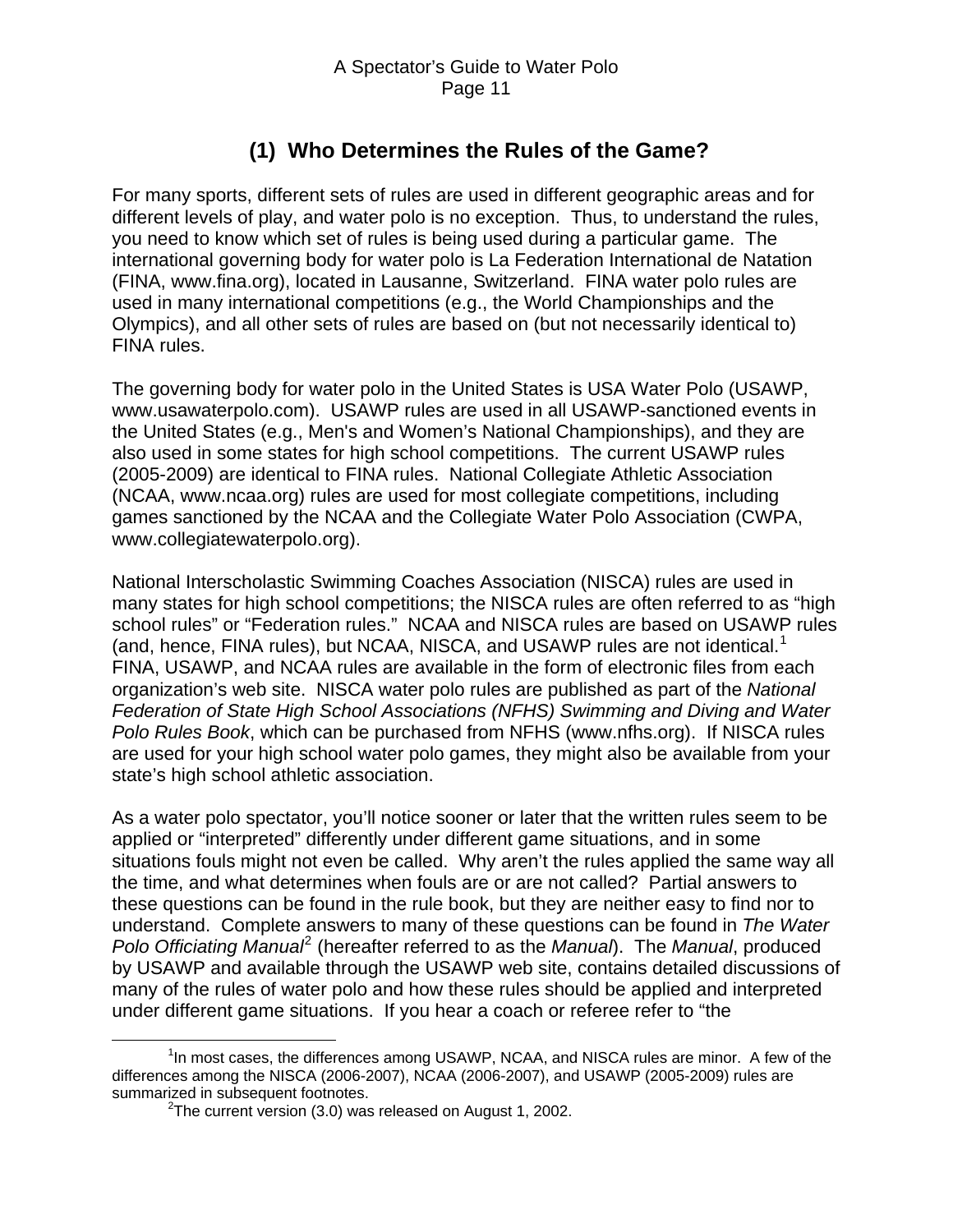# **(1) Who Determines the Rules of the Game?**

<span id="page-10-0"></span>For many sports, different sets of rules are used in different geographic areas and for different levels of play, and water polo is no exception. Thus, to understand the rules, you need to know which set of rules is being used during a particular game. The international governing body for water polo is La Federation International de Natation (FINA, www.fina.org), located in Lausanne, Switzerland. FINA water polo rules are used in many international competitions (e.g., the World Championships and the Olympics), and all other sets of rules are based on (but not necessarily identical to) FINA rules.

The governing body for water polo in the United States is USA Water Polo (USAWP, www.usawaterpolo.com). USAWP rules are used in all USAWP-sanctioned events in the United States (e.g., Men's and Women's National Championships), and they are also used in some states for high school competitions. The current USAWP rules (2005-2009) are identical to FINA rules. National Collegiate Athletic Association (NCAA, www.ncaa.org) rules are used for most collegiate competitions, including games sanctioned by the NCAA and the Collegiate Water Polo Association (CWPA, www.collegiatewaterpolo.org).

National Interscholastic Swimming Coaches Association (NISCA) rules are used in many states for high school competitions; the NISCA rules are often referred to as "high school rules" or "Federation rules." NCAA and NISCA rules are based on USAWP rules (and, hence, FINA rules), but NCAA, NISCA, and USAWP rules are not identical.<sup>[1](#page-10-1)</sup> FINA, USAWP, and NCAA rules are available in the form of electronic files from each organization's web site. NISCA water polo rules are published as part of the *National Federation of State High School Associations (NFHS) Swimming and Diving and Water Polo Rules Book*, which can be purchased from NFHS (www.nfhs.org). If NISCA rules are used for your high school water polo games, they might also be available from your state's high school athletic association.

As a water polo spectator, you'll notice sooner or later that the written rules seem to be applied or "interpreted" differently under different game situations, and in some situations fouls might not even be called. Why aren't the rules applied the same way all the time, and what determines when fouls are or are not called? Partial answers to these questions can be found in the rule book, but they are neither easy to find nor to understand. Complete answers to many of these questions can be found in *The Water*  Polo Officiating Manual<sup>[2](#page-10-2)</sup> (hereafter referred to as the Manual). The Manual, produced by USAWP and available through the USAWP web site, contains detailed discussions of many of the rules of water polo and how these rules should be applied and interpreted under different game situations. If you hear a coach or referee refer to "the

<span id="page-10-2"></span><span id="page-10-1"></span> $\overline{\phantom{a}}$ <sup>1</sup>In most cases, the differences among USAWP, NCAA, and NISCA rules are minor. A few of the differences among the NISCA (2006-2007), NCAA (2006-2007), and USAWP (2005-2009) rules are summarized in subsequent footnotes.

<sup>&</sup>lt;sup>2</sup>The current version (3.0) was released on August 1, 2002.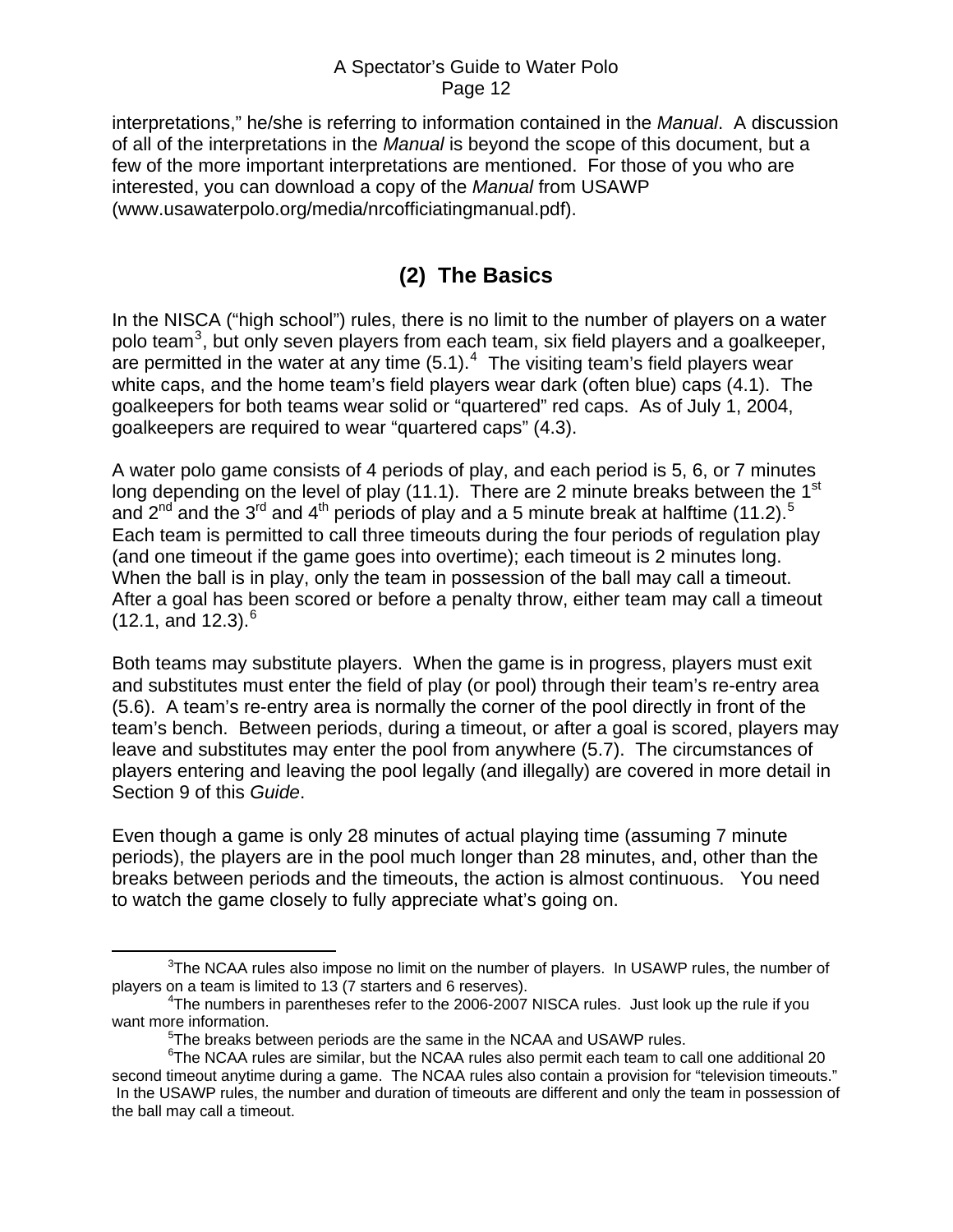<span id="page-11-0"></span>interpretations," he/she is referring to information contained in the *Manual*. A discussion of all of the interpretations in the *Manual* is beyond the scope of this document, but a few of the more important interpretations are mentioned. For those of you who are interested, you can download a copy of the *Manual* from USAWP (www.usawaterpolo.org/media/nrcofficiatingmanual.pdf).

# **(2) The Basics**

In the NISCA ("high school") rules, there is no limit to the number of players on a water polo team<sup>[3](#page-11-1)</sup>, but only seven players from each team, six field players and a goalkeeper, are permitted in the water at any time  $(5.1)$ .<sup>[4](#page-11-2)</sup> The visiting team's field players wear white caps, and the home team's field players wear dark (often blue) caps (4.1). The goalkeepers for both teams wear solid or "quartered" red caps. As of July 1, 2004, goalkeepers are required to wear "quartered caps" (4.3).

A water polo game consists of 4 periods of play, and each period is 5, 6, or 7 minutes long depending on the level of play  $(11.1)$ . There are 2 minute breaks between the 1<sup>st</sup> and 2<sup>nd</sup> and the 3<sup>rd</sup> and 4<sup>th</sup> periods of play and a [5](#page-11-3) minute break at halftime (11.2).<sup>5</sup> Each team is permitted to call three timeouts during the four periods of regulation play (and one timeout if the game goes into overtime); each timeout is 2 minutes long. When the ball is in play, only the team in possession of the ball may call a timeout. After a goal has been scored or before a penalty throw, either team may call a timeout  $(12.1, \text{ and } 12.3).$ <sup>[6](#page-11-4)</sup>

Both teams may substitute players. When the game is in progress, players must exit and substitutes must enter the field of play (or pool) through their team's re-entry area (5.6). A team's re-entry area is normally the corner of the pool directly in front of the team's bench. Between periods, during a timeout, or after a goal is scored, players may leave and substitutes may enter the pool from anywhere (5.7). The circumstances of players entering and leaving the pool legally (and illegally) are covered in more detail in Section 9 of this *Guide*.

Even though a game is only 28 minutes of actual playing time (assuming 7 minute periods), the players are in the pool much longer than 28 minutes, and, other than the breaks between periods and the timeouts, the action is almost continuous. You need to watch the game closely to fully appreciate what's going on.

<span id="page-11-1"></span> <sup>3</sup>  $3$ The NCAA rules also impose no limit on the number of players. In USAWP rules, the number of players on a team is limited to 13 (7 starters and 6 reserves).

<span id="page-11-2"></span><sup>&</sup>lt;sup>4</sup>The numbers in parentheses refer to the 2006-2007 NISCA rules. Just look up the rule if you want more information.

<sup>&</sup>lt;sup>5</sup>The breaks between periods are the same in the NCAA and USAWP rules.

<span id="page-11-4"></span><span id="page-11-3"></span><sup>&</sup>lt;sup>6</sup>The NCAA rules are similar, but the NCAA rules also permit each team to call one additional 20 second timeout anytime during a game. The NCAA rules also contain a provision for "television timeouts." In the USAWP rules, the number and duration of timeouts are different and only the team in possession of the ball may call a timeout.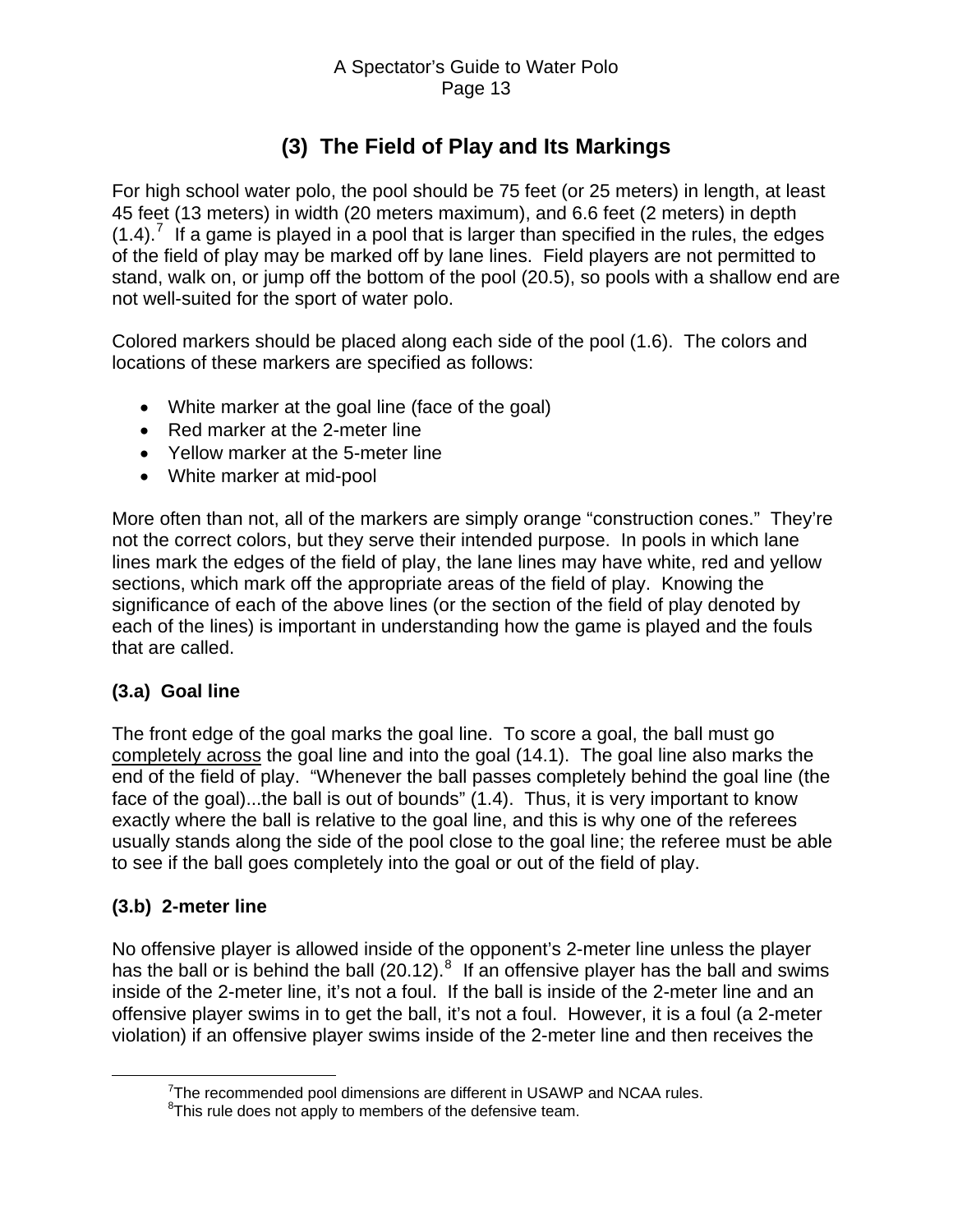# **(3) The Field of Play and Its Markings**

<span id="page-12-0"></span>For high school water polo, the pool should be 75 feet (or 25 meters) in length, at least 45 feet (13 meters) in width (20 meters maximum), and 6.6 feet (2 meters) in depth  $(1.4)$ .<sup>[7](#page-12-1)</sup> If a game is played in a pool that is larger than specified in the rules, the edges of the field of play may be marked off by lane lines. Field players are not permitted to stand, walk on, or jump off the bottom of the pool (20.5), so pools with a shallow end are not well-suited for the sport of water polo.

Colored markers should be placed along each side of the pool (1.6). The colors and locations of these markers are specified as follows:

- White marker at the goal line (face of the goal)
- Red marker at the 2-meter line
- Yellow marker at the 5-meter line
- White marker at mid-pool

More often than not, all of the markers are simply orange "construction cones." They're not the correct colors, but they serve their intended purpose. In pools in which lane lines mark the edges of the field of play, the lane lines may have white, red and yellow sections, which mark off the appropriate areas of the field of play. Knowing the significance of each of the above lines (or the section of the field of play denoted by each of the lines) is important in understanding how the game is played and the fouls that are called.

## **(3.a) Goal line**

The front edge of the goal marks the goal line. To score a goal, the ball must go completely across the goal line and into the goal (14.1). The goal line also marks the end of the field of play. "Whenever the ball passes completely behind the goal line (the face of the goal)...the ball is out of bounds" (1.4). Thus, it is very important to know exactly where the ball is relative to the goal line, and this is why one of the referees usually stands along the side of the pool close to the goal line; the referee must be able to see if the ball goes completely into the goal or out of the field of play.

## **(3.b) 2-meter line**

No offensive player is allowed inside of the opponent's 2-meter line unless the player has the ball or is behind the ball (20.12). $^8$  $^8$  If an offensive player has the ball and swims inside of the 2-meter line, it's not a foul. If the ball is inside of the 2-meter line and an offensive player swims in to get the ball, it's not a foul. However, it is a foul (a 2-meter violation) if an offensive player swims inside of the 2-meter line and then receives the

<span id="page-12-2"></span><span id="page-12-1"></span> $\overline{7}$  $7$ The recommended pool dimensions are different in USAWP and NCAA rules.

<sup>&</sup>lt;sup>8</sup>This rule does not apply to members of the defensive team.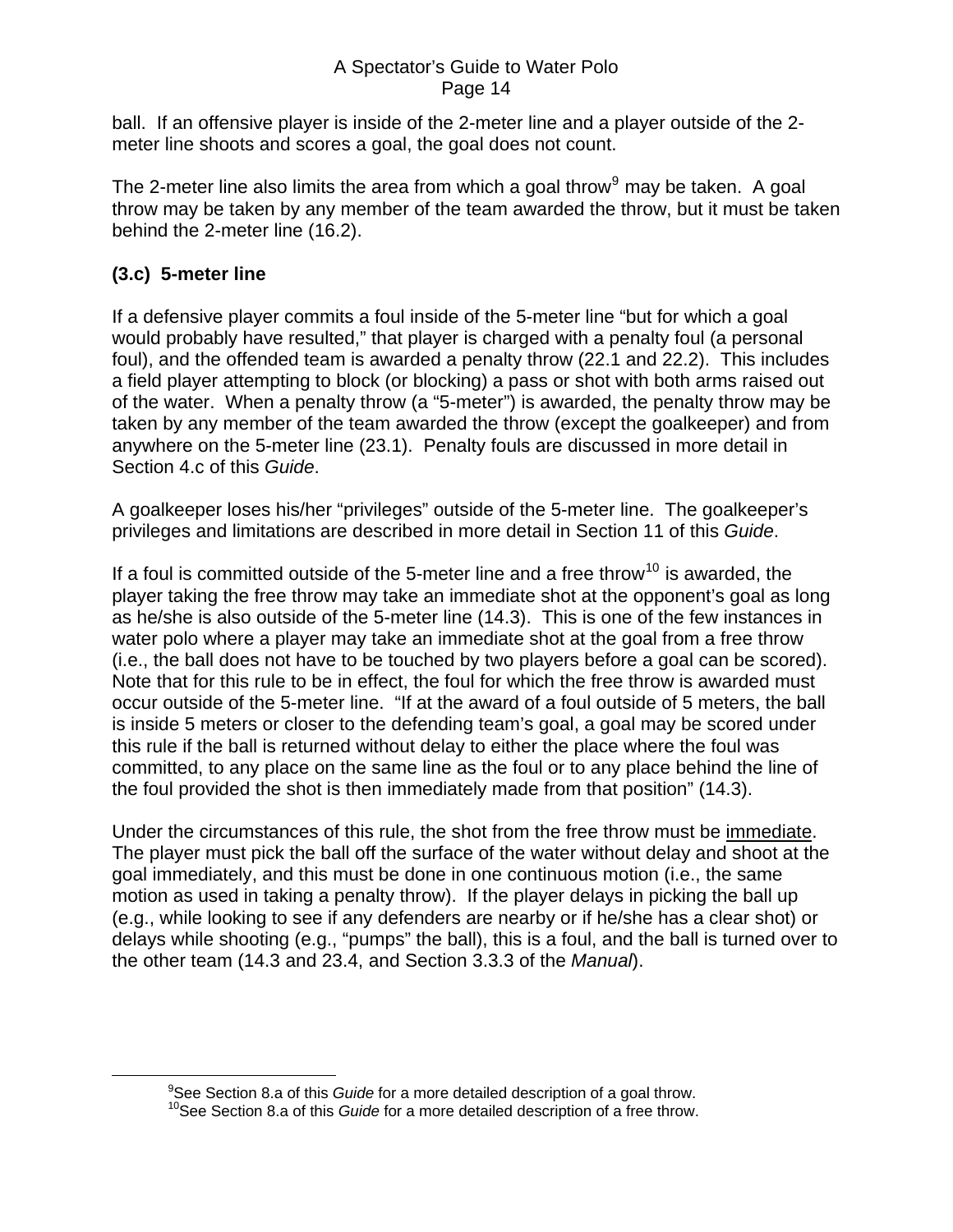<span id="page-13-0"></span>ball. If an offensive player is inside of the 2-meter line and a player outside of the 2 meter line shoots and scores a goal, the goal does not count.

The 2-meter line also limits the area from which a goal throw $9$  may be taken. A goal throw may be taken by any member of the team awarded the throw, but it must be taken behind the 2-meter line (16.2).

### **(3.c) 5-meter line**

If a defensive player commits a foul inside of the 5-meter line "but for which a goal would probably have resulted," that player is charged with a penalty foul (a personal foul), and the offended team is awarded a penalty throw (22.1 and 22.2). This includes a field player attempting to block (or blocking) a pass or shot with both arms raised out of the water. When a penalty throw (a "5-meter") is awarded, the penalty throw may be taken by any member of the team awarded the throw (except the goalkeeper) and from anywhere on the 5-meter line (23.1). Penalty fouls are discussed in more detail in Section 4.c of this *Guide*.

A goalkeeper loses his/her "privileges" outside of the 5-meter line. The goalkeeper's privileges and limitations are described in more detail in Section 11 of this *Guide*.

If a foul is committed outside of the 5-meter line and a free throw<sup>[10](#page-13-2)</sup> is awarded, the player taking the free throw may take an immediate shot at the opponent's goal as long as he/she is also outside of the 5-meter line (14.3). This is one of the few instances in water polo where a player may take an immediate shot at the goal from a free throw (i.e., the ball does not have to be touched by two players before a goal can be scored). Note that for this rule to be in effect, the foul for which the free throw is awarded must occur outside of the 5-meter line. "If at the award of a foul outside of 5 meters, the ball is inside 5 meters or closer to the defending team's goal, a goal may be scored under this rule if the ball is returned without delay to either the place where the foul was committed, to any place on the same line as the foul or to any place behind the line of the foul provided the shot is then immediately made from that position" (14.3).

Under the circumstances of this rule, the shot from the free throw must be immediate. The player must pick the ball off the surface of the water without delay and shoot at the goal immediately, and this must be done in one continuous motion (i.e., the same motion as used in taking a penalty throw). If the player delays in picking the ball up (e.g., while looking to see if any defenders are nearby or if he/she has a clear shot) or delays while shooting (e.g., "pumps" the ball), this is a foul, and the ball is turned over to the other team (14.3 and 23.4, and Section 3.3.3 of the *Manual*).

<span id="page-13-2"></span><span id="page-13-1"></span> $\begin{array}{c}\n\hline\n\end{array}$ See Section 8.a of this *Guide* for a more detailed description of a goal throw.

<sup>&</sup>lt;sup>10</sup>See Section 8.a of this *Guide* for a more detailed description of a free throw.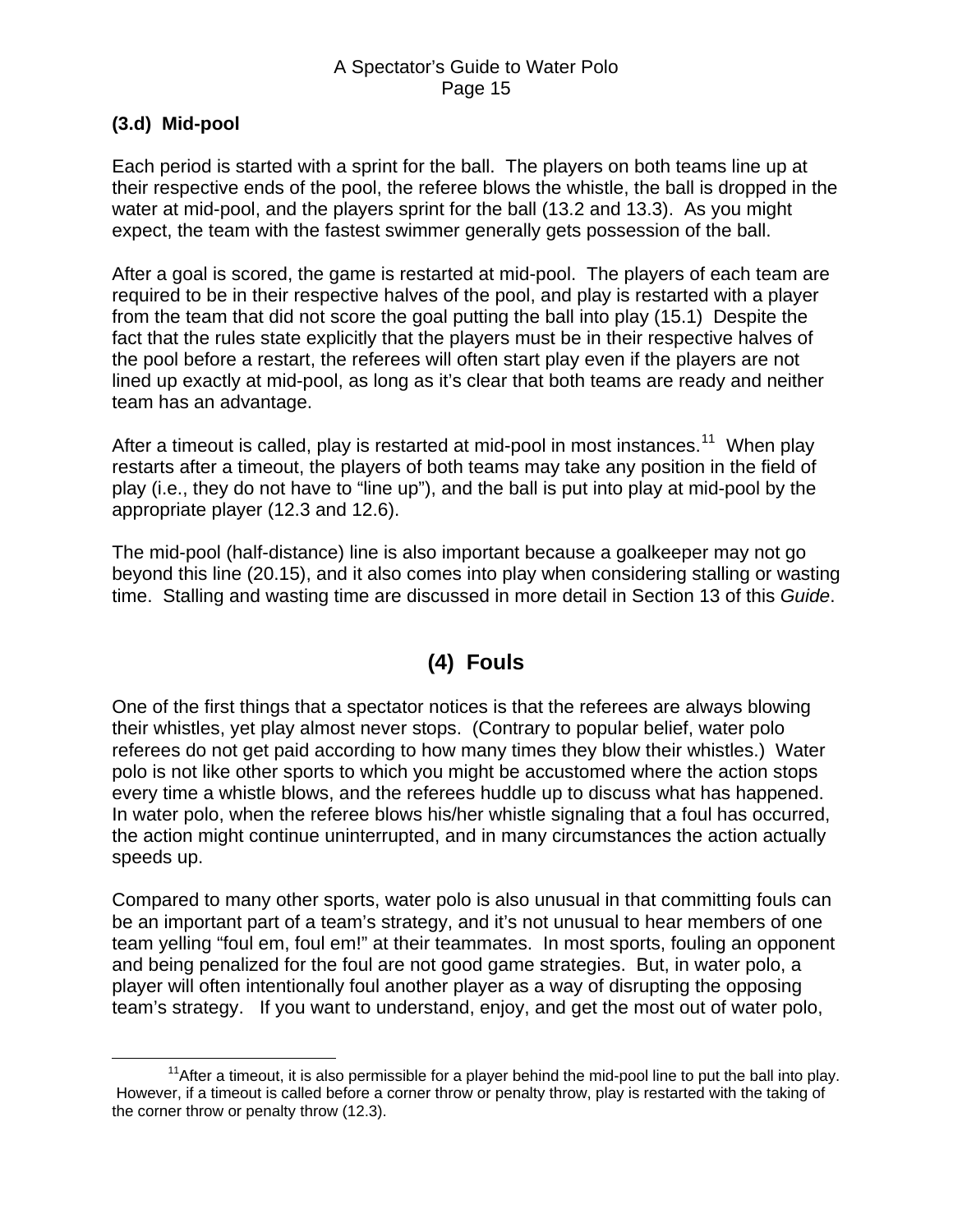#### <span id="page-14-0"></span>**(3.d) Mid-pool**

Each period is started with a sprint for the ball. The players on both teams line up at their respective ends of the pool, the referee blows the whistle, the ball is dropped in the water at mid-pool, and the players sprint for the ball (13.2 and 13.3). As you might expect, the team with the fastest swimmer generally gets possession of the ball.

After a goal is scored, the game is restarted at mid-pool. The players of each team are required to be in their respective halves of the pool, and play is restarted with a player from the team that did not score the goal putting the ball into play (15.1) Despite the fact that the rules state explicitly that the players must be in their respective halves of the pool before a restart, the referees will often start play even if the players are not lined up exactly at mid-pool, as long as it's clear that both teams are ready and neither team has an advantage.

After a timeout is called, play is restarted at mid-pool in most instances.<sup>[11](#page-14-1)</sup> When play restarts after a timeout, the players of both teams may take any position in the field of play (i.e., they do not have to "line up"), and the ball is put into play at mid-pool by the appropriate player (12.3 and 12.6).

The mid-pool (half-distance) line is also important because a goalkeeper may not go beyond this line (20.15), and it also comes into play when considering stalling or wasting time. Stalling and wasting time are discussed in more detail in Section 13 of this *Guide*.

# **(4) Fouls**

One of the first things that a spectator notices is that the referees are always blowing their whistles, yet play almost never stops. (Contrary to popular belief, water polo referees do not get paid according to how many times they blow their whistles.) Water polo is not like other sports to which you might be accustomed where the action stops every time a whistle blows, and the referees huddle up to discuss what has happened. In water polo, when the referee blows his/her whistle signaling that a foul has occurred, the action might continue uninterrupted, and in many circumstances the action actually speeds up.

Compared to many other sports, water polo is also unusual in that committing fouls can be an important part of a team's strategy, and it's not unusual to hear members of one team yelling "foul em, foul em!" at their teammates. In most sports, fouling an opponent and being penalized for the foul are not good game strategies. But, in water polo, a player will often intentionally foul another player as a way of disrupting the opposing team's strategy. If you want to understand, enjoy, and get the most out of water polo,

<span id="page-14-1"></span> $11$ After a timeout, it is also permissible for a player behind the mid-pool line to put the ball into play. However, if a timeout is called before a corner throw or penalty throw, play is restarted with the taking of the corner throw or penalty throw (12.3).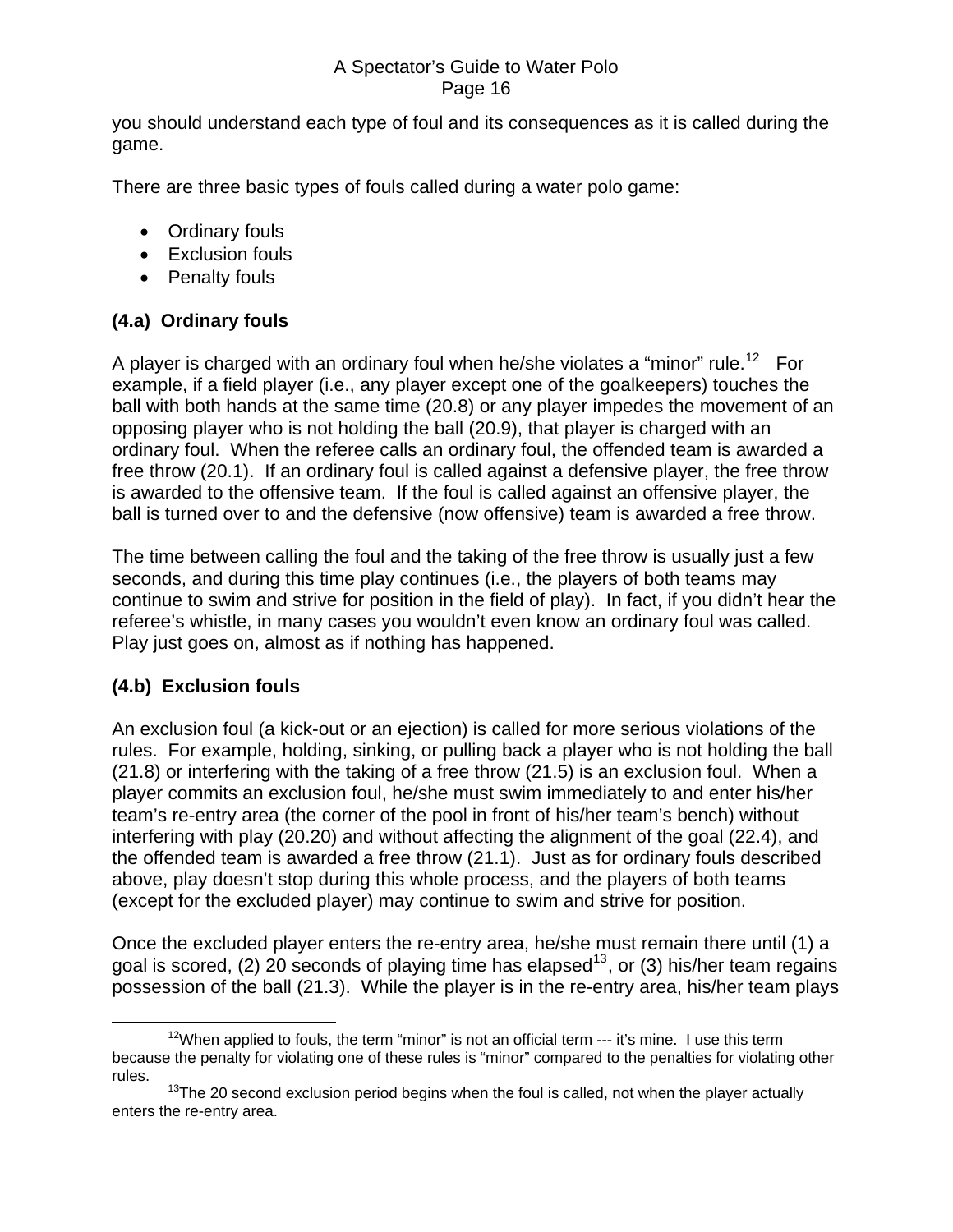<span id="page-15-0"></span>you should understand each type of foul and its consequences as it is called during the game.

There are three basic types of fouls called during a water polo game:

- Ordinary fouls
- Exclusion fouls
- Penalty fouls

## **(4.a) Ordinary fouls**

A player is charged with an ordinary foul when he/she violates a "minor" rule.<sup>[12](#page-15-1)</sup> For example, if a field player (i.e., any player except one of the goalkeepers) touches the ball with both hands at the same time (20.8) or any player impedes the movement of an opposing player who is not holding the ball (20.9), that player is charged with an ordinary foul. When the referee calls an ordinary foul, the offended team is awarded a free throw (20.1). If an ordinary foul is called against a defensive player, the free throw is awarded to the offensive team. If the foul is called against an offensive player, the ball is turned over to and the defensive (now offensive) team is awarded a free throw.

The time between calling the foul and the taking of the free throw is usually just a few seconds, and during this time play continues (i.e., the players of both teams may continue to swim and strive for position in the field of play). In fact, if you didn't hear the referee's whistle, in many cases you wouldn't even know an ordinary foul was called. Play just goes on, almost as if nothing has happened.

## **(4.b) Exclusion fouls**

An exclusion foul (a kick-out or an ejection) is called for more serious violations of the rules. For example, holding, sinking, or pulling back a player who is not holding the ball (21.8) or interfering with the taking of a free throw (21.5) is an exclusion foul. When a player commits an exclusion foul, he/she must swim immediately to and enter his/her team's re-entry area (the corner of the pool in front of his/her team's bench) without interfering with play (20.20) and without affecting the alignment of the goal (22.4), and the offended team is awarded a free throw (21.1). Just as for ordinary fouls described above, play doesn't stop during this whole process, and the players of both teams (except for the excluded player) may continue to swim and strive for position.

Once the excluded player enters the re-entry area, he/she must remain there until (1) a goal is scored, (2) 20 seconds of playing time has elapsed<sup>[13](#page-15-2)</sup>, or (3) his/her team regains possession of the ball (21.3). While the player is in the re-entry area, his/her team plays

<span id="page-15-1"></span> $12$ When applied to fouls, the term "minor" is not an official term  $-$ -it's mine. I use this term because the penalty for violating one of these rules is "minor" compared to the penalties for violating other rules.

<span id="page-15-2"></span> $13$ The 20 second exclusion period begins when the foul is called, not when the player actually enters the re-entry area.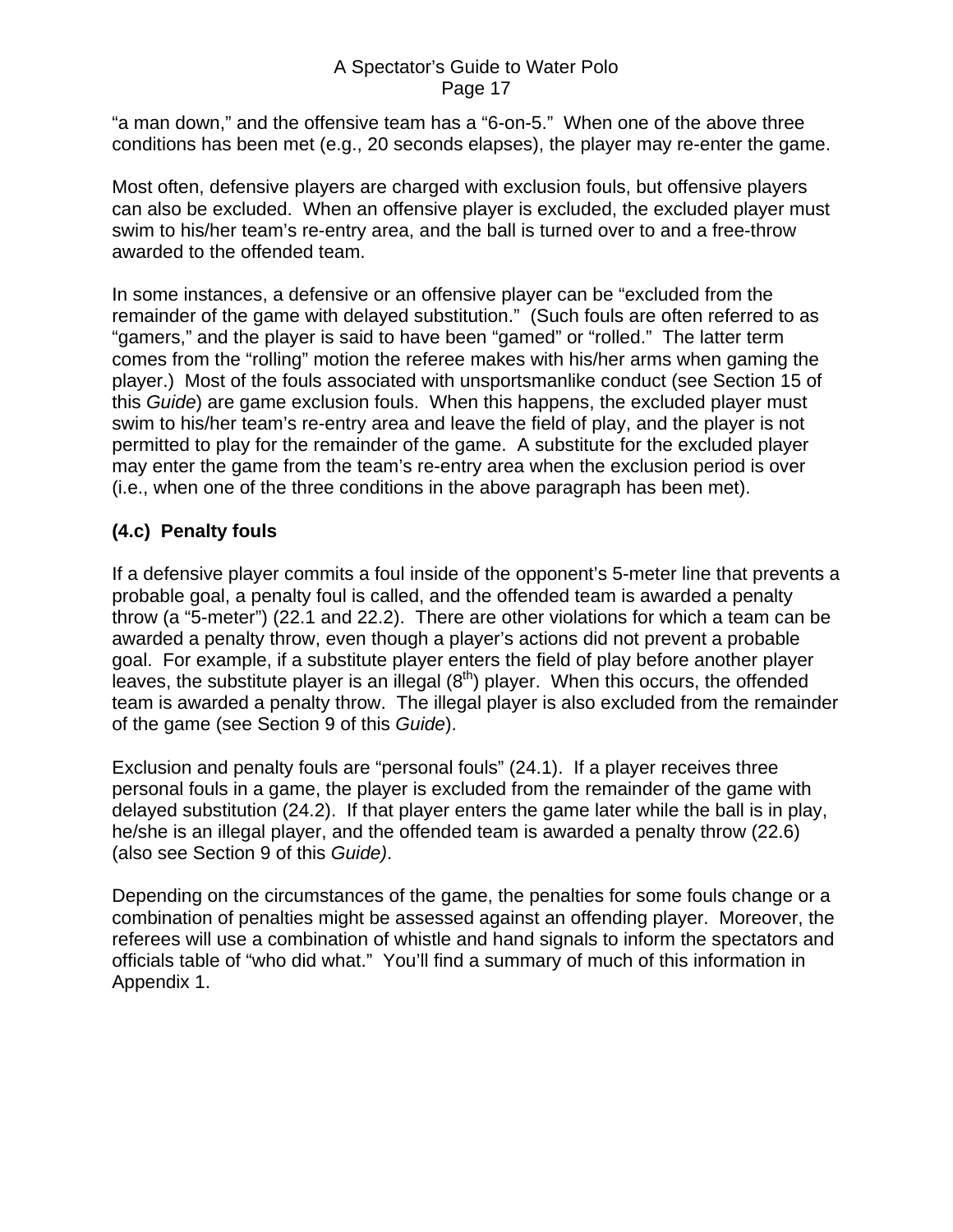<span id="page-16-0"></span>"a man down," and the offensive team has a "6-on-5." When one of the above three conditions has been met (e.g., 20 seconds elapses), the player may re-enter the game.

Most often, defensive players are charged with exclusion fouls, but offensive players can also be excluded. When an offensive player is excluded, the excluded player must swim to his/her team's re-entry area, and the ball is turned over to and a free-throw awarded to the offended team.

In some instances, a defensive or an offensive player can be "excluded from the remainder of the game with delayed substitution." (Such fouls are often referred to as "gamers," and the player is said to have been "gamed" or "rolled." The latter term comes from the "rolling" motion the referee makes with his/her arms when gaming the player.) Most of the fouls associated with unsportsmanlike conduct (see Section 15 of this *Guide*) are game exclusion fouls. When this happens, the excluded player must swim to his/her team's re-entry area and leave the field of play, and the player is not permitted to play for the remainder of the game. A substitute for the excluded player may enter the game from the team's re-entry area when the exclusion period is over (i.e., when one of the three conditions in the above paragraph has been met).

### **(4.c) Penalty fouls**

If a defensive player commits a foul inside of the opponent's 5-meter line that prevents a probable goal, a penalty foul is called, and the offended team is awarded a penalty throw (a "5-meter") (22.1 and 22.2). There are other violations for which a team can be awarded a penalty throw, even though a player's actions did not prevent a probable goal. For example, if a substitute player enters the field of play before another player leaves, the substitute player is an illegal  $(8<sup>th</sup>)$  player. When this occurs, the offended team is awarded a penalty throw. The illegal player is also excluded from the remainder of the game (see Section 9 of this *Guide*).

Exclusion and penalty fouls are "personal fouls" (24.1). If a player receives three personal fouls in a game, the player is excluded from the remainder of the game with delayed substitution (24.2). If that player enters the game later while the ball is in play, he/she is an illegal player, and the offended team is awarded a penalty throw (22.6) (also see Section 9 of this *Guide)*.

Depending on the circumstances of the game, the penalties for some fouls change or a combination of penalties might be assessed against an offending player. Moreover, the referees will use a combination of whistle and hand signals to inform the spectators and officials table of "who did what." You'll find a summary of much of this information in Appendix 1.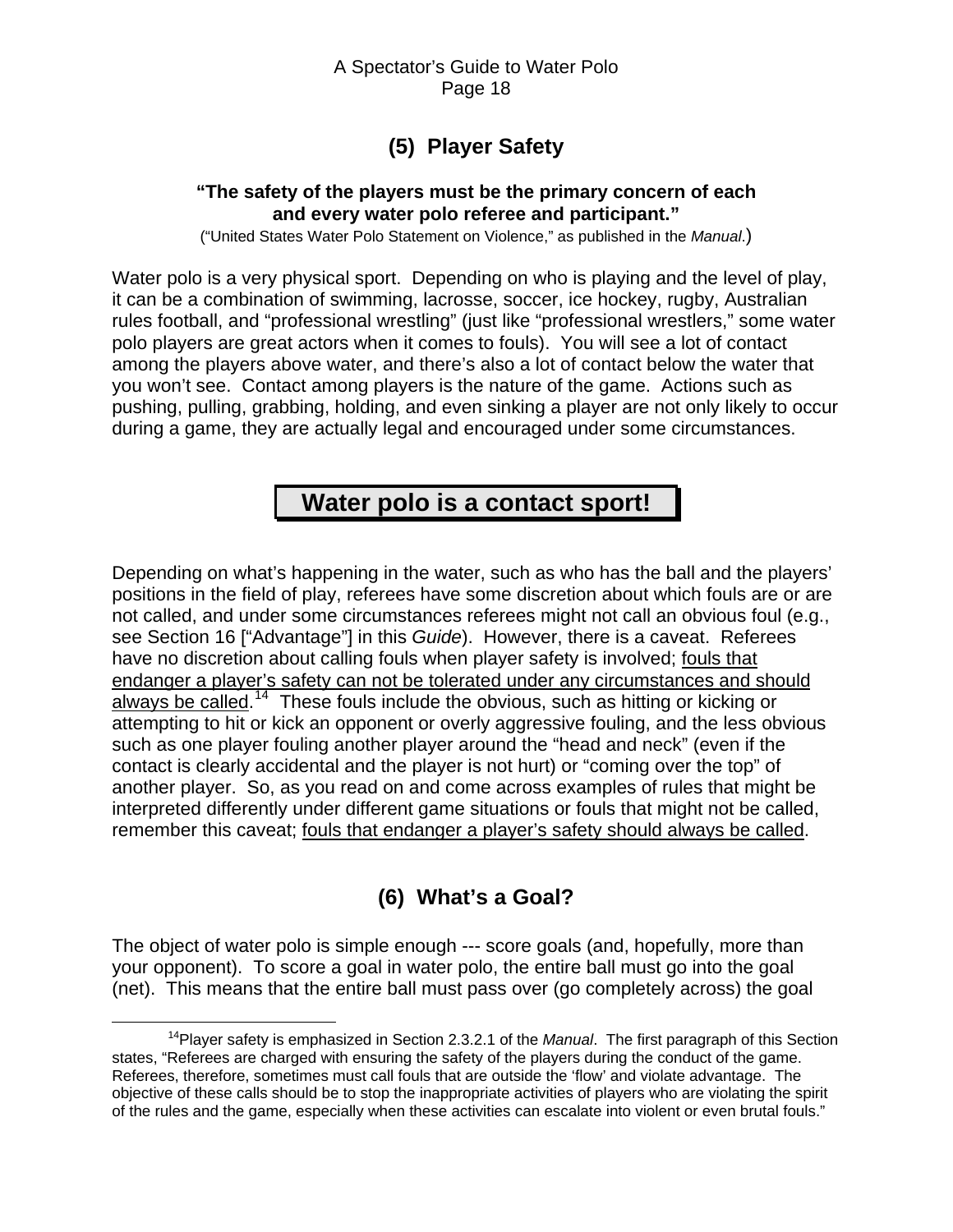# **(5) Player Safety**

#### <span id="page-17-0"></span>**"The safety of the players must be the primary concern of each and every water polo referee and participant."**

("United States Water Polo Statement on Violence," as published in the *Manual*.)

Water polo is a very physical sport. Depending on who is playing and the level of play, it can be a combination of swimming, lacrosse, soccer, ice hockey, rugby, Australian rules football, and "professional wrestling" (just like "professional wrestlers," some water polo players are great actors when it comes to fouls). You will see a lot of contact among the players above water, and there's also a lot of contact below the water that you won't see. Contact among players is the nature of the game. Actions such as pushing, pulling, grabbing, holding, and even sinking a player are not only likely to occur during a game, they are actually legal and encouraged under some circumstances.

# **Water polo is a contact sport!**

Depending on what's happening in the water, such as who has the ball and the players' positions in the field of play, referees have some discretion about which fouls are or are not called, and under some circumstances referees might not call an obvious foul (e.g., see Section 16 ["Advantage"] in this *Guide*). However, there is a caveat. Referees have no discretion about calling fouls when player safety is involved; fouls that endanger a player's safety can not be tolerated under any circumstances and should always be called.<sup>[14](#page-17-1)</sup> These fouls include the obvious, such as hitting or kicking or attempting to hit or kick an opponent or overly aggressive fouling, and the less obvious such as one player fouling another player around the "head and neck" (even if the contact is clearly accidental and the player is not hurt) or "coming over the top" of another player. So, as you read on and come across examples of rules that might be interpreted differently under different game situations or fouls that might not be called, remember this caveat; fouls that endanger a player's safety should always be called.

# **(6) What's a Goal?**

The object of water polo is simple enough --- score goals (and, hopefully, more than your opponent). To score a goal in water polo, the entire ball must go into the goal (net). This means that the entire ball must pass over (go completely across) the goal

<span id="page-17-1"></span> <sup>14</sup>Player safety is emphasized in Section 2.3.2.1 of the *Manual*. The first paragraph of this Section states, "Referees are charged with ensuring the safety of the players during the conduct of the game. Referees, therefore, sometimes must call fouls that are outside the 'flow' and violate advantage. The objective of these calls should be to stop the inappropriate activities of players who are violating the spirit of the rules and the game, especially when these activities can escalate into violent or even brutal fouls."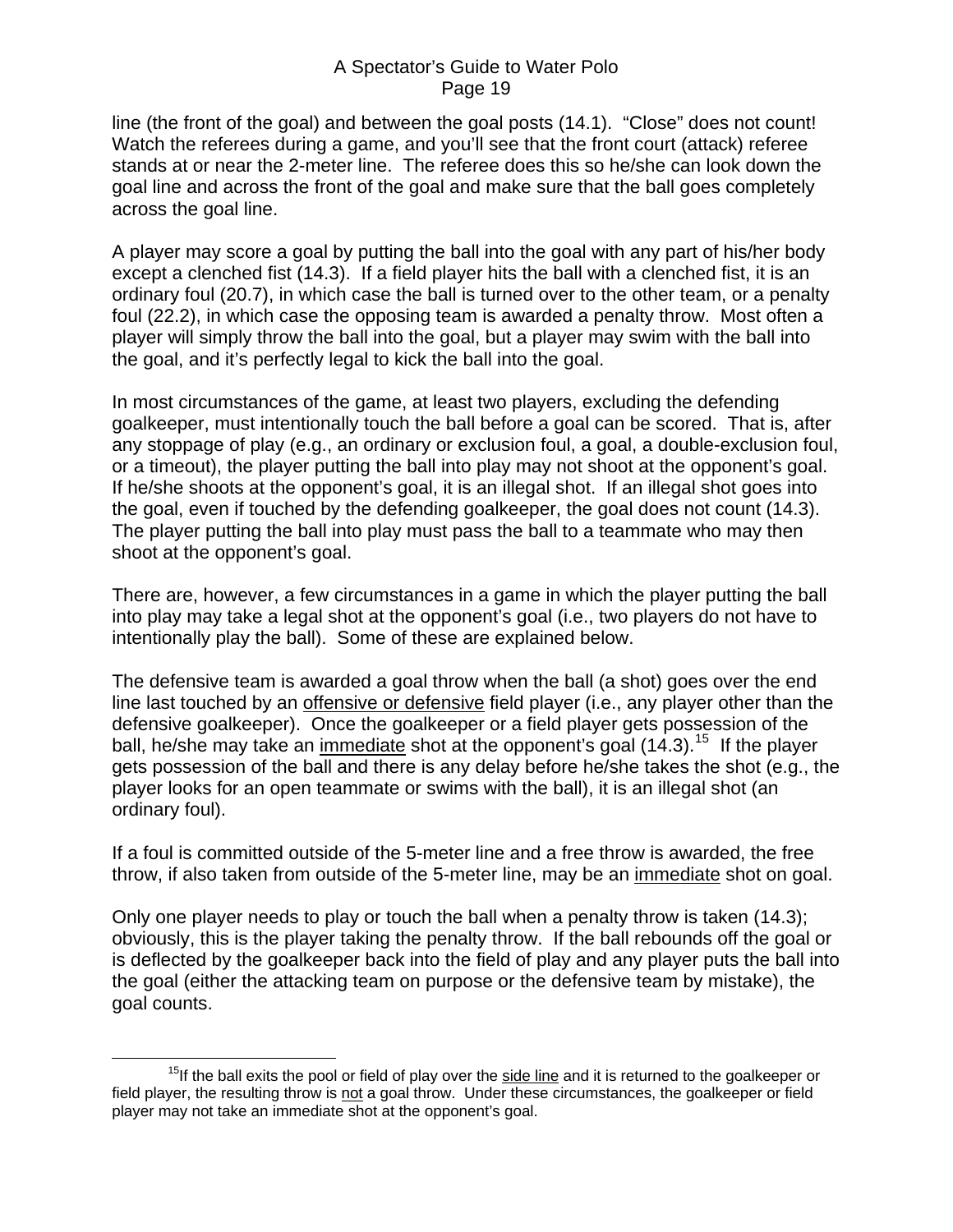line (the front of the goal) and between the goal posts (14.1). "Close" does not count! Watch the referees during a game, and you'll see that the front court (attack) referee stands at or near the 2-meter line. The referee does this so he/she can look down the goal line and across the front of the goal and make sure that the ball goes completely across the goal line.

A player may score a goal by putting the ball into the goal with any part of his/her body except a clenched fist (14.3). If a field player hits the ball with a clenched fist, it is an ordinary foul (20.7), in which case the ball is turned over to the other team, or a penalty foul (22.2), in which case the opposing team is awarded a penalty throw. Most often a player will simply throw the ball into the goal, but a player may swim with the ball into the goal, and it's perfectly legal to kick the ball into the goal.

In most circumstances of the game, at least two players, excluding the defending goalkeeper, must intentionally touch the ball before a goal can be scored. That is, after any stoppage of play (e.g., an ordinary or exclusion foul, a goal, a double-exclusion foul, or a timeout), the player putting the ball into play may not shoot at the opponent's goal. If he/she shoots at the opponent's goal, it is an illegal shot. If an illegal shot goes into the goal, even if touched by the defending goalkeeper, the goal does not count (14.3). The player putting the ball into play must pass the ball to a teammate who may then shoot at the opponent's goal.

There are, however, a few circumstances in a game in which the player putting the ball into play may take a legal shot at the opponent's goal (i.e., two players do not have to intentionally play the ball). Some of these are explained below.

The defensive team is awarded a goal throw when the ball (a shot) goes over the end line last touched by an offensive or defensive field player (i.e., any player other than the defensive goalkeeper). Once the goalkeeper or a field player gets possession of the ball, he/she may take an immediate shot at the opponent's goal  $(14.3)$ .<sup>[15](#page-18-0)</sup> If the player gets possession of the ball and there is any delay before he/she takes the shot (e.g., the player looks for an open teammate or swims with the ball), it is an illegal shot (an ordinary foul).

If a foul is committed outside of the 5-meter line and a free throw is awarded, the free throw, if also taken from outside of the 5-meter line, may be an immediate shot on goal.

Only one player needs to play or touch the ball when a penalty throw is taken (14.3); obviously, this is the player taking the penalty throw. If the ball rebounds off the goal or is deflected by the goalkeeper back into the field of play and any player puts the ball into the goal (either the attacking team on purpose or the defensive team by mistake), the goal counts.

<span id="page-18-0"></span> $15$ If the ball exits the pool or field of play over the side line and it is returned to the goalkeeper or field player, the resulting throw is not a goal throw. Under these circumstances, the goalkeeper or field player may not take an immediate shot at the opponent's goal.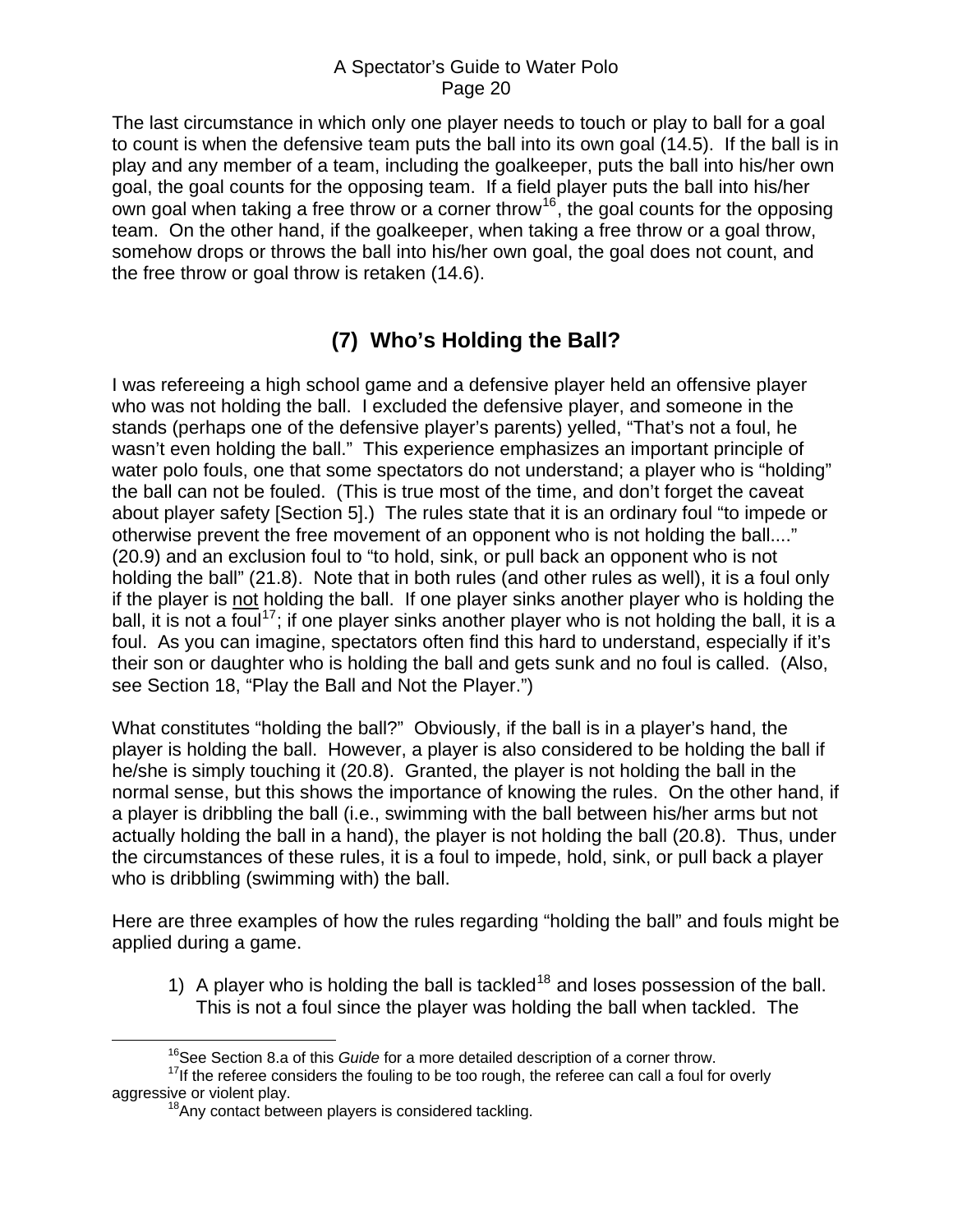<span id="page-19-0"></span>The last circumstance in which only one player needs to touch or play to ball for a goal to count is when the defensive team puts the ball into its own goal (14.5). If the ball is in play and any member of a team, including the goalkeeper, puts the ball into his/her own goal, the goal counts for the opposing team. If a field player puts the ball into his/her own goal when taking a free throw or a corner throw  $16$ , the goal counts for the opposing team. On the other hand, if the goalkeeper, when taking a free throw or a goal throw, somehow drops or throws the ball into his/her own goal, the goal does not count, and the free throw or goal throw is retaken (14.6).

# **(7) Who's Holding the Ball?**

I was refereeing a high school game and a defensive player held an offensive player who was not holding the ball. I excluded the defensive player, and someone in the stands (perhaps one of the defensive player's parents) yelled, "That's not a foul, he wasn't even holding the ball." This experience emphasizes an important principle of water polo fouls, one that some spectators do not understand; a player who is "holding" the ball can not be fouled. (This is true most of the time, and don't forget the caveat about player safety [Section 5].) The rules state that it is an ordinary foul "to impede or otherwise prevent the free movement of an opponent who is not holding the ball...." (20.9) and an exclusion foul to "to hold, sink, or pull back an opponent who is not holding the ball" (21.8). Note that in both rules (and other rules as well), it is a foul only if the player is not holding the ball. If one player sinks another player who is holding the ball, it is not a foul<sup>[17](#page-19-2)</sup>; if one player sinks another player who is not holding the ball, it is a foul. As you can imagine, spectators often find this hard to understand, especially if it's their son or daughter who is holding the ball and gets sunk and no foul is called. (Also, see Section 18, "Play the Ball and Not the Player.")

What constitutes "holding the ball?" Obviously, if the ball is in a player's hand, the player is holding the ball. However, a player is also considered to be holding the ball if he/she is simply touching it (20.8). Granted, the player is not holding the ball in the normal sense, but this shows the importance of knowing the rules. On the other hand, if a player is dribbling the ball (i.e., swimming with the ball between his/her arms but not actually holding the ball in a hand), the player is not holding the ball (20.8). Thus, under the circumstances of these rules, it is a foul to impede, hold, sink, or pull back a player who is dribbling (swimming with) the ball.

Here are three examples of how the rules regarding "holding the ball" and fouls might be applied during a game.

1) A player who is holding the ball is tackled<sup>[18](#page-19-3)</sup> and loses possession of the ball. This is not a foul since the player was holding the ball when tackled. The

 <sup>16</sup>See Section 8.a of this *Guide* for a more detailed description of a corner throw.

<span id="page-19-3"></span><span id="page-19-2"></span><span id="page-19-1"></span> $17$ If the referee considers the fouling to be too rough, the referee can call a foul for overly aggressive or violent play.

<sup>&</sup>lt;sup>18</sup>Any contact between players is considered tackling.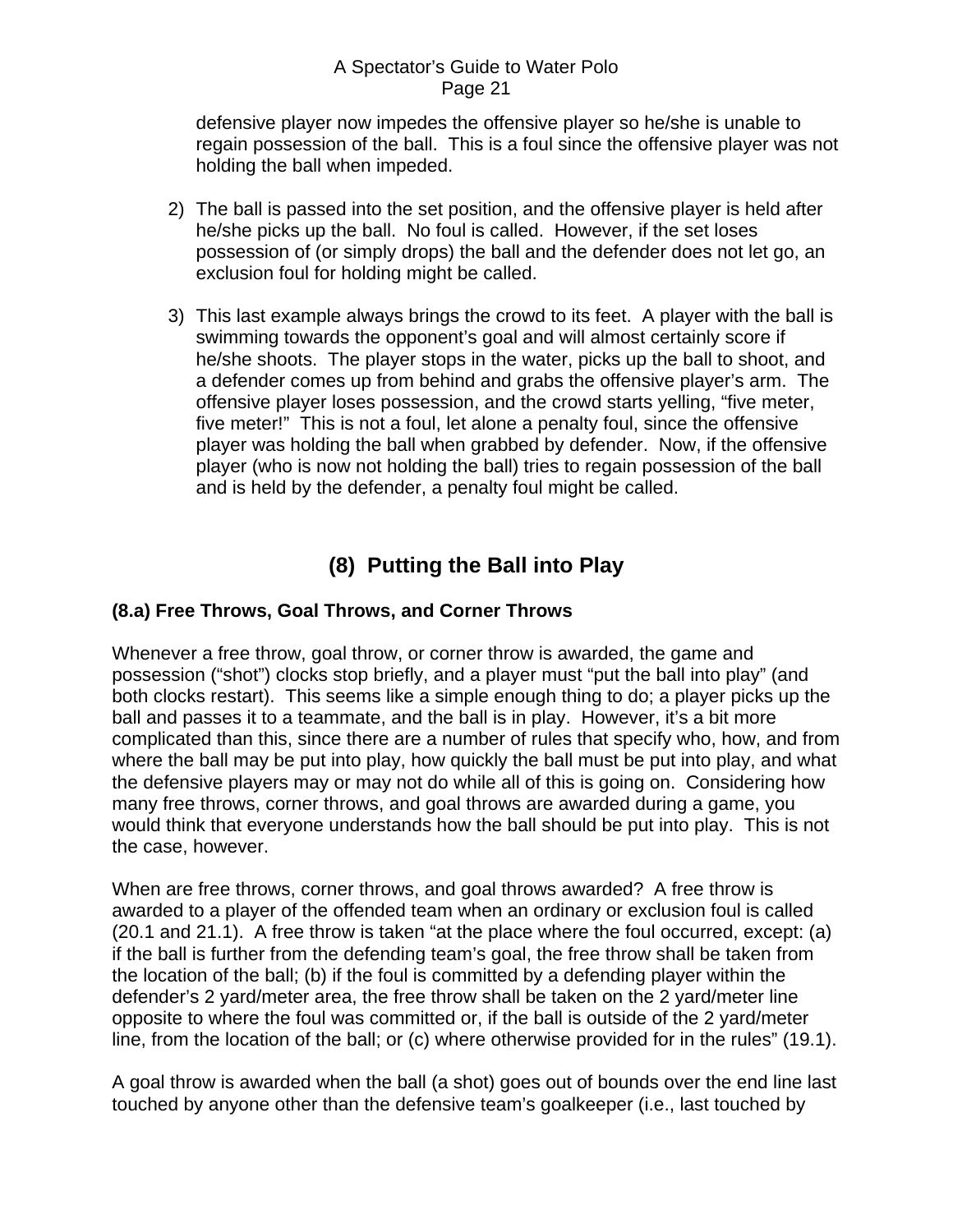<span id="page-20-0"></span>defensive player now impedes the offensive player so he/she is unable to regain possession of the ball. This is a foul since the offensive player was not holding the ball when impeded.

- 2) The ball is passed into the set position, and the offensive player is held after he/she picks up the ball. No foul is called. However, if the set loses possession of (or simply drops) the ball and the defender does not let go, an exclusion foul for holding might be called.
- 3) This last example always brings the crowd to its feet. A player with the ball is swimming towards the opponent's goal and will almost certainly score if he/she shoots. The player stops in the water, picks up the ball to shoot, and a defender comes up from behind and grabs the offensive player's arm. The offensive player loses possession, and the crowd starts yelling, "five meter, five meter!" This is not a foul, let alone a penalty foul, since the offensive player was holding the ball when grabbed by defender. Now, if the offensive player (who is now not holding the ball) tries to regain possession of the ball and is held by the defender, a penalty foul might be called.

# **(8) Putting the Ball into Play**

### **(8.a) Free Throws, Goal Throws, and Corner Throws**

Whenever a free throw, goal throw, or corner throw is awarded, the game and possession ("shot") clocks stop briefly, and a player must "put the ball into play" (and both clocks restart). This seems like a simple enough thing to do; a player picks up the ball and passes it to a teammate, and the ball is in play. However, it's a bit more complicated than this, since there are a number of rules that specify who, how, and from where the ball may be put into play, how quickly the ball must be put into play, and what the defensive players may or may not do while all of this is going on. Considering how many free throws, corner throws, and goal throws are awarded during a game, you would think that everyone understands how the ball should be put into play. This is not the case, however.

When are free throws, corner throws, and goal throws awarded? A free throw is awarded to a player of the offended team when an ordinary or exclusion foul is called (20.1 and 21.1). A free throw is taken "at the place where the foul occurred, except: (a) if the ball is further from the defending team's goal, the free throw shall be taken from the location of the ball; (b) if the foul is committed by a defending player within the defender's 2 yard/meter area, the free throw shall be taken on the 2 yard/meter line opposite to where the foul was committed or, if the ball is outside of the 2 yard/meter line, from the location of the ball; or (c) where otherwise provided for in the rules" (19.1).

A goal throw is awarded when the ball (a shot) goes out of bounds over the end line last touched by anyone other than the defensive team's goalkeeper (i.e., last touched by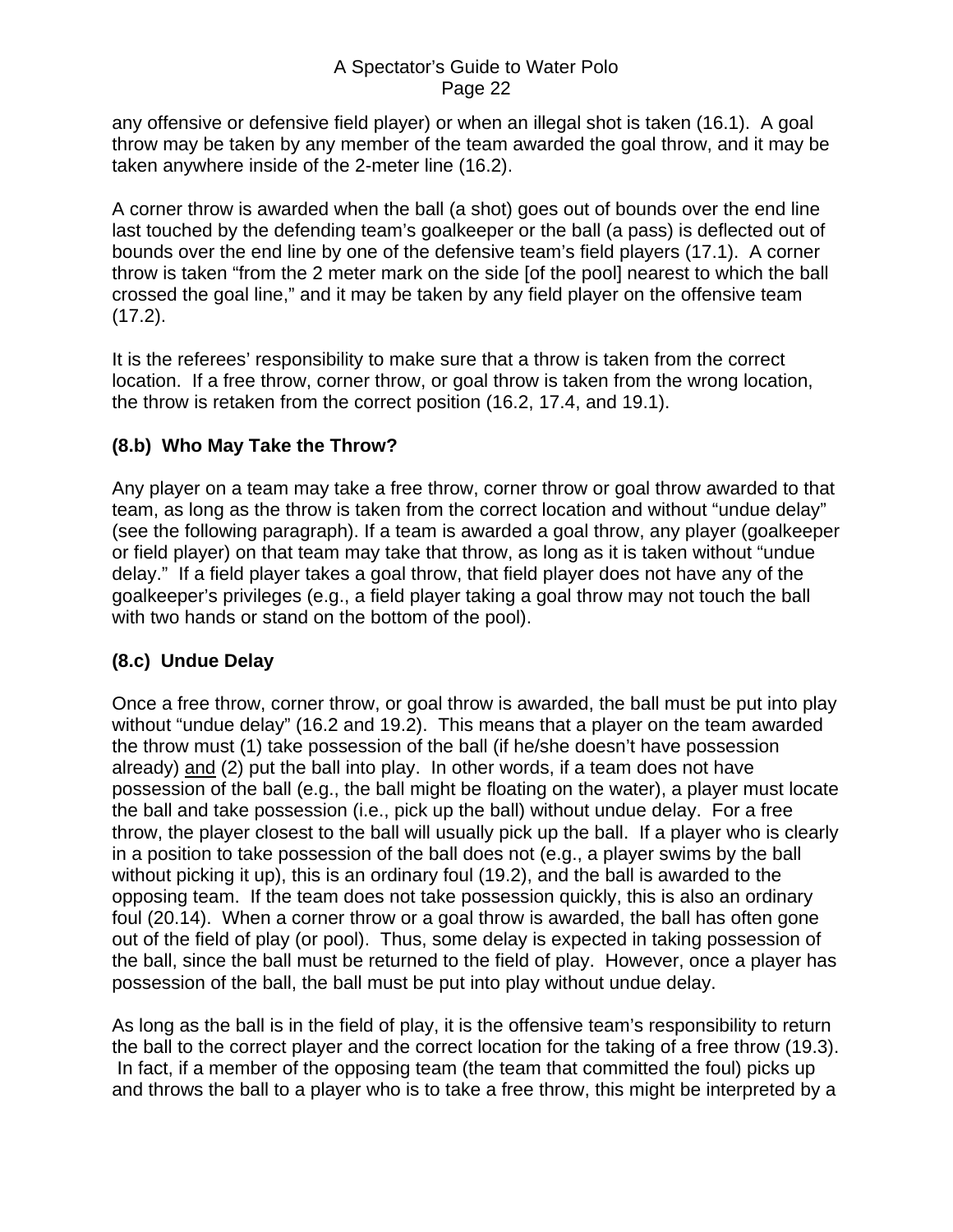<span id="page-21-0"></span>any offensive or defensive field player) or when an illegal shot is taken (16.1). A goal throw may be taken by any member of the team awarded the goal throw, and it may be taken anywhere inside of the 2-meter line (16.2).

A corner throw is awarded when the ball (a shot) goes out of bounds over the end line last touched by the defending team's goalkeeper or the ball (a pass) is deflected out of bounds over the end line by one of the defensive team's field players (17.1). A corner throw is taken "from the 2 meter mark on the side [of the pool] nearest to which the ball crossed the goal line," and it may be taken by any field player on the offensive team  $(17.2)$ .

It is the referees' responsibility to make sure that a throw is taken from the correct location. If a free throw, corner throw, or goal throw is taken from the wrong location, the throw is retaken from the correct position (16.2, 17.4, and 19.1).

### **(8.b) Who May Take the Throw?**

Any player on a team may take a free throw, corner throw or goal throw awarded to that team, as long as the throw is taken from the correct location and without "undue delay" (see the following paragraph). If a team is awarded a goal throw, any player (goalkeeper or field player) on that team may take that throw, as long as it is taken without "undue delay." If a field player takes a goal throw, that field player does not have any of the goalkeeper's privileges (e.g., a field player taking a goal throw may not touch the ball with two hands or stand on the bottom of the pool).

## **(8.c) Undue Delay**

Once a free throw, corner throw, or goal throw is awarded, the ball must be put into play without "undue delay" (16.2 and 19.2). This means that a player on the team awarded the throw must (1) take possession of the ball (if he/she doesn't have possession already) and (2) put the ball into play. In other words, if a team does not have possession of the ball (e.g., the ball might be floating on the water), a player must locate the ball and take possession (i.e., pick up the ball) without undue delay. For a free throw, the player closest to the ball will usually pick up the ball. If a player who is clearly in a position to take possession of the ball does not (e.g., a player swims by the ball without picking it up), this is an ordinary foul (19.2), and the ball is awarded to the opposing team. If the team does not take possession quickly, this is also an ordinary foul (20.14). When a corner throw or a goal throw is awarded, the ball has often gone out of the field of play (or pool). Thus, some delay is expected in taking possession of the ball, since the ball must be returned to the field of play. However, once a player has possession of the ball, the ball must be put into play without undue delay.

As long as the ball is in the field of play, it is the offensive team's responsibility to return the ball to the correct player and the correct location for the taking of a free throw (19.3). In fact, if a member of the opposing team (the team that committed the foul) picks up and throws the ball to a player who is to take a free throw, this might be interpreted by a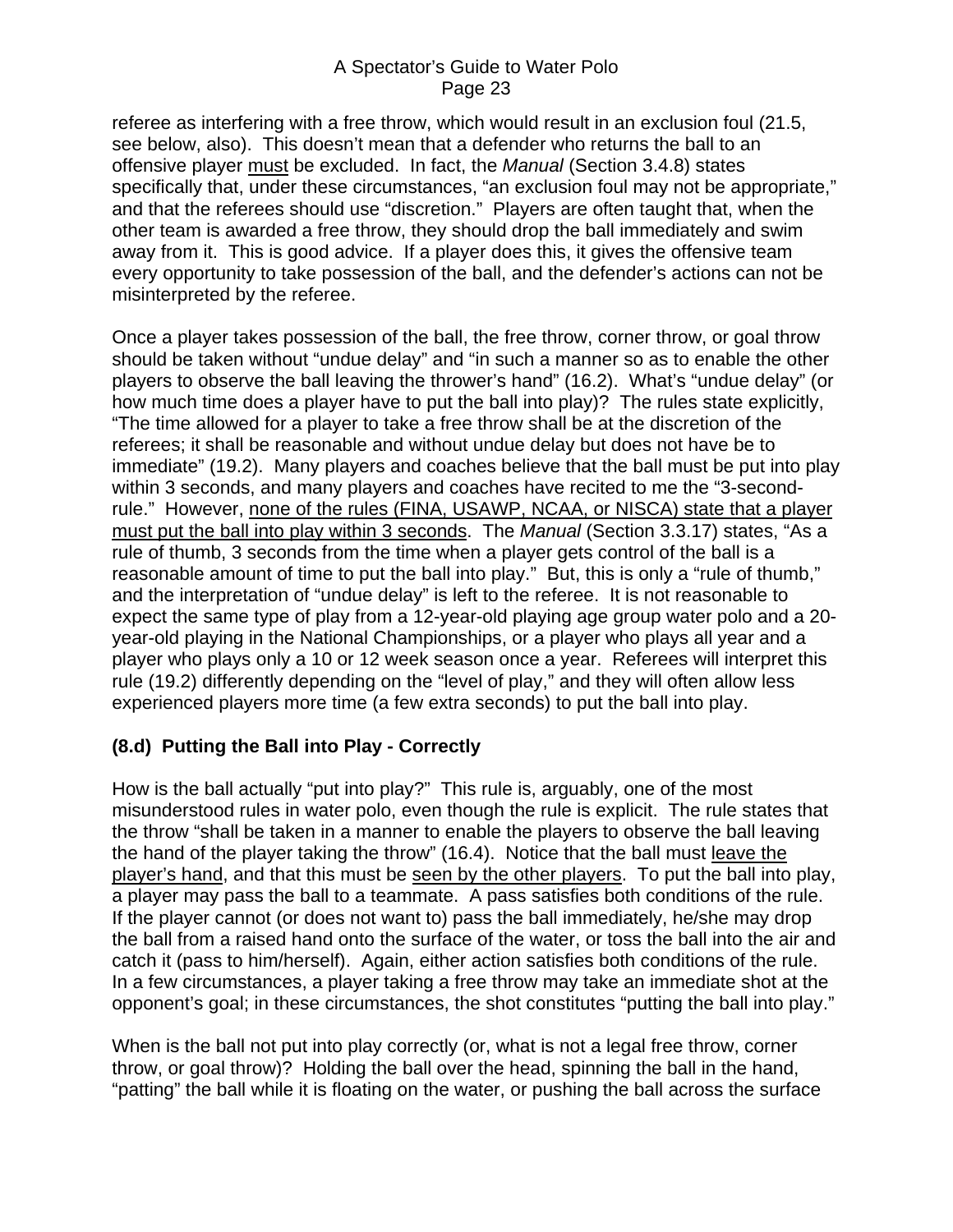<span id="page-22-0"></span>referee as interfering with a free throw, which would result in an exclusion foul (21.5, see below, also). This doesn't mean that a defender who returns the ball to an offensive player must be excluded. In fact, the *Manual* (Section 3.4.8) states specifically that, under these circumstances, "an exclusion foul may not be appropriate," and that the referees should use "discretion." Players are often taught that, when the other team is awarded a free throw, they should drop the ball immediately and swim away from it. This is good advice. If a player does this, it gives the offensive team every opportunity to take possession of the ball, and the defender's actions can not be misinterpreted by the referee.

Once a player takes possession of the ball, the free throw, corner throw, or goal throw should be taken without "undue delay" and "in such a manner so as to enable the other players to observe the ball leaving the thrower's hand" (16.2). What's "undue delay" (or how much time does a player have to put the ball into play)? The rules state explicitly, "The time allowed for a player to take a free throw shall be at the discretion of the referees; it shall be reasonable and without undue delay but does not have be to immediate" (19.2). Many players and coaches believe that the ball must be put into play within 3 seconds, and many players and coaches have recited to me the "3-secondrule." However, none of the rules (FINA, USAWP, NCAA, or NISCA) state that a player must put the ball into play within 3 seconds. The *Manual* (Section 3.3.17) states, "As a rule of thumb, 3 seconds from the time when a player gets control of the ball is a reasonable amount of time to put the ball into play." But, this is only a "rule of thumb," and the interpretation of "undue delay" is left to the referee. It is not reasonable to expect the same type of play from a 12-year-old playing age group water polo and a 20 year-old playing in the National Championships, or a player who plays all year and a player who plays only a 10 or 12 week season once a year. Referees will interpret this rule (19.2) differently depending on the "level of play," and they will often allow less experienced players more time (a few extra seconds) to put the ball into play.

### **(8.d) Putting the Ball into Play - Correctly**

How is the ball actually "put into play?" This rule is, arguably, one of the most misunderstood rules in water polo, even though the rule is explicit. The rule states that the throw "shall be taken in a manner to enable the players to observe the ball leaving the hand of the player taking the throw" (16.4). Notice that the ball must leave the player's hand, and that this must be seen by the other players. To put the ball into play, a player may pass the ball to a teammate. A pass satisfies both conditions of the rule. If the player cannot (or does not want to) pass the ball immediately, he/she may drop the ball from a raised hand onto the surface of the water, or toss the ball into the air and catch it (pass to him/herself). Again, either action satisfies both conditions of the rule. In a few circumstances, a player taking a free throw may take an immediate shot at the opponent's goal; in these circumstances, the shot constitutes "putting the ball into play."

When is the ball not put into play correctly (or, what is not a legal free throw, corner throw, or goal throw)? Holding the ball over the head, spinning the ball in the hand, "patting" the ball while it is floating on the water, or pushing the ball across the surface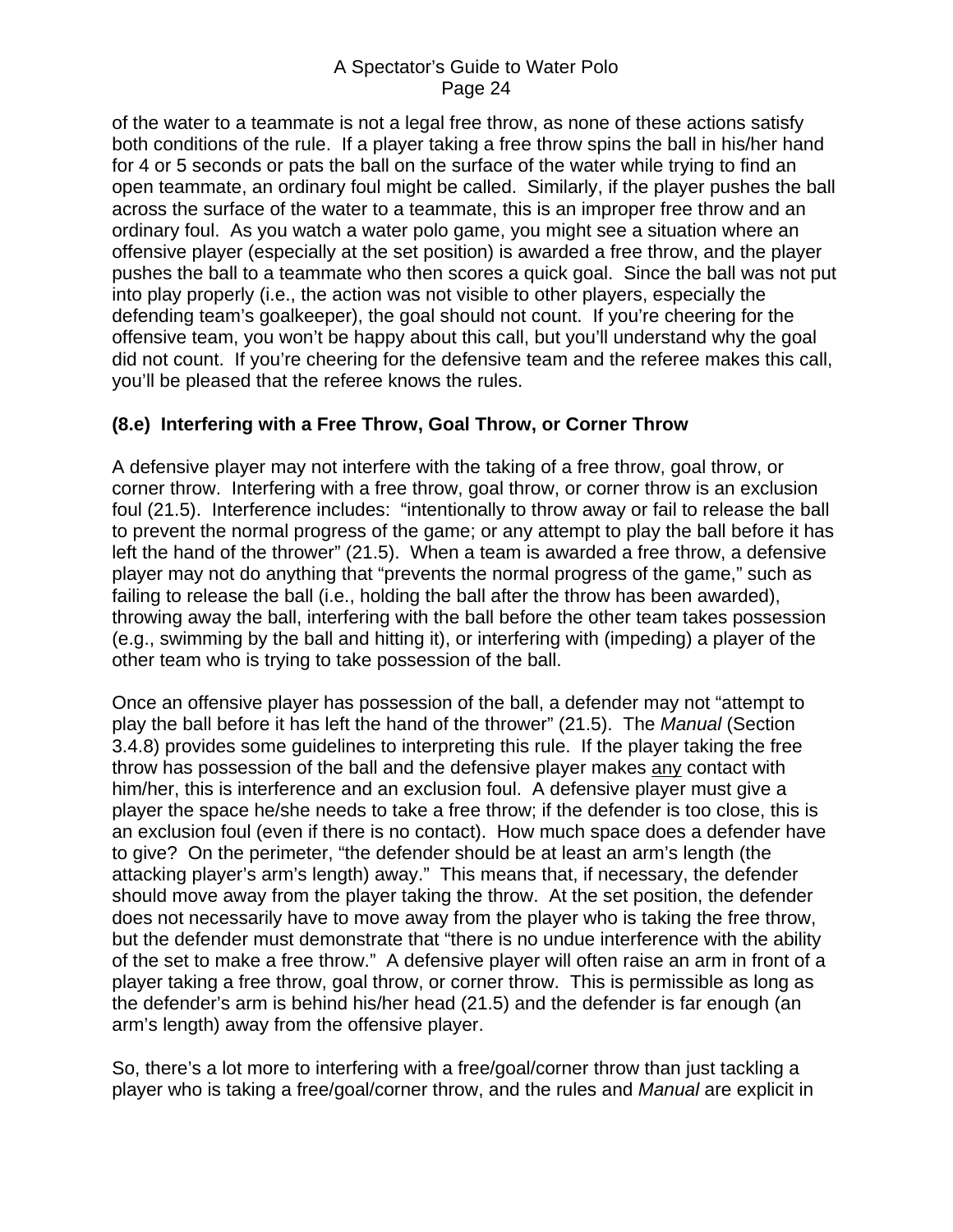<span id="page-23-0"></span>of the water to a teammate is not a legal free throw, as none of these actions satisfy both conditions of the rule. If a player taking a free throw spins the ball in his/her hand for 4 or 5 seconds or pats the ball on the surface of the water while trying to find an open teammate, an ordinary foul might be called. Similarly, if the player pushes the ball across the surface of the water to a teammate, this is an improper free throw and an ordinary foul. As you watch a water polo game, you might see a situation where an offensive player (especially at the set position) is awarded a free throw, and the player pushes the ball to a teammate who then scores a quick goal. Since the ball was not put into play properly (i.e., the action was not visible to other players, especially the defending team's goalkeeper), the goal should not count. If you're cheering for the offensive team, you won't be happy about this call, but you'll understand why the goal did not count. If you're cheering for the defensive team and the referee makes this call, you'll be pleased that the referee knows the rules.

### **(8.e) Interfering with a Free Throw, Goal Throw, or Corner Throw**

A defensive player may not interfere with the taking of a free throw, goal throw, or corner throw. Interfering with a free throw, goal throw, or corner throw is an exclusion foul (21.5). Interference includes: "intentionally to throw away or fail to release the ball to prevent the normal progress of the game; or any attempt to play the ball before it has left the hand of the thrower" (21.5). When a team is awarded a free throw, a defensive player may not do anything that "prevents the normal progress of the game," such as failing to release the ball (i.e., holding the ball after the throw has been awarded), throwing away the ball, interfering with the ball before the other team takes possession (e.g., swimming by the ball and hitting it), or interfering with (impeding) a player of the other team who is trying to take possession of the ball.

Once an offensive player has possession of the ball, a defender may not "attempt to play the ball before it has left the hand of the thrower" (21.5). The *Manual* (Section 3.4.8) provides some guidelines to interpreting this rule. If the player taking the free throw has possession of the ball and the defensive player makes any contact with him/her, this is interference and an exclusion foul. A defensive player must give a player the space he/she needs to take a free throw; if the defender is too close, this is an exclusion foul (even if there is no contact). How much space does a defender have to give? On the perimeter, "the defender should be at least an arm's length (the attacking player's arm's length) away." This means that, if necessary, the defender should move away from the player taking the throw. At the set position, the defender does not necessarily have to move away from the player who is taking the free throw, but the defender must demonstrate that "there is no undue interference with the ability of the set to make a free throw." A defensive player will often raise an arm in front of a player taking a free throw, goal throw, or corner throw. This is permissible as long as the defender's arm is behind his/her head (21.5) and the defender is far enough (an arm's length) away from the offensive player.

So, there's a lot more to interfering with a free/goal/corner throw than just tackling a player who is taking a free/goal/corner throw, and the rules and *Manual* are explicit in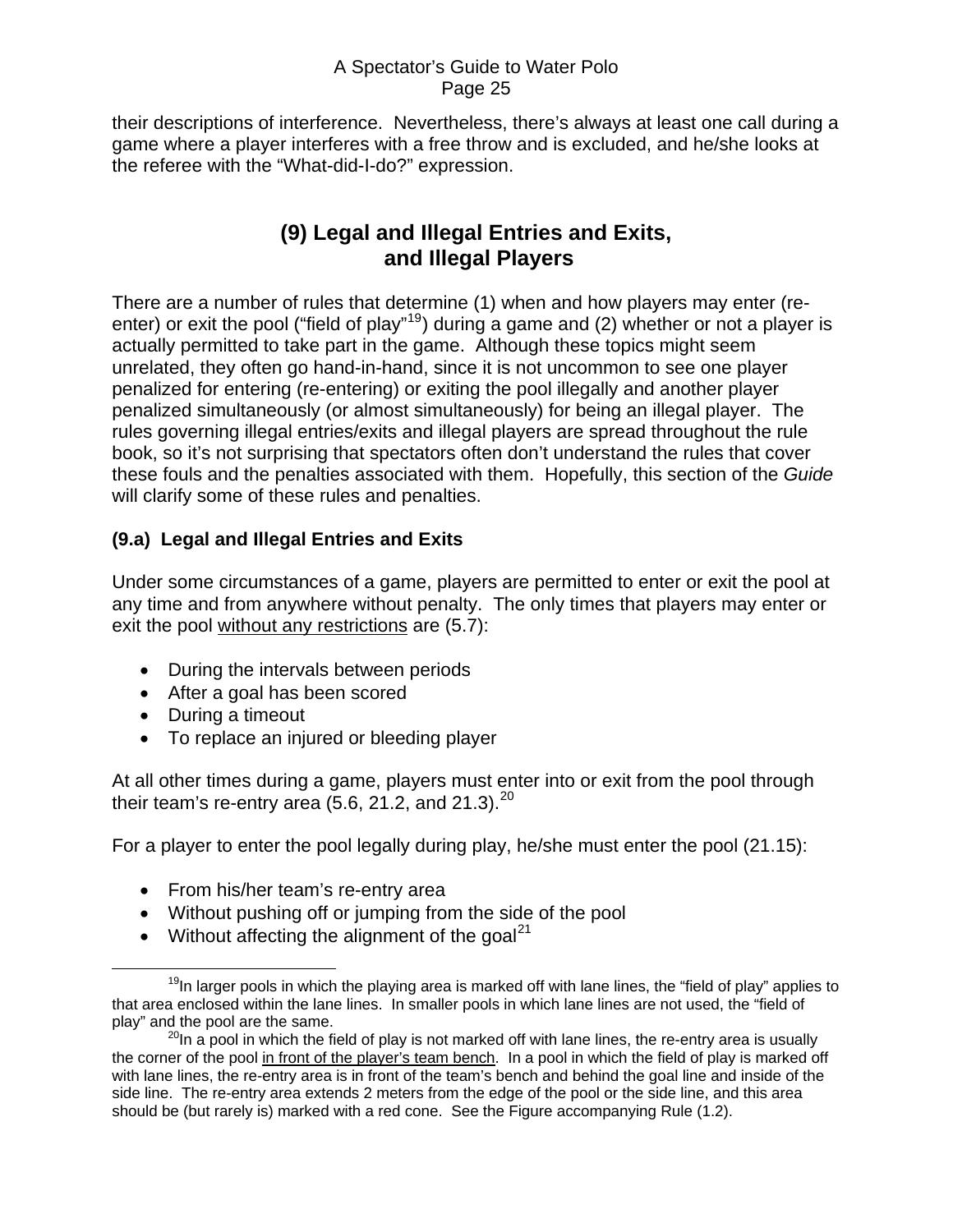<span id="page-24-0"></span>their descriptions of interference. Nevertheless, there's always at least one call during a game where a player interferes with a free throw and is excluded, and he/she looks at the referee with the "What-did-I-do?" expression.

# **(9) Legal and Illegal Entries and Exits, and Illegal Players**

There are a number of rules that determine (1) when and how players may enter (re-enter) or exit the pool ("field of play"<sup>[19](#page-24-1)</sup>) during a game and (2) whether or not a player is actually permitted to take part in the game. Although these topics might seem unrelated, they often go hand-in-hand, since it is not uncommon to see one player penalized for entering (re-entering) or exiting the pool illegally and another player penalized simultaneously (or almost simultaneously) for being an illegal player. The rules governing illegal entries/exits and illegal players are spread throughout the rule book, so it's not surprising that spectators often don't understand the rules that cover these fouls and the penalties associated with them. Hopefully, this section of the *Guide* will clarify some of these rules and penalties.

## **(9.a) Legal and Illegal Entries and Exits**

Under some circumstances of a game, players are permitted to enter or exit the pool at any time and from anywhere without penalty. The only times that players may enter or exit the pool without any restrictions are (5.7):

- During the intervals between periods
- After a goal has been scored
- During a timeout
- To replace an injured or bleeding player

At all other times during a game, players must enter into or exit from the pool through their team's re-entry area (5.6, 21.2, and 21.3). $^{20}$  $^{20}$  $^{20}$ 

For a player to enter the pool legally during play, he/she must enter the pool (21.15):

- From his/her team's re-entry area
- Without pushing off or jumping from the side of the pool
- Without affecting the alignment of the goal<sup>[21](#page-24-3)</sup>

<span id="page-24-1"></span> $19$ In larger pools in which the playing area is marked off with lane lines, the "field of play" applies to that area enclosed within the lane lines. In smaller pools in which lane lines are not used, the "field of play" and the pool are the same.

<span id="page-24-3"></span><span id="page-24-2"></span> $^{20}$ In a pool in which the field of play is not marked off with lane lines, the re-entry area is usually the corner of the pool in front of the player's team bench. In a pool in which the field of play is marked off with lane lines, the re-entry area is in front of the team's bench and behind the goal line and inside of the side line. The re-entry area extends 2 meters from the edge of the pool or the side line, and this area should be (but rarely is) marked with a red cone. See the Figure accompanying Rule (1.2).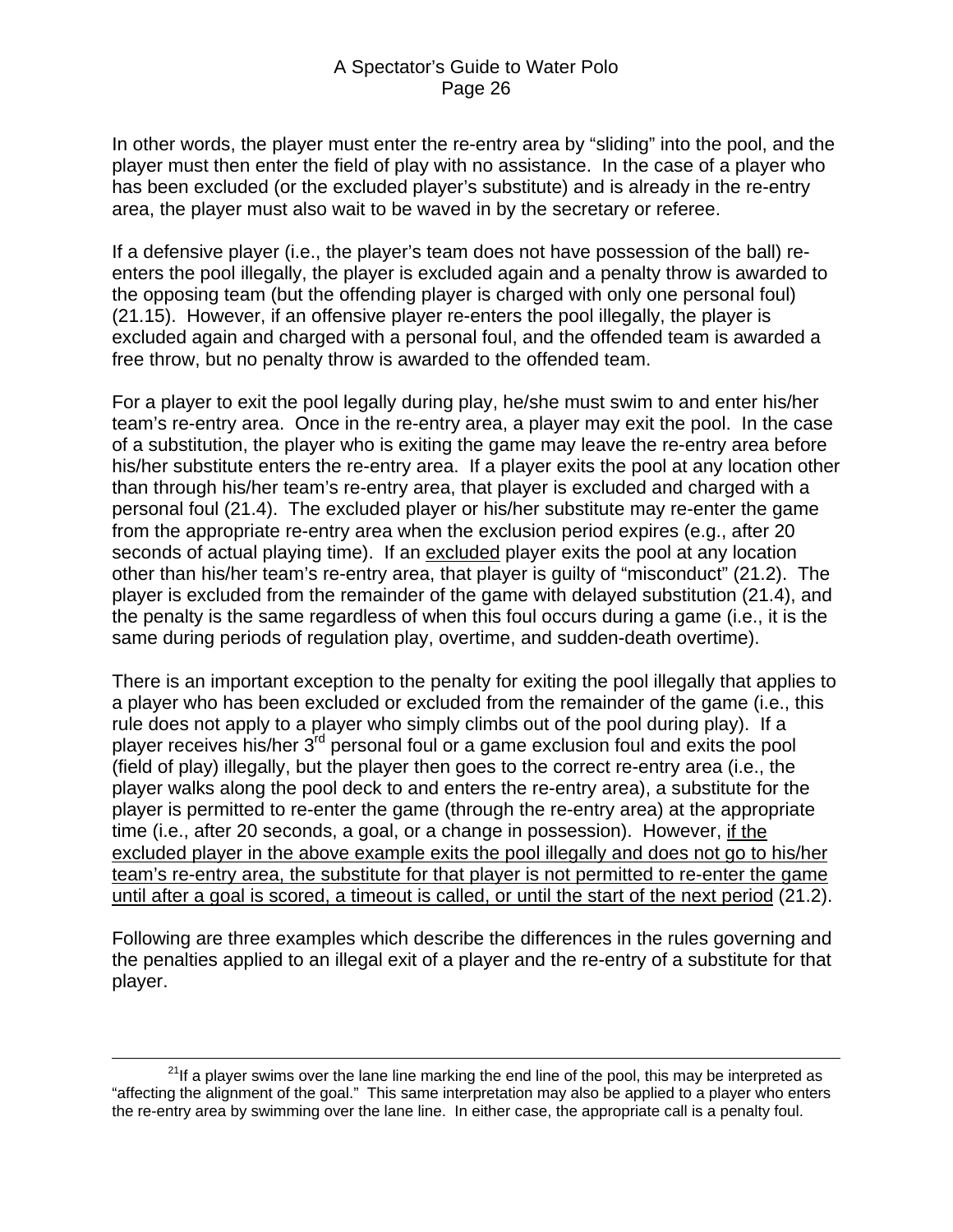In other words, the player must enter the re-entry area by "sliding" into the pool, and the player must then enter the field of play with no assistance. In the case of a player who has been excluded (or the excluded player's substitute) and is already in the re-entry area, the player must also wait to be waved in by the secretary or referee.

If a defensive player (i.e., the player's team does not have possession of the ball) reenters the pool illegally, the player is excluded again and a penalty throw is awarded to the opposing team (but the offending player is charged with only one personal foul) (21.15). However, if an offensive player re-enters the pool illegally, the player is excluded again and charged with a personal foul, and the offended team is awarded a free throw, but no penalty throw is awarded to the offended team.

For a player to exit the pool legally during play, he/she must swim to and enter his/her team's re-entry area. Once in the re-entry area, a player may exit the pool. In the case of a substitution, the player who is exiting the game may leave the re-entry area before his/her substitute enters the re-entry area. If a player exits the pool at any location other than through his/her team's re-entry area, that player is excluded and charged with a personal foul (21.4). The excluded player or his/her substitute may re-enter the game from the appropriate re-entry area when the exclusion period expires (e.g., after 20 seconds of actual playing time). If an excluded player exits the pool at any location other than his/her team's re-entry area, that player is guilty of "misconduct" (21.2). The player is excluded from the remainder of the game with delayed substitution (21.4), and the penalty is the same regardless of when this foul occurs during a game (i.e., it is the same during periods of regulation play, overtime, and sudden-death overtime).

There is an important exception to the penalty for exiting the pool illegally that applies to a player who has been excluded or excluded from the remainder of the game (i.e., this rule does not apply to a player who simply climbs out of the pool during play). If a player receives his/her 3rd personal foul or a game exclusion foul and exits the pool (field of play) illegally, but the player then goes to the correct re-entry area (i.e., the player walks along the pool deck to and enters the re-entry area), a substitute for the player is permitted to re-enter the game (through the re-entry area) at the appropriate time (i.e., after 20 seconds, a goal, or a change in possession). However, if the excluded player in the above example exits the pool illegally and does not go to his/her team's re-entry area, the substitute for that player is not permitted to re-enter the game until after a goal is scored, a timeout is called, or until the start of the next period (21.2).

Following are three examples which describe the differences in the rules governing and the penalties applied to an illegal exit of a player and the re-entry of a substitute for that player.

 $2^{21}$ If a player swims over the lane line marking the end line of the pool, this may be interpreted as "affecting the alignment of the goal." This same interpretation may also be applied to a player who enters the re-entry area by swimming over the lane line. In either case, the appropriate call is a penalty foul.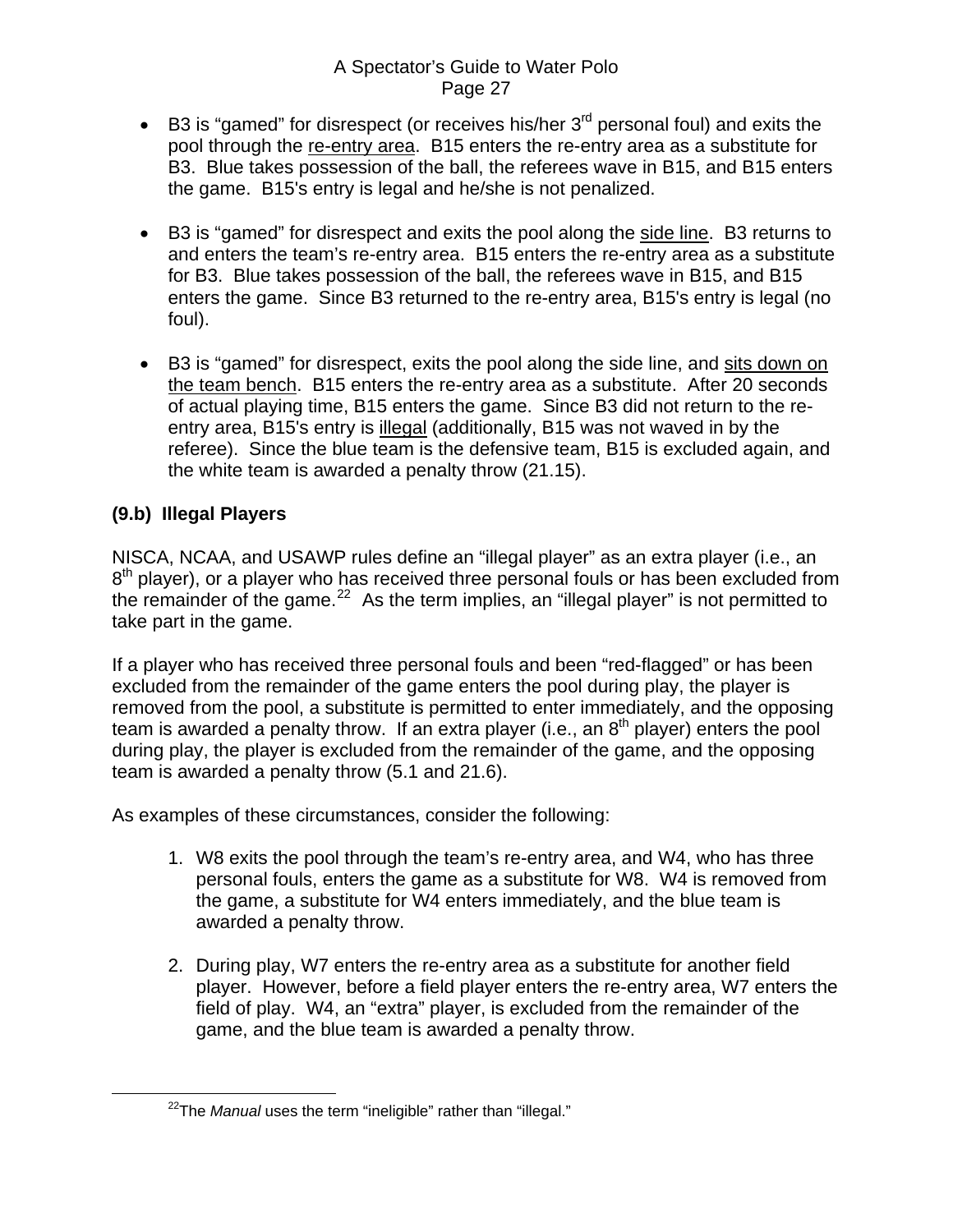- <span id="page-26-0"></span>• B3 is "gamed" for disrespect (or receives his/her  $3<sup>rd</sup>$  personal foul) and exits the pool through the re-entry area. B15 enters the re-entry area as a substitute for B3. Blue takes possession of the ball, the referees wave in B15, and B15 enters the game. B15's entry is legal and he/she is not penalized.
- B3 is "gamed" for disrespect and exits the pool along the side line. B3 returns to and enters the team's re-entry area. B15 enters the re-entry area as a substitute for B3. Blue takes possession of the ball, the referees wave in B15, and B15 enters the game. Since B3 returned to the re-entry area, B15's entry is legal (no foul).
- B3 is "gamed" for disrespect, exits the pool along the side line, and sits down on the team bench. B15 enters the re-entry area as a substitute. After 20 seconds of actual playing time, B15 enters the game. Since B3 did not return to the reentry area, B15's entry is illegal (additionally, B15 was not waved in by the referee). Since the blue team is the defensive team, B15 is excluded again, and the white team is awarded a penalty throw (21.15).

### **(9.b) Illegal Players**

NISCA, NCAA, and USAWP rules define an "illegal player" as an extra player (i.e., an  $8<sup>th</sup>$  player), or a player who has received three personal fouls or has been excluded from the remainder of the game.<sup>[22](#page-26-1)</sup> As the term implies, an "illegal player" is not permitted to take part in the game.

If a player who has received three personal fouls and been "red-flagged" or has been excluded from the remainder of the game enters the pool during play, the player is removed from the pool, a substitute is permitted to enter immediately, and the opposing team is awarded a penalty throw. If an extra player (i.e., an  $8<sup>th</sup>$  player) enters the pool during play, the player is excluded from the remainder of the game, and the opposing team is awarded a penalty throw (5.1 and 21.6).

As examples of these circumstances, consider the following:

- 1. W8 exits the pool through the team's re-entry area, and W4, who has three personal fouls, enters the game as a substitute for W8. W4 is removed from the game, a substitute for W4 enters immediately, and the blue team is awarded a penalty throw.
- 2. During play, W7 enters the re-entry area as a substitute for another field player. However, before a field player enters the re-entry area, W7 enters the field of play. W4, an "extra" player, is excluded from the remainder of the game, and the blue team is awarded a penalty throw.

<span id="page-26-1"></span><sup>&</sup>lt;sup>22</sup>The *Manual* uses the term "ineligible" rather than "illegal."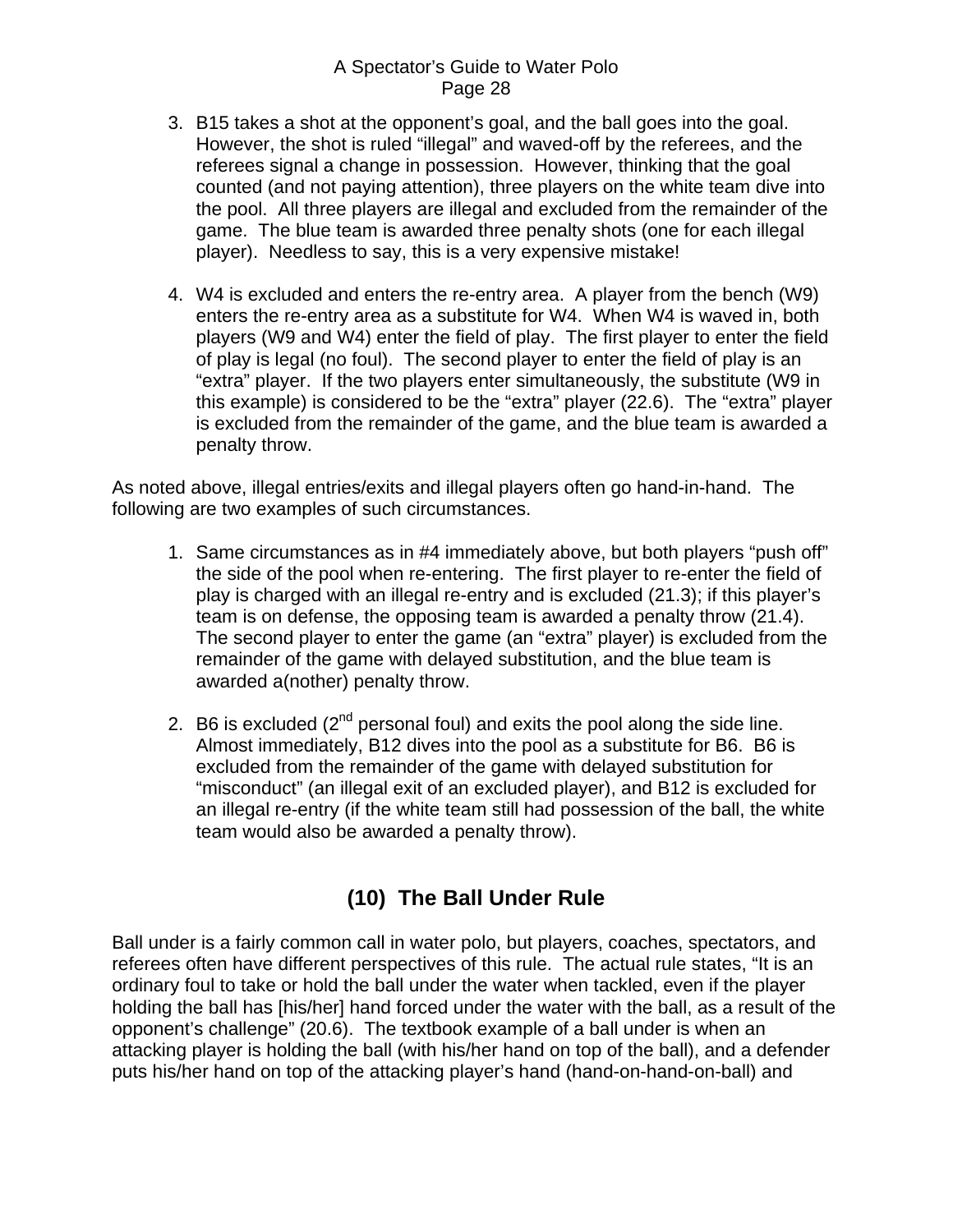- <span id="page-27-0"></span>3. B15 takes a shot at the opponent's goal, and the ball goes into the goal. However, the shot is ruled "illegal" and waved-off by the referees, and the referees signal a change in possession. However, thinking that the goal counted (and not paying attention), three players on the white team dive into the pool. All three players are illegal and excluded from the remainder of the game. The blue team is awarded three penalty shots (one for each illegal player). Needless to say, this is a very expensive mistake!
- 4. W4 is excluded and enters the re-entry area. A player from the bench (W9) enters the re-entry area as a substitute for W4. When W4 is waved in, both players (W9 and W4) enter the field of play. The first player to enter the field of play is legal (no foul). The second player to enter the field of play is an "extra" player. If the two players enter simultaneously, the substitute (W9 in this example) is considered to be the "extra" player (22.6). The "extra" player is excluded from the remainder of the game, and the blue team is awarded a penalty throw.

As noted above, illegal entries/exits and illegal players often go hand-in-hand. The following are two examples of such circumstances.

- 1. Same circumstances as in #4 immediately above, but both players "push off" the side of the pool when re-entering. The first player to re-enter the field of play is charged with an illegal re-entry and is excluded (21.3); if this player's team is on defense, the opposing team is awarded a penalty throw (21.4). The second player to enter the game (an "extra" player) is excluded from the remainder of the game with delayed substitution, and the blue team is awarded a(nother) penalty throw.
- 2. B6 is excluded  $(2^{nd}$  personal foul) and exits the pool along the side line. Almost immediately, B12 dives into the pool as a substitute for B6. B6 is excluded from the remainder of the game with delayed substitution for "misconduct" (an illegal exit of an excluded player), and B12 is excluded for an illegal re-entry (if the white team still had possession of the ball, the white team would also be awarded a penalty throw).

# **(10) The Ball Under Rule**

Ball under is a fairly common call in water polo, but players, coaches, spectators, and referees often have different perspectives of this rule. The actual rule states, "It is an ordinary foul to take or hold the ball under the water when tackled, even if the player holding the ball has [his/her] hand forced under the water with the ball, as a result of the opponent's challenge" (20.6). The textbook example of a ball under is when an attacking player is holding the ball (with his/her hand on top of the ball), and a defender puts his/her hand on top of the attacking player's hand (hand-on-hand-on-ball) and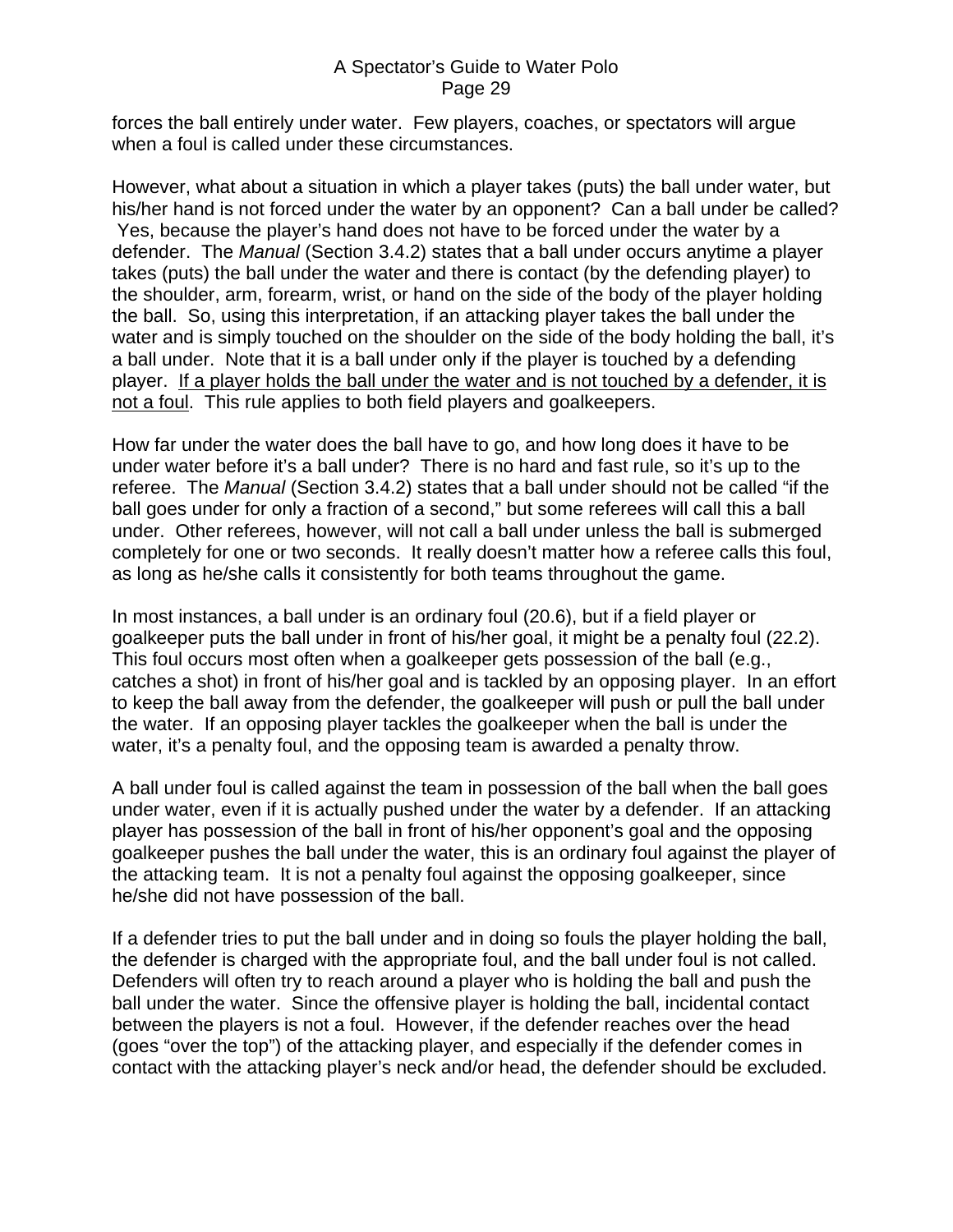forces the ball entirely under water. Few players, coaches, or spectators will argue when a foul is called under these circumstances.

However, what about a situation in which a player takes (puts) the ball under water, but his/her hand is not forced under the water by an opponent? Can a ball under be called? Yes, because the player's hand does not have to be forced under the water by a defender. The *Manual* (Section 3.4.2) states that a ball under occurs anytime a player takes (puts) the ball under the water and there is contact (by the defending player) to the shoulder, arm, forearm, wrist, or hand on the side of the body of the player holding the ball. So, using this interpretation, if an attacking player takes the ball under the water and is simply touched on the shoulder on the side of the body holding the ball, it's a ball under. Note that it is a ball under only if the player is touched by a defending player. If a player holds the ball under the water and is not touched by a defender, it is not a foul. This rule applies to both field players and goalkeepers.

How far under the water does the ball have to go, and how long does it have to be under water before it's a ball under? There is no hard and fast rule, so it's up to the referee. The *Manual* (Section 3.4.2) states that a ball under should not be called "if the ball goes under for only a fraction of a second," but some referees will call this a ball under. Other referees, however, will not call a ball under unless the ball is submerged completely for one or two seconds. It really doesn't matter how a referee calls this foul, as long as he/she calls it consistently for both teams throughout the game.

In most instances, a ball under is an ordinary foul (20.6), but if a field player or goalkeeper puts the ball under in front of his/her goal, it might be a penalty foul (22.2). This foul occurs most often when a goalkeeper gets possession of the ball (e.g., catches a shot) in front of his/her goal and is tackled by an opposing player. In an effort to keep the ball away from the defender, the goalkeeper will push or pull the ball under the water. If an opposing player tackles the goalkeeper when the ball is under the water, it's a penalty foul, and the opposing team is awarded a penalty throw.

A ball under foul is called against the team in possession of the ball when the ball goes under water, even if it is actually pushed under the water by a defender. If an attacking player has possession of the ball in front of his/her opponent's goal and the opposing goalkeeper pushes the ball under the water, this is an ordinary foul against the player of the attacking team. It is not a penalty foul against the opposing goalkeeper, since he/she did not have possession of the ball.

If a defender tries to put the ball under and in doing so fouls the player holding the ball, the defender is charged with the appropriate foul, and the ball under foul is not called. Defenders will often try to reach around a player who is holding the ball and push the ball under the water. Since the offensive player is holding the ball, incidental contact between the players is not a foul. However, if the defender reaches over the head (goes "over the top") of the attacking player, and especially if the defender comes in contact with the attacking player's neck and/or head, the defender should be excluded.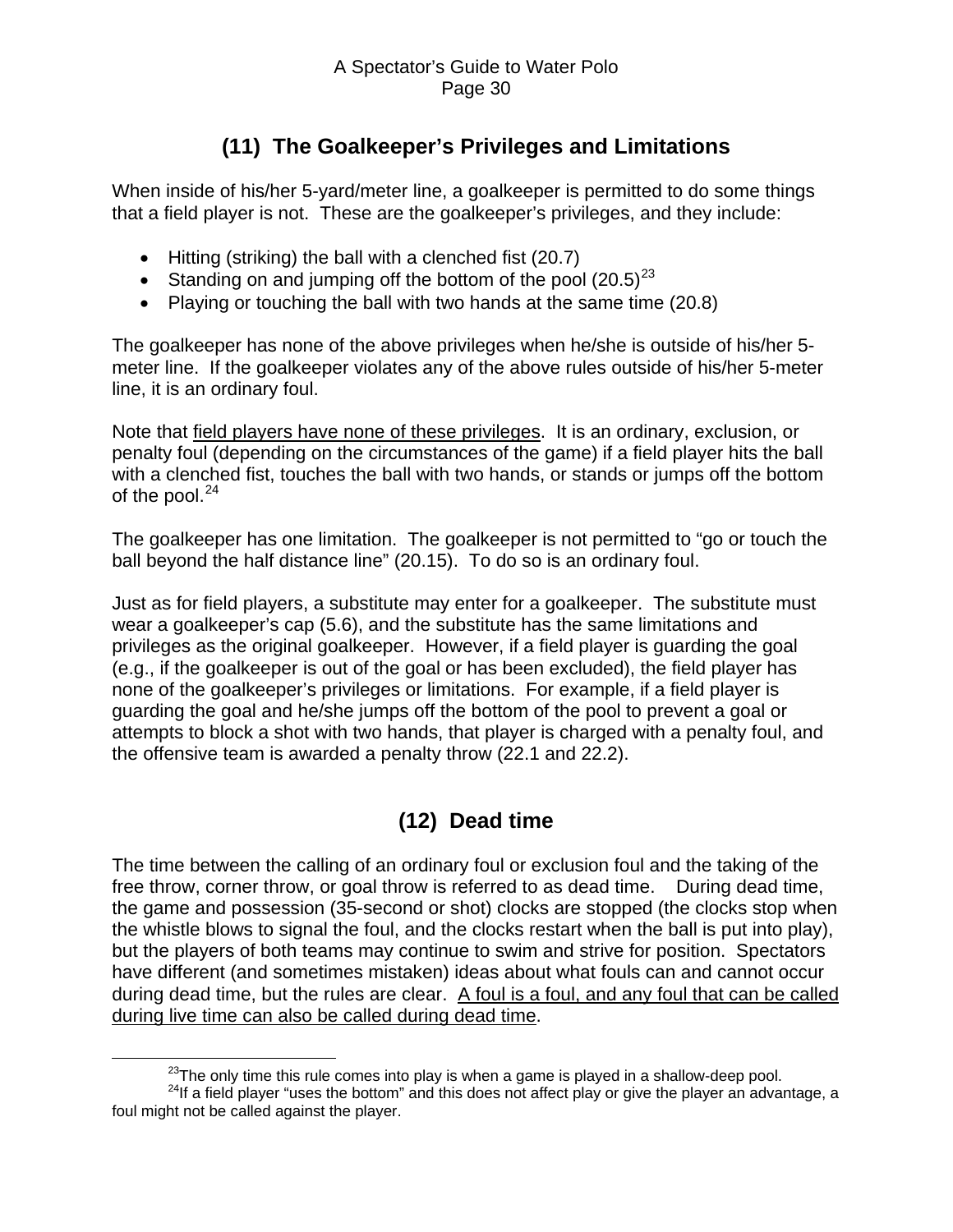# **(11) The Goalkeeper's Privileges and Limitations**

<span id="page-29-0"></span>When inside of his/her 5-yard/meter line, a goalkeeper is permitted to do some things that a field player is not. These are the goalkeeper's privileges, and they include:

- Hitting (striking) the ball with a clenched fist (20.7)
- Standing on and jumping off the bottom of the pool  $(20.5)^{23}$  $(20.5)^{23}$  $(20.5)^{23}$
- Playing or touching the ball with two hands at the same time (20.8)

The goalkeeper has none of the above privileges when he/she is outside of his/her 5 meter line. If the goalkeeper violates any of the above rules outside of his/her 5-meter line, it is an ordinary foul.

Note that field players have none of these privileges. It is an ordinary, exclusion, or penalty foul (depending on the circumstances of the game) if a field player hits the ball with a clenched fist, touches the ball with two hands, or stands or jumps off the bottom of the pool. $24$ 

The goalkeeper has one limitation. The goalkeeper is not permitted to "go or touch the ball beyond the half distance line" (20.15). To do so is an ordinary foul.

Just as for field players, a substitute may enter for a goalkeeper. The substitute must wear a goalkeeper's cap (5.6), and the substitute has the same limitations and privileges as the original goalkeeper. However, if a field player is guarding the goal (e.g., if the goalkeeper is out of the goal or has been excluded), the field player has none of the goalkeeper's privileges or limitations. For example, if a field player is guarding the goal and he/she jumps off the bottom of the pool to prevent a goal or attempts to block a shot with two hands, that player is charged with a penalty foul, and the offensive team is awarded a penalty throw (22.1 and 22.2).

# **(12) Dead time**

The time between the calling of an ordinary foul or exclusion foul and the taking of the free throw, corner throw, or goal throw is referred to as dead time. During dead time, the game and possession (35-second or shot) clocks are stopped (the clocks stop when the whistle blows to signal the foul, and the clocks restart when the ball is put into play), but the players of both teams may continue to swim and strive for position. Spectators have different (and sometimes mistaken) ideas about what fouls can and cannot occur during dead time, but the rules are clear. A foul is a foul, and any foul that can be called during live time can also be called during dead time.

 $23$ The only time this rule comes into play is when a game is played in a shallow-deep pool.

<span id="page-29-2"></span><span id="page-29-1"></span> $24$ If a field player "uses the bottom" and this does not affect play or give the player an advantage, a foul might not be called against the player.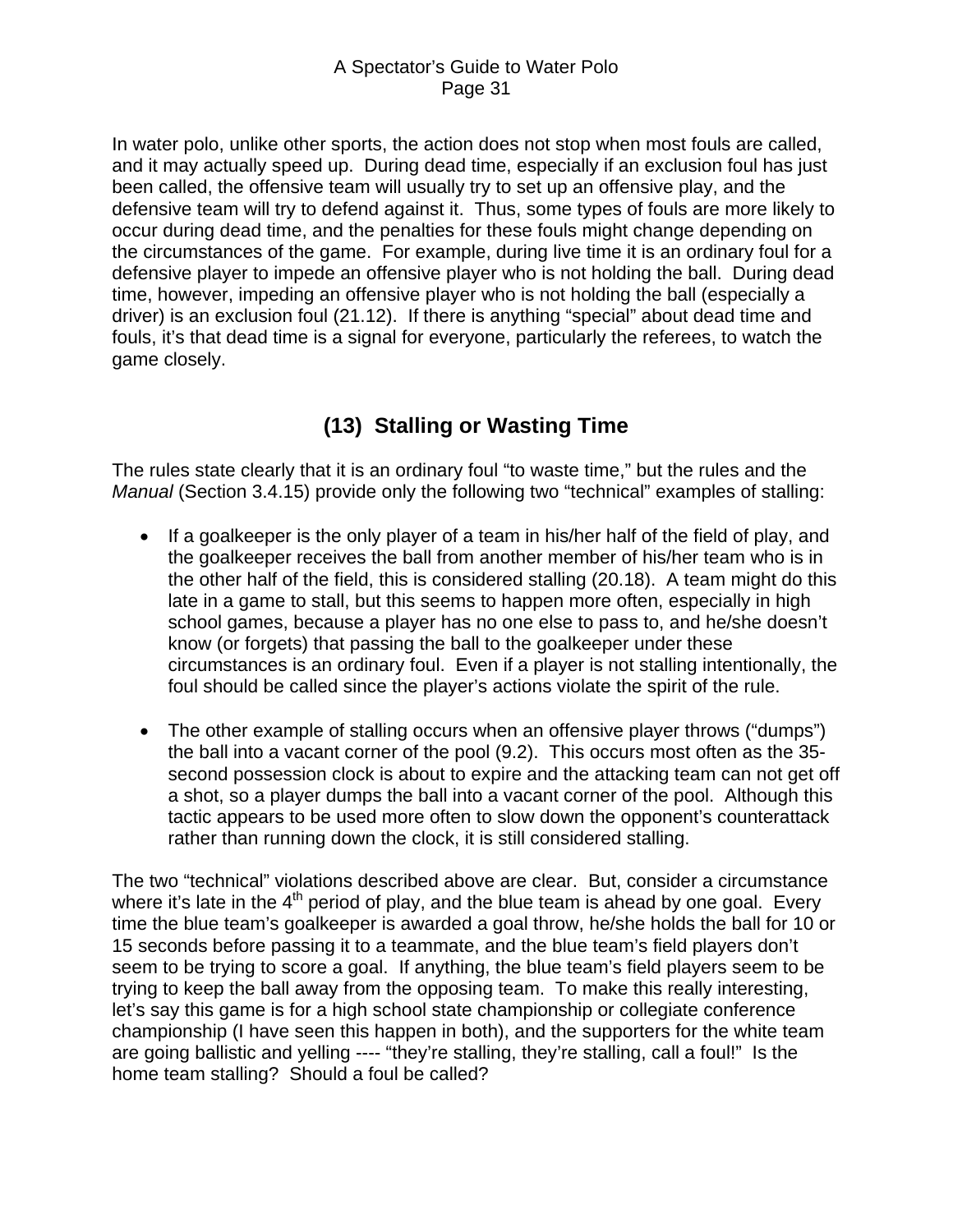<span id="page-30-0"></span>In water polo, unlike other sports, the action does not stop when most fouls are called, and it may actually speed up. During dead time, especially if an exclusion foul has just been called, the offensive team will usually try to set up an offensive play, and the defensive team will try to defend against it. Thus, some types of fouls are more likely to occur during dead time, and the penalties for these fouls might change depending on the circumstances of the game. For example, during live time it is an ordinary foul for a defensive player to impede an offensive player who is not holding the ball. During dead time, however, impeding an offensive player who is not holding the ball (especially a driver) is an exclusion foul (21.12). If there is anything "special" about dead time and fouls, it's that dead time is a signal for everyone, particularly the referees, to watch the game closely.

# **(13) Stalling or Wasting Time**

The rules state clearly that it is an ordinary foul "to waste time," but the rules and the *Manual* (Section 3.4.15) provide only the following two "technical" examples of stalling:

- If a goalkeeper is the only player of a team in his/her half of the field of play, and the goalkeeper receives the ball from another member of his/her team who is in the other half of the field, this is considered stalling (20.18). A team might do this late in a game to stall, but this seems to happen more often, especially in high school games, because a player has no one else to pass to, and he/she doesn't know (or forgets) that passing the ball to the goalkeeper under these circumstances is an ordinary foul. Even if a player is not stalling intentionally, the foul should be called since the player's actions violate the spirit of the rule.
- The other example of stalling occurs when an offensive player throws ("dumps") the ball into a vacant corner of the pool (9.2). This occurs most often as the 35 second possession clock is about to expire and the attacking team can not get off a shot, so a player dumps the ball into a vacant corner of the pool. Although this tactic appears to be used more often to slow down the opponent's counterattack rather than running down the clock, it is still considered stalling.

The two "technical" violations described above are clear. But, consider a circumstance where it's late in the  $4<sup>th</sup>$  period of play, and the blue team is ahead by one goal. Every time the blue team's goalkeeper is awarded a goal throw, he/she holds the ball for 10 or 15 seconds before passing it to a teammate, and the blue team's field players don't seem to be trying to score a goal. If anything, the blue team's field players seem to be trying to keep the ball away from the opposing team. To make this really interesting, let's say this game is for a high school state championship or collegiate conference championship (I have seen this happen in both), and the supporters for the white team are going ballistic and yelling ---- "they're stalling, they're stalling, call a foul!" Is the home team stalling? Should a foul be called?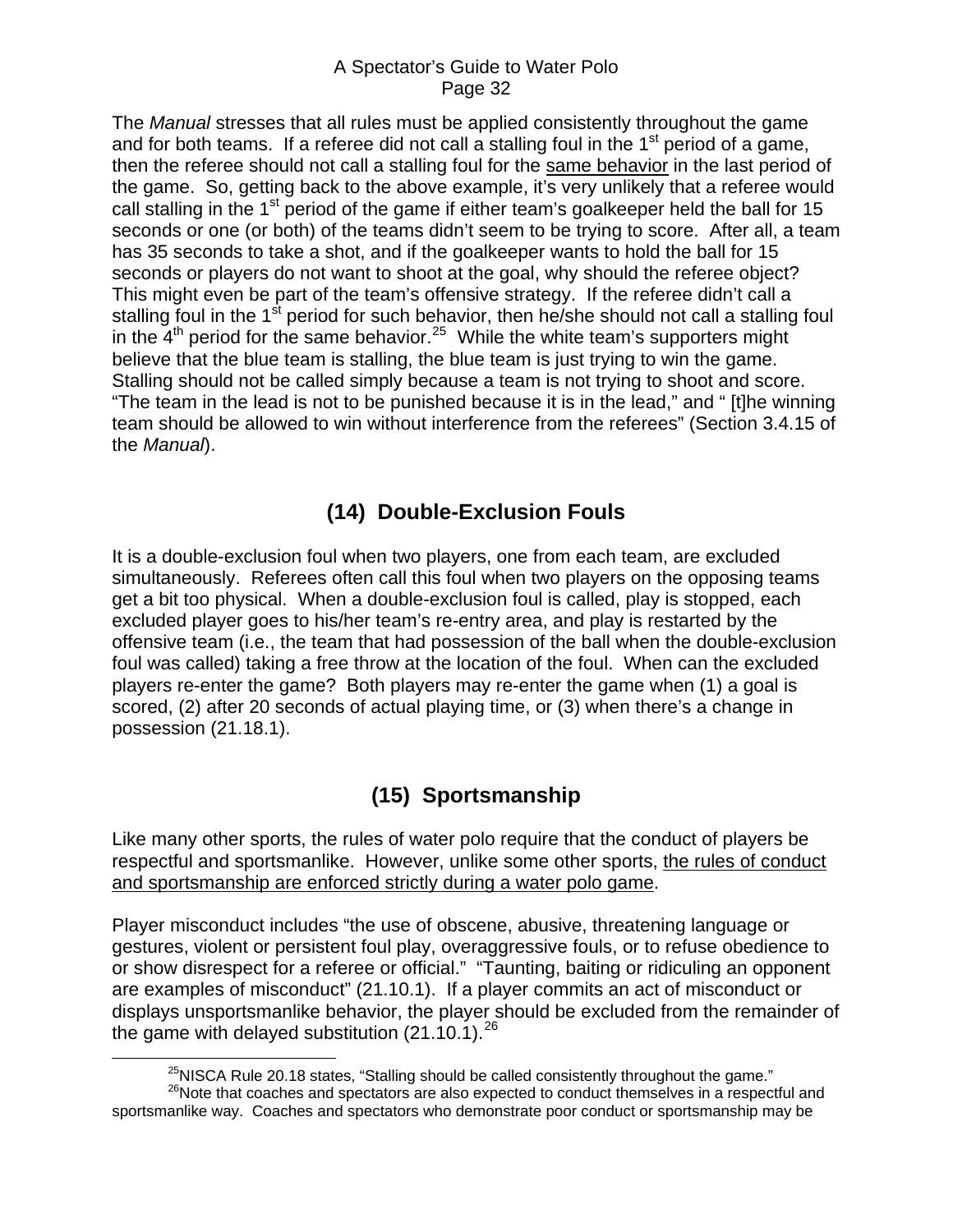<span id="page-31-0"></span>The *Manual* stresses that all rules must be applied consistently throughout the game and for both teams. If a referee did not call a stalling foul in the  $1<sup>st</sup>$  period of a game, then the referee should not call a stalling foul for the same behavior in the last period of the game. So, getting back to the above example, it's very unlikely that a referee would call stalling in the 1<sup>st</sup> period of the game if either team's goalkeeper held the ball for 15 seconds or one (or both) of the teams didn't seem to be trying to score. After all, a team has 35 seconds to take a shot, and if the goalkeeper wants to hold the ball for 15 seconds or players do not want to shoot at the goal, why should the referee object? This might even be part of the team's offensive strategy. If the referee didn't call a stalling foul in the 1<sup>st</sup> period for such behavior, then he/she should not call a stalling foul in the  $4<sup>th</sup>$  period for the same behavior.<sup>[25](#page-31-1)</sup> While the white team's supporters might believe that the blue team is stalling, the blue team is just trying to win the game. Stalling should not be called simply because a team is not trying to shoot and score. "The team in the lead is not to be punished because it is in the lead," and " [t]he winning team should be allowed to win without interference from the referees" (Section 3.4.15 of the *Manual*).

# **(14) Double-Exclusion Fouls**

It is a double-exclusion foul when two players, one from each team, are excluded simultaneously. Referees often call this foul when two players on the opposing teams get a bit too physical. When a double-exclusion foul is called, play is stopped, each excluded player goes to his/her team's re-entry area, and play is restarted by the offensive team (i.e., the team that had possession of the ball when the double-exclusion foul was called) taking a free throw at the location of the foul. When can the excluded players re-enter the game? Both players may re-enter the game when (1) a goal is scored, (2) after 20 seconds of actual playing time, or (3) when there's a change in possession (21.18.1).

# **(15) Sportsmanship**

Like many other sports, the rules of water polo require that the conduct of players be respectful and sportsmanlike. However, unlike some other sports, the rules of conduct and sportsmanship are enforced strictly during a water polo game.

Player misconduct includes "the use of obscene, abusive, threatening language or gestures, violent or persistent foul play, overaggressive fouls, or to refuse obedience to or show disrespect for a referee or official." "Taunting, baiting or ridiculing an opponent are examples of misconduct" (21.10.1). If a player commits an act of misconduct or displays unsportsmanlike behavior, the player should be excluded from the remainder of the game with delayed substitution  $(21.10.1).^{26}$  $(21.10.1).^{26}$  $(21.10.1).^{26}$ 

 $25$ NISCA Rule 20.18 states, "Stalling should be called consistently throughout the game."

<span id="page-31-2"></span><span id="page-31-1"></span><sup>&</sup>lt;sup>26</sup>Note that coaches and spectators are also expected to conduct themselves in a respectful and sportsmanlike way. Coaches and spectators who demonstrate poor conduct or sportsmanship may be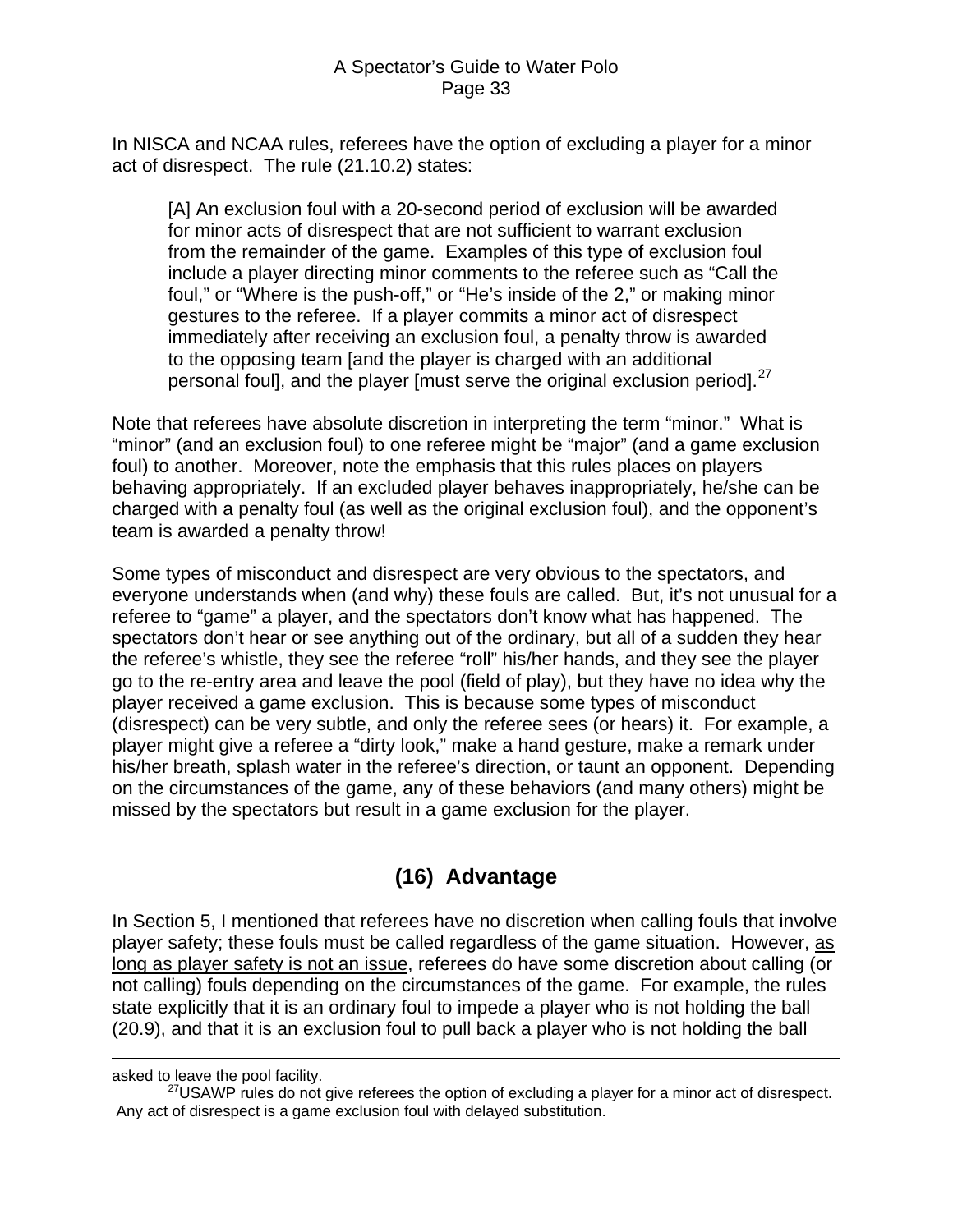<span id="page-32-0"></span>In NISCA and NCAA rules, referees have the option of excluding a player for a minor act of disrespect. The rule (21.10.2) states:

[A] An exclusion foul with a 20-second period of exclusion will be awarded for minor acts of disrespect that are not sufficient to warrant exclusion from the remainder of the game. Examples of this type of exclusion foul include a player directing minor comments to the referee such as "Call the foul," or "Where is the push-off," or "He's inside of the 2," or making minor gestures to the referee. If a player commits a minor act of disrespect immediately after receiving an exclusion foul, a penalty throw is awarded to the opposing team [and the player is charged with an additional personal foul], and the player [must serve the original exclusion period].<sup>[27](#page-32-1)</sup>

Note that referees have absolute discretion in interpreting the term "minor." What is "minor" (and an exclusion foul) to one referee might be "major" (and a game exclusion foul) to another. Moreover, note the emphasis that this rules places on players behaving appropriately. If an excluded player behaves inappropriately, he/she can be charged with a penalty foul (as well as the original exclusion foul), and the opponent's team is awarded a penalty throw!

Some types of misconduct and disrespect are very obvious to the spectators, and everyone understands when (and why) these fouls are called. But, it's not unusual for a referee to "game" a player, and the spectators don't know what has happened. The spectators don't hear or see anything out of the ordinary, but all of a sudden they hear the referee's whistle, they see the referee "roll" his/her hands, and they see the player go to the re-entry area and leave the pool (field of play), but they have no idea why the player received a game exclusion. This is because some types of misconduct (disrespect) can be very subtle, and only the referee sees (or hears) it. For example, a player might give a referee a "dirty look," make a hand gesture, make a remark under his/her breath, splash water in the referee's direction, or taunt an opponent. Depending on the circumstances of the game, any of these behaviors (and many others) might be missed by the spectators but result in a game exclusion for the player.

# **(16) Advantage**

In Section 5, I mentioned that referees have no discretion when calling fouls that involve player safety; these fouls must be called regardless of the game situation. However, as long as player safety is not an issue, referees do have some discretion about calling (or not calling) fouls depending on the circumstances of the game. For example, the rules state explicitly that it is an ordinary foul to impede a player who is not holding the ball (20.9), and that it is an exclusion foul to pull back a player who is not holding the ball

 $\overline{a}$ 

<span id="page-32-1"></span>asked to leave the pool facility.

 $^{27}$ USAWP rules do not give referees the option of excluding a player for a minor act of disrespect. Any act of disrespect is a game exclusion foul with delayed substitution.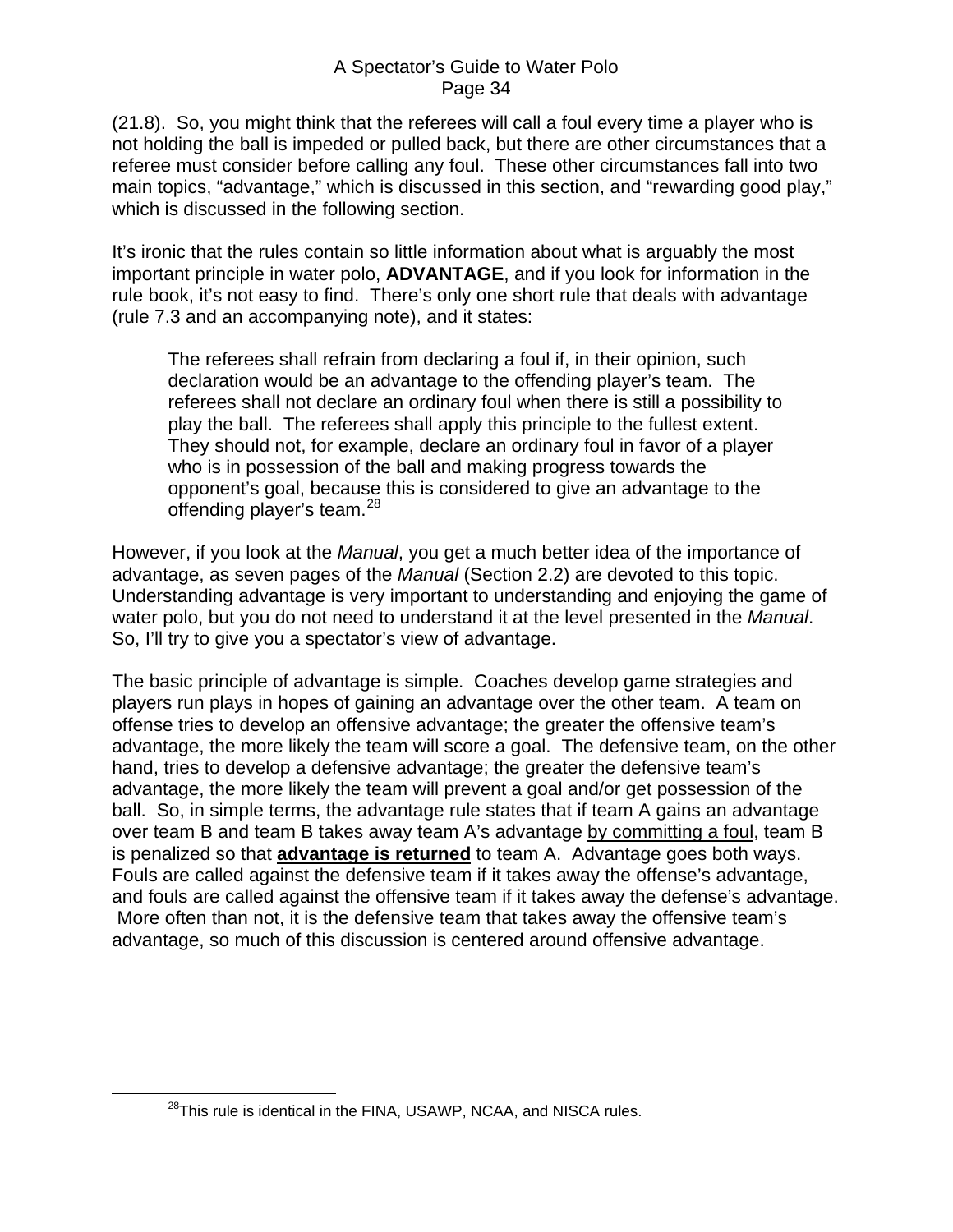(21.8). So, you might think that the referees will call a foul every time a player who is not holding the ball is impeded or pulled back, but there are other circumstances that a referee must consider before calling any foul. These other circumstances fall into two main topics, "advantage," which is discussed in this section, and "rewarding good play," which is discussed in the following section.

It's ironic that the rules contain so little information about what is arguably the most important principle in water polo, **ADVANTAGE**, and if you look for information in the rule book, it's not easy to find. There's only one short rule that deals with advantage (rule 7.3 and an accompanying note), and it states:

The referees shall refrain from declaring a foul if, in their opinion, such declaration would be an advantage to the offending player's team. The referees shall not declare an ordinary foul when there is still a possibility to play the ball. The referees shall apply this principle to the fullest extent. They should not, for example, declare an ordinary foul in favor of a player who is in possession of the ball and making progress towards the opponent's goal, because this is considered to give an advantage to the offending player's team.<sup>[28](#page-33-0)</sup>

However, if you look at the *Manual*, you get a much better idea of the importance of advantage, as seven pages of the *Manual* (Section 2.2) are devoted to this topic. Understanding advantage is very important to understanding and enjoying the game of water polo, but you do not need to understand it at the level presented in the *Manual*. So, I'll try to give you a spectator's view of advantage.

The basic principle of advantage is simple. Coaches develop game strategies and players run plays in hopes of gaining an advantage over the other team. A team on offense tries to develop an offensive advantage; the greater the offensive team's advantage, the more likely the team will score a goal. The defensive team, on the other hand, tries to develop a defensive advantage; the greater the defensive team's advantage, the more likely the team will prevent a goal and/or get possession of the ball. So, in simple terms, the advantage rule states that if team A gains an advantage over team B and team B takes away team A's advantage by committing a foul, team B is penalized so that **advantage is returned** to team A. Advantage goes both ways. Fouls are called against the defensive team if it takes away the offense's advantage, and fouls are called against the offensive team if it takes away the defense's advantage. More often than not, it is the defensive team that takes away the offensive team's advantage, so much of this discussion is centered around offensive advantage.

<span id="page-33-0"></span><sup>&</sup>lt;sup>28</sup>This rule is identical in the FINA, USAWP, NCAA, and NISCA rules.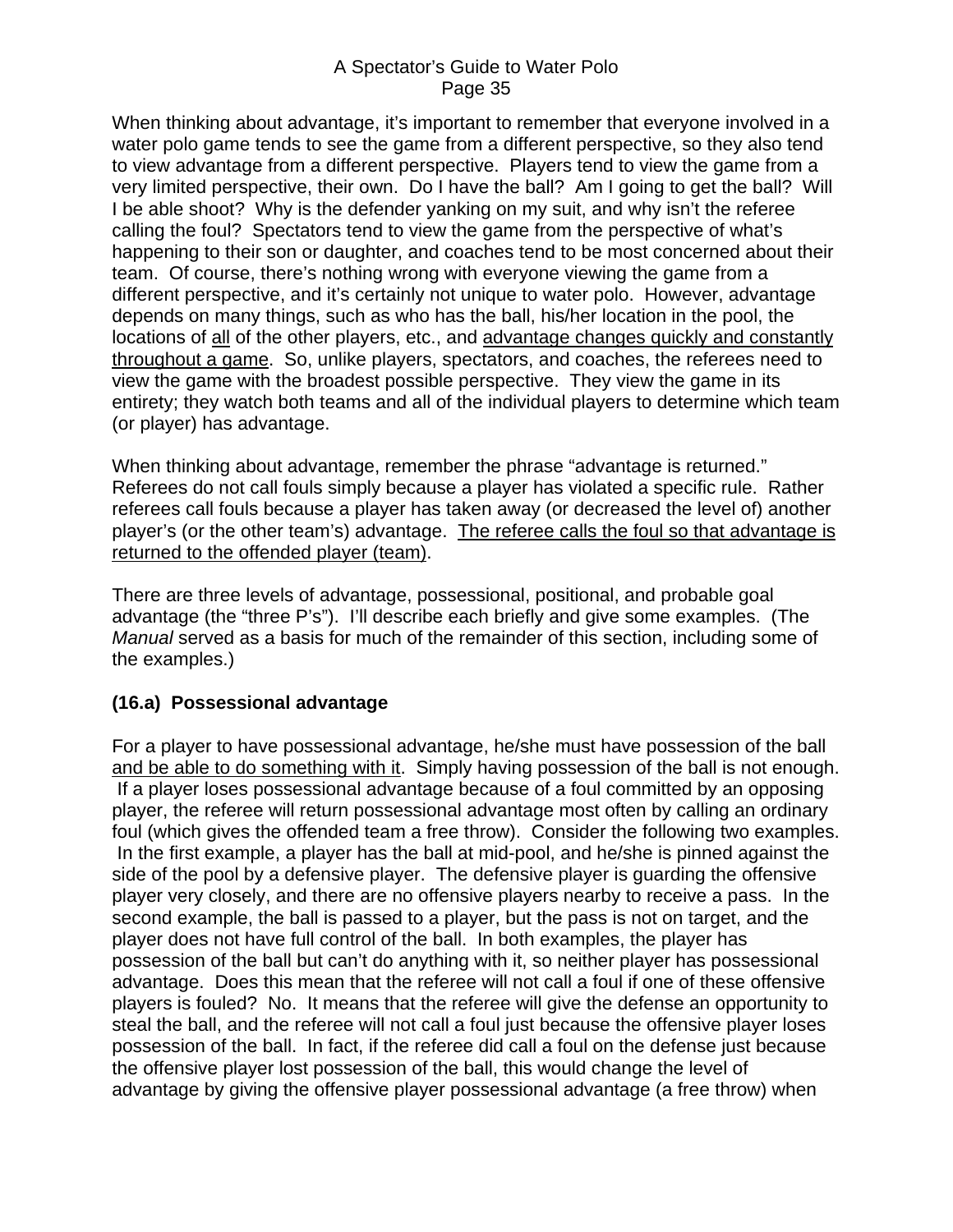<span id="page-34-0"></span>When thinking about advantage, it's important to remember that everyone involved in a water polo game tends to see the game from a different perspective, so they also tend to view advantage from a different perspective. Players tend to view the game from a very limited perspective, their own. Do I have the ball? Am I going to get the ball? Will I be able shoot? Why is the defender yanking on my suit, and why isn't the referee calling the foul? Spectators tend to view the game from the perspective of what's happening to their son or daughter, and coaches tend to be most concerned about their team. Of course, there's nothing wrong with everyone viewing the game from a different perspective, and it's certainly not unique to water polo. However, advantage depends on many things, such as who has the ball, his/her location in the pool, the locations of all of the other players, etc., and advantage changes quickly and constantly throughout a game. So, unlike players, spectators, and coaches, the referees need to view the game with the broadest possible perspective. They view the game in its entirety; they watch both teams and all of the individual players to determine which team (or player) has advantage.

When thinking about advantage, remember the phrase "advantage is returned." Referees do not call fouls simply because a player has violated a specific rule. Rather referees call fouls because a player has taken away (or decreased the level of) another player's (or the other team's) advantage. The referee calls the foul so that advantage is returned to the offended player (team).

There are three levels of advantage, possessional, positional, and probable goal advantage (the "three P's"). I'll describe each briefly and give some examples. (The *Manual* served as a basis for much of the remainder of this section, including some of the examples.)

### **(16.a) Possessional advantage**

For a player to have possessional advantage, he/she must have possession of the ball and be able to do something with it. Simply having possession of the ball is not enough. If a player loses possessional advantage because of a foul committed by an opposing player, the referee will return possessional advantage most often by calling an ordinary foul (which gives the offended team a free throw). Consider the following two examples. In the first example, a player has the ball at mid-pool, and he/she is pinned against the side of the pool by a defensive player. The defensive player is guarding the offensive player very closely, and there are no offensive players nearby to receive a pass. In the second example, the ball is passed to a player, but the pass is not on target, and the player does not have full control of the ball. In both examples, the player has possession of the ball but can't do anything with it, so neither player has possessional advantage. Does this mean that the referee will not call a foul if one of these offensive players is fouled? No. It means that the referee will give the defense an opportunity to steal the ball, and the referee will not call a foul just because the offensive player loses possession of the ball. In fact, if the referee did call a foul on the defense just because the offensive player lost possession of the ball, this would change the level of advantage by giving the offensive player possessional advantage (a free throw) when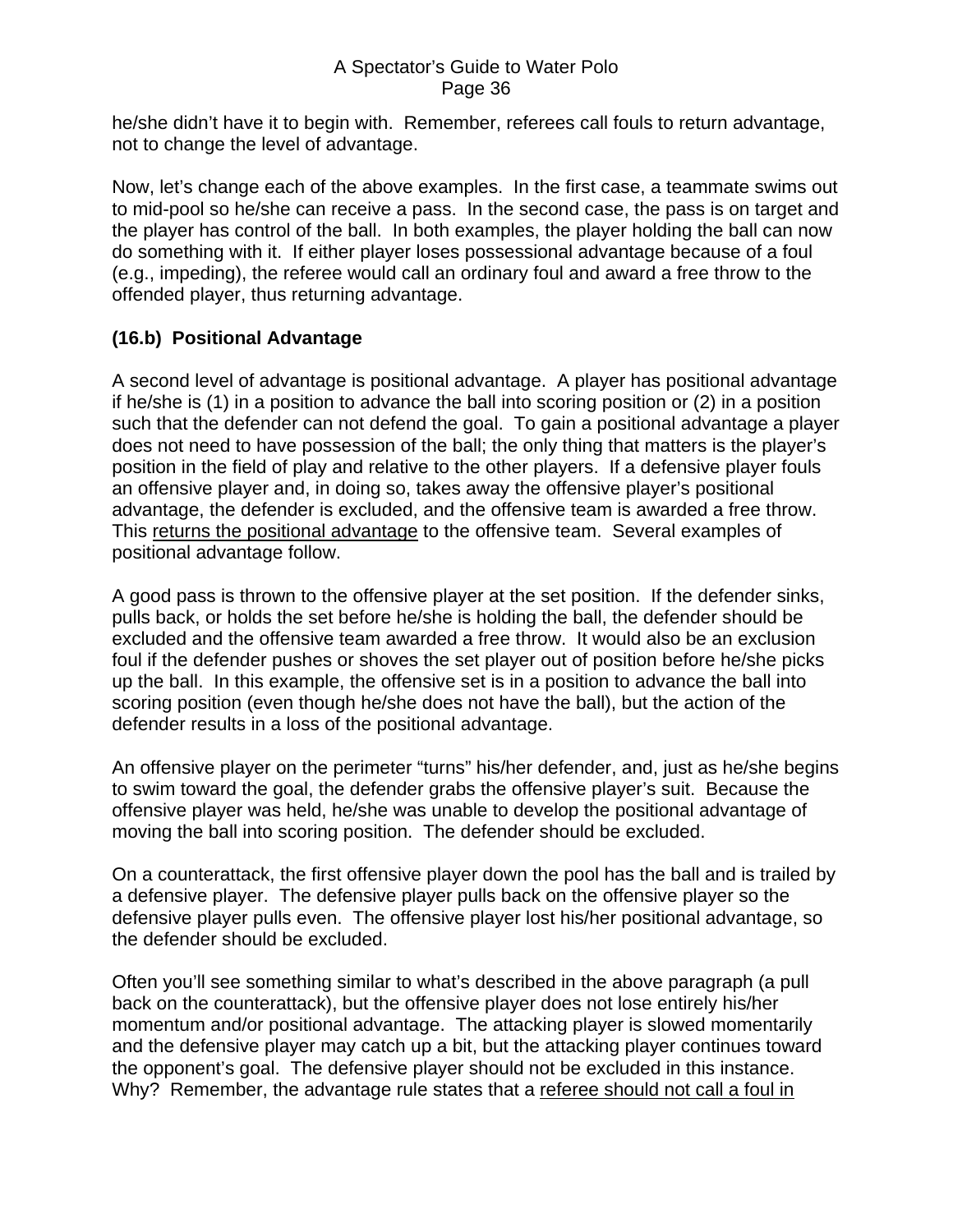<span id="page-35-0"></span>he/she didn't have it to begin with. Remember, referees call fouls to return advantage, not to change the level of advantage.

Now, let's change each of the above examples. In the first case, a teammate swims out to mid-pool so he/she can receive a pass. In the second case, the pass is on target and the player has control of the ball. In both examples, the player holding the ball can now do something with it. If either player loses possessional advantage because of a foul (e.g., impeding), the referee would call an ordinary foul and award a free throw to the offended player, thus returning advantage.

### **(16.b) Positional Advantage**

A second level of advantage is positional advantage. A player has positional advantage if he/she is (1) in a position to advance the ball into scoring position or (2) in a position such that the defender can not defend the goal. To gain a positional advantage a player does not need to have possession of the ball; the only thing that matters is the player's position in the field of play and relative to the other players. If a defensive player fouls an offensive player and, in doing so, takes away the offensive player's positional advantage, the defender is excluded, and the offensive team is awarded a free throw. This returns the positional advantage to the offensive team. Several examples of positional advantage follow.

A good pass is thrown to the offensive player at the set position. If the defender sinks, pulls back, or holds the set before he/she is holding the ball, the defender should be excluded and the offensive team awarded a free throw. It would also be an exclusion foul if the defender pushes or shoves the set player out of position before he/she picks up the ball. In this example, the offensive set is in a position to advance the ball into scoring position (even though he/she does not have the ball), but the action of the defender results in a loss of the positional advantage.

An offensive player on the perimeter "turns" his/her defender, and, just as he/she begins to swim toward the goal, the defender grabs the offensive player's suit. Because the offensive player was held, he/she was unable to develop the positional advantage of moving the ball into scoring position. The defender should be excluded.

On a counterattack, the first offensive player down the pool has the ball and is trailed by a defensive player. The defensive player pulls back on the offensive player so the defensive player pulls even. The offensive player lost his/her positional advantage, so the defender should be excluded.

Often you'll see something similar to what's described in the above paragraph (a pull back on the counterattack), but the offensive player does not lose entirely his/her momentum and/or positional advantage. The attacking player is slowed momentarily and the defensive player may catch up a bit, but the attacking player continues toward the opponent's goal. The defensive player should not be excluded in this instance. Why? Remember, the advantage rule states that a referee should not call a foul in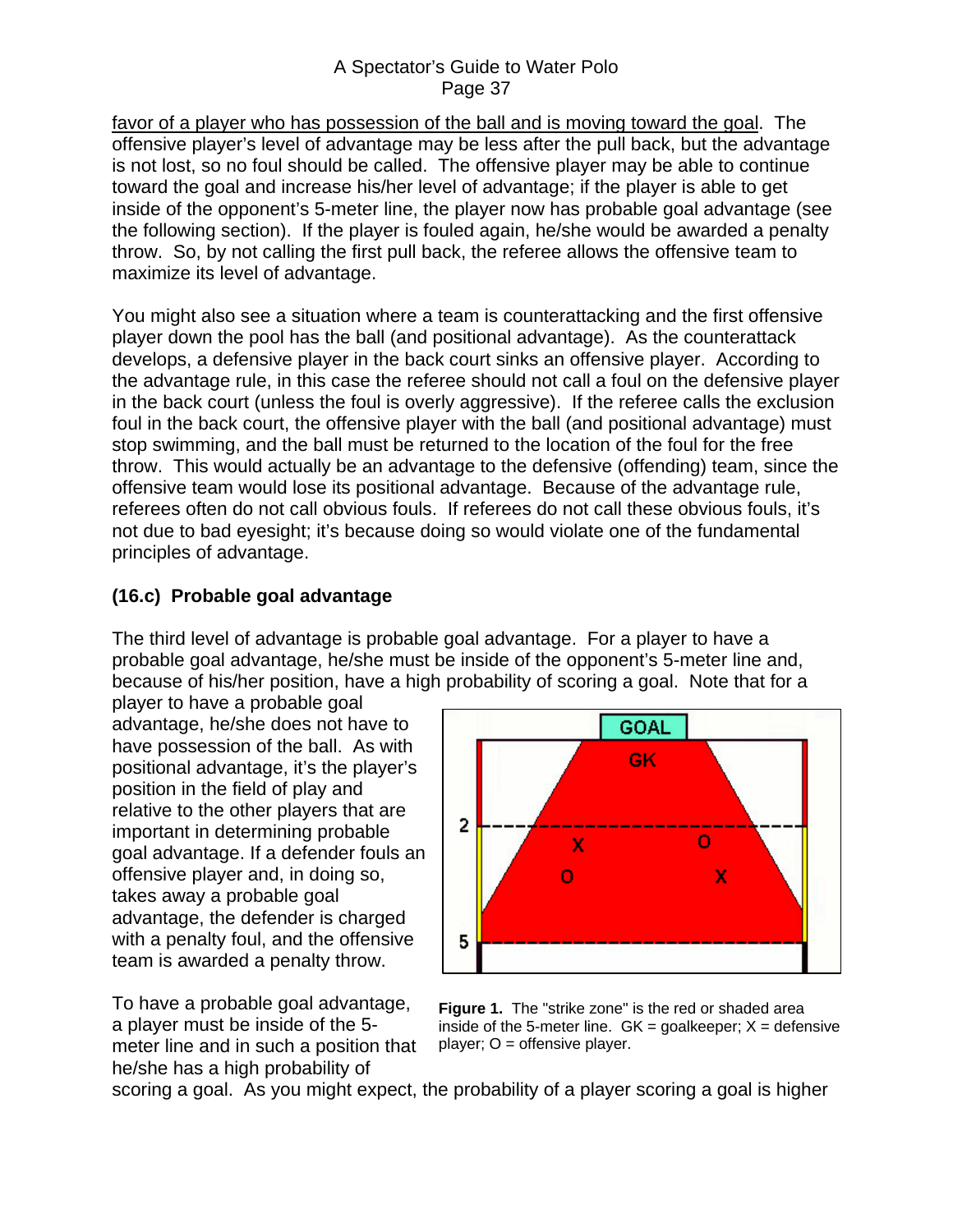<span id="page-36-0"></span>favor of a player who has possession of the ball and is moving toward the goal. The offensive player's level of advantage may be less after the pull back, but the advantage is not lost, so no foul should be called. The offensive player may be able to continue toward the goal and increase his/her level of advantage; if the player is able to get inside of the opponent's 5-meter line, the player now has probable goal advantage (see the following section). If the player is fouled again, he/she would be awarded a penalty throw. So, by not calling the first pull back, the referee allows the offensive team to maximize its level of advantage.

You might also see a situation where a team is counterattacking and the first offensive player down the pool has the ball (and positional advantage). As the counterattack develops, a defensive player in the back court sinks an offensive player. According to the advantage rule, in this case the referee should not call a foul on the defensive player in the back court (unless the foul is overly aggressive). If the referee calls the exclusion foul in the back court, the offensive player with the ball (and positional advantage) must stop swimming, and the ball must be returned to the location of the foul for the free throw. This would actually be an advantage to the defensive (offending) team, since the offensive team would lose its positional advantage. Because of the advantage rule, referees often do not call obvious fouls. If referees do not call these obvious fouls, it's not due to bad eyesight; it's because doing so would violate one of the fundamental principles of advantage.

## **(16.c) Probable goal advantage**

The third level of advantage is probable goal advantage. For a player to have a probable goal advantage, he/she must be inside of the opponent's 5-meter line and, because of his/her position, have a high probability of scoring a goal. Note that for a

player to have a probable goal advantage, he/she does not have to have possession of the ball. As with positional advantage, it's the player's position in the field of play and relative to the other players that are important in determining probable goal advantage. If a defender fouls an offensive player and, in doing so, takes away a probable goal advantage, the defender is charged with a penalty foul, and the offensive team is awarded a penalty throw.

To have a probable goal advantage, a player must be inside of the 5 meter line and in such a position that he/she has a high probability of



**Figure 1.** The "strike zone" is the red or shaded area inside of the 5-meter line.  $GK = \text{goalkeeper}$ ;  $X = \text{defensive}$ player; O = offensive player.

scoring a goal. As you might expect, the probability of a player scoring a goal is higher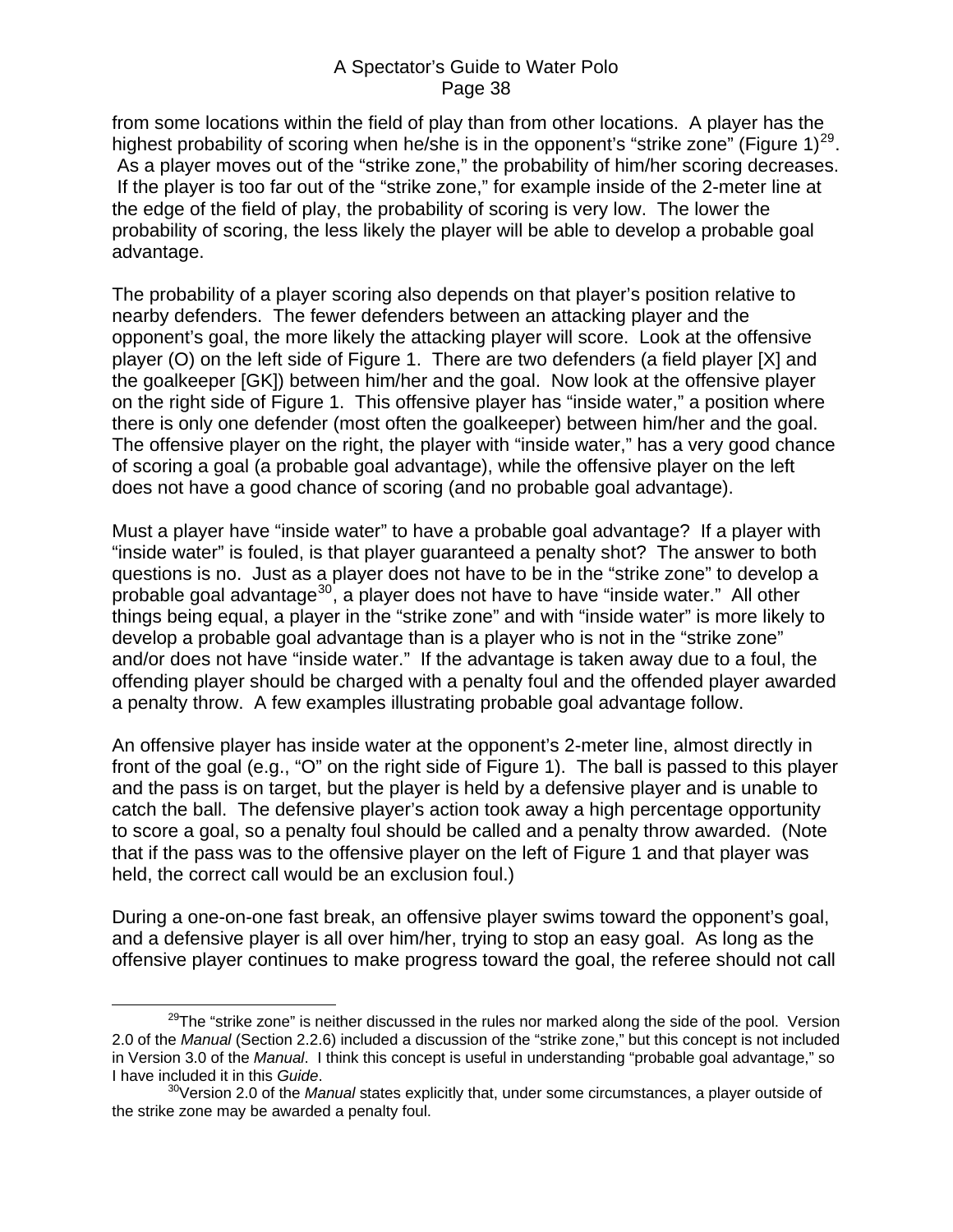from some locations within the field of play than from other locations. A player has the highest probability of scoring when he/she is in the opponent's "strike zone" (Figure  $1)^{29}$  $1)^{29}$  $1)^{29}$ . As a player moves out of the "strike zone," the probability of him/her scoring decreases. If the player is too far out of the "strike zone," for example inside of the 2-meter line at the edge of the field of play, the probability of scoring is very low. The lower the probability of scoring, the less likely the player will be able to develop a probable goal advantage.

The probability of a player scoring also depends on that player's position relative to nearby defenders. The fewer defenders between an attacking player and the opponent's goal, the more likely the attacking player will score. Look at the offensive player (O) on the left side of Figure 1. There are two defenders (a field player [X] and the goalkeeper [GK]) between him/her and the goal. Now look at the offensive player on the right side of Figure 1. This offensive player has "inside water," a position where there is only one defender (most often the goalkeeper) between him/her and the goal. The offensive player on the right, the player with "inside water," has a very good chance of scoring a goal (a probable goal advantage), while the offensive player on the left does not have a good chance of scoring (and no probable goal advantage).

Must a player have "inside water" to have a probable goal advantage? If a player with "inside water" is fouled, is that player guaranteed a penalty shot? The answer to both questions is no. Just as a player does not have to be in the "strike zone" to develop a probable goal advantage<sup>[30](#page-37-1)</sup>, a player does not have to have "inside water." All other things being equal, a player in the "strike zone" and with "inside water" is more likely to develop a probable goal advantage than is a player who is not in the "strike zone" and/or does not have "inside water." If the advantage is taken away due to a foul, the offending player should be charged with a penalty foul and the offended player awarded a penalty throw. A few examples illustrating probable goal advantage follow.

An offensive player has inside water at the opponent's 2-meter line, almost directly in front of the goal (e.g., "O" on the right side of Figure 1). The ball is passed to this player and the pass is on target, but the player is held by a defensive player and is unable to catch the ball. The defensive player's action took away a high percentage opportunity to score a goal, so a penalty foul should be called and a penalty throw awarded. (Note that if the pass was to the offensive player on the left of Figure 1 and that player was held, the correct call would be an exclusion foul.)

During a one-on-one fast break, an offensive player swims toward the opponent's goal, and a defensive player is all over him/her, trying to stop an easy goal. As long as the offensive player continues to make progress toward the goal, the referee should not call

<span id="page-37-0"></span> $29$ The "strike zone" is neither discussed in the rules nor marked along the side of the pool. Version 2.0 of the *Manual* (Section 2.2.6) included a discussion of the "strike zone," but this concept is not included in Version 3.0 of the *Manual*. I think this concept is useful in understanding "probable goal advantage," so I have included it in this *Guide*. 30Version 2.0 of the *Manual* states explicitly that, under some circumstances, a player outside of

<span id="page-37-1"></span>the strike zone may be awarded a penalty foul.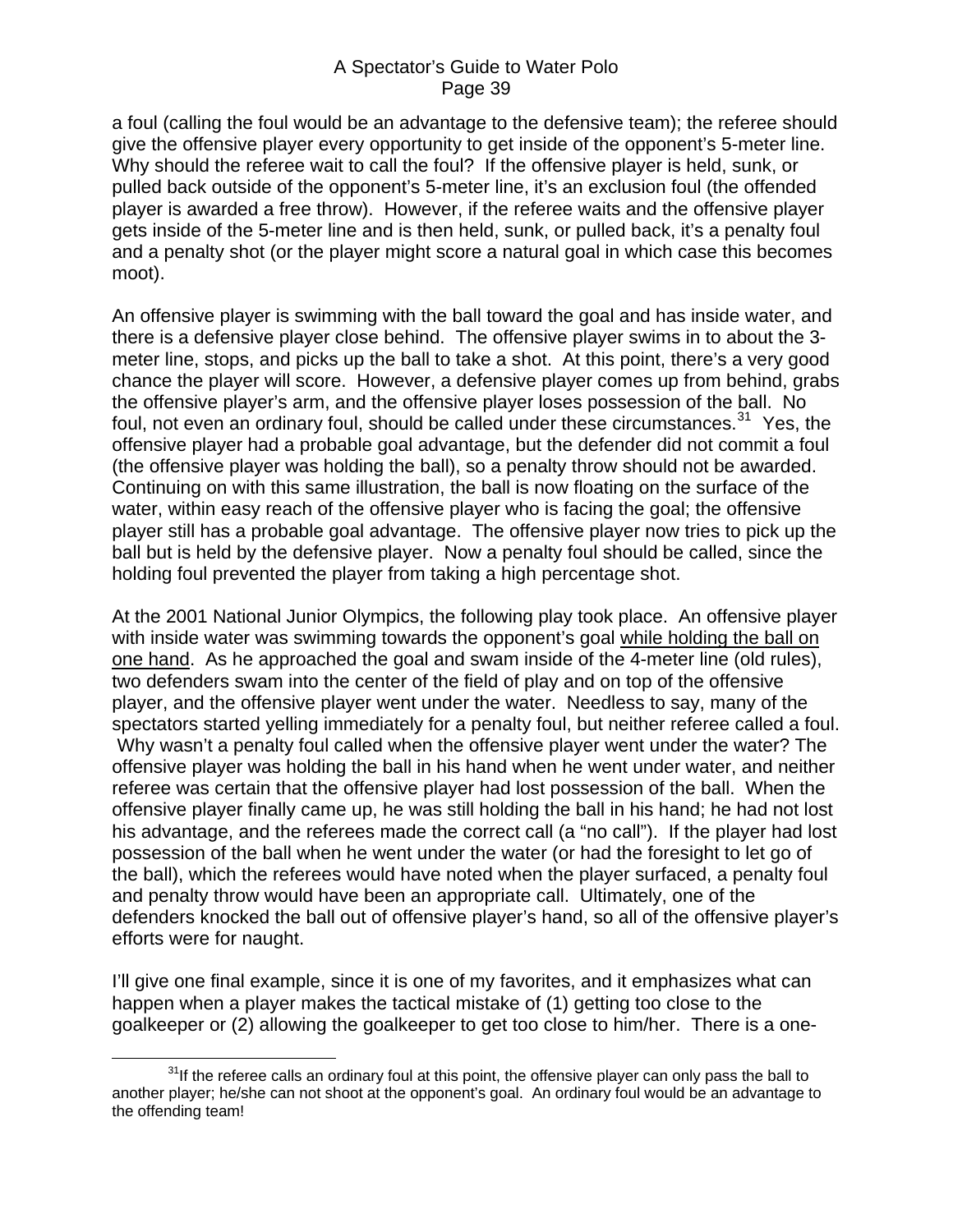a foul (calling the foul would be an advantage to the defensive team); the referee should give the offensive player every opportunity to get inside of the opponent's 5-meter line. Why should the referee wait to call the foul? If the offensive player is held, sunk, or pulled back outside of the opponent's 5-meter line, it's an exclusion foul (the offended player is awarded a free throw). However, if the referee waits and the offensive player gets inside of the 5-meter line and is then held, sunk, or pulled back, it's a penalty foul and a penalty shot (or the player might score a natural goal in which case this becomes moot).

An offensive player is swimming with the ball toward the goal and has inside water, and there is a defensive player close behind. The offensive player swims in to about the 3 meter line, stops, and picks up the ball to take a shot. At this point, there's a very good chance the player will score. However, a defensive player comes up from behind, grabs the offensive player's arm, and the offensive player loses possession of the ball. No foul, not even an ordinary foul, should be called under these circumstances.<sup>[31](#page-38-0)</sup> Yes, the offensive player had a probable goal advantage, but the defender did not commit a foul (the offensive player was holding the ball), so a penalty throw should not be awarded. Continuing on with this same illustration, the ball is now floating on the surface of the water, within easy reach of the offensive player who is facing the goal; the offensive player still has a probable goal advantage. The offensive player now tries to pick up the ball but is held by the defensive player. Now a penalty foul should be called, since the holding foul prevented the player from taking a high percentage shot.

At the 2001 National Junior Olympics, the following play took place. An offensive player with inside water was swimming towards the opponent's goal while holding the ball on one hand. As he approached the goal and swam inside of the 4-meter line (old rules), two defenders swam into the center of the field of play and on top of the offensive player, and the offensive player went under the water. Needless to say, many of the spectators started yelling immediately for a penalty foul, but neither referee called a foul. Why wasn't a penalty foul called when the offensive player went under the water? The offensive player was holding the ball in his hand when he went under water, and neither referee was certain that the offensive player had lost possession of the ball. When the offensive player finally came up, he was still holding the ball in his hand; he had not lost his advantage, and the referees made the correct call (a "no call"). If the player had lost possession of the ball when he went under the water (or had the foresight to let go of the ball), which the referees would have noted when the player surfaced, a penalty foul and penalty throw would have been an appropriate call. Ultimately, one of the defenders knocked the ball out of offensive player's hand, so all of the offensive player's efforts were for naught.

I'll give one final example, since it is one of my favorites, and it emphasizes what can happen when a player makes the tactical mistake of (1) getting too close to the goalkeeper or (2) allowing the goalkeeper to get too close to him/her. There is a one-

<span id="page-38-0"></span> $31$ If the referee calls an ordinary foul at this point, the offensive player can only pass the ball to another player; he/she can not shoot at the opponent's goal. An ordinary foul would be an advantage to the offending team!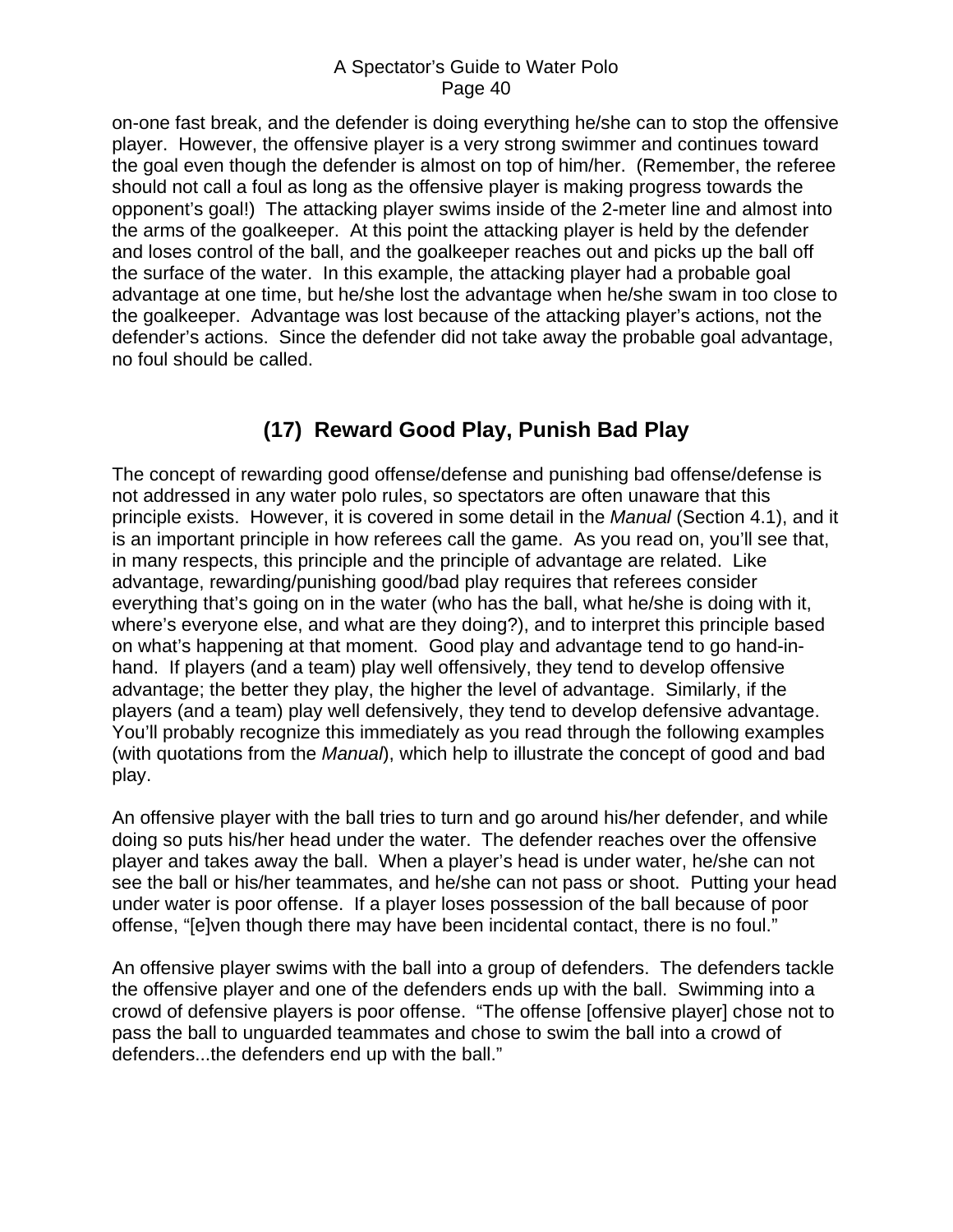<span id="page-39-0"></span>on-one fast break, and the defender is doing everything he/she can to stop the offensive player. However, the offensive player is a very strong swimmer and continues toward the goal even though the defender is almost on top of him/her. (Remember, the referee should not call a foul as long as the offensive player is making progress towards the opponent's goal!) The attacking player swims inside of the 2-meter line and almost into the arms of the goalkeeper. At this point the attacking player is held by the defender and loses control of the ball, and the goalkeeper reaches out and picks up the ball off the surface of the water. In this example, the attacking player had a probable goal advantage at one time, but he/she lost the advantage when he/she swam in too close to the goalkeeper. Advantage was lost because of the attacking player's actions, not the defender's actions. Since the defender did not take away the probable goal advantage, no foul should be called.

# **(17) Reward Good Play, Punish Bad Play**

The concept of rewarding good offense/defense and punishing bad offense/defense is not addressed in any water polo rules, so spectators are often unaware that this principle exists. However, it is covered in some detail in the *Manual* (Section 4.1), and it is an important principle in how referees call the game. As you read on, you'll see that, in many respects, this principle and the principle of advantage are related. Like advantage, rewarding/punishing good/bad play requires that referees consider everything that's going on in the water (who has the ball, what he/she is doing with it, where's everyone else, and what are they doing?), and to interpret this principle based on what's happening at that moment. Good play and advantage tend to go hand-inhand. If players (and a team) play well offensively, they tend to develop offensive advantage; the better they play, the higher the level of advantage. Similarly, if the players (and a team) play well defensively, they tend to develop defensive advantage. You'll probably recognize this immediately as you read through the following examples (with quotations from the *Manual*), which help to illustrate the concept of good and bad play.

An offensive player with the ball tries to turn and go around his/her defender, and while doing so puts his/her head under the water. The defender reaches over the offensive player and takes away the ball. When a player's head is under water, he/she can not see the ball or his/her teammates, and he/she can not pass or shoot. Putting your head under water is poor offense. If a player loses possession of the ball because of poor offense, "[e]ven though there may have been incidental contact, there is no foul."

An offensive player swims with the ball into a group of defenders. The defenders tackle the offensive player and one of the defenders ends up with the ball. Swimming into a crowd of defensive players is poor offense. "The offense [offensive player] chose not to pass the ball to unguarded teammates and chose to swim the ball into a crowd of defenders...the defenders end up with the ball."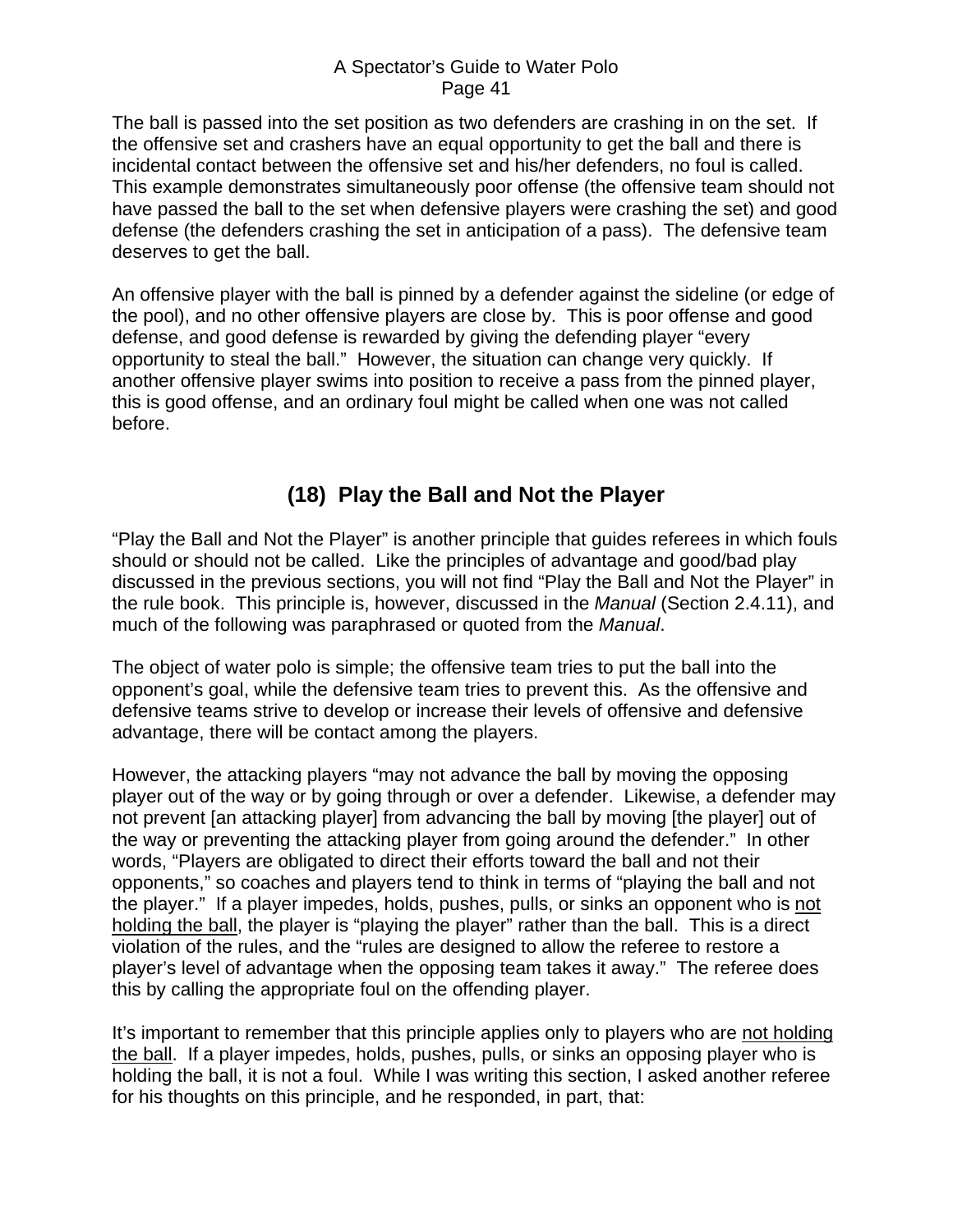<span id="page-40-0"></span>The ball is passed into the set position as two defenders are crashing in on the set. If the offensive set and crashers have an equal opportunity to get the ball and there is incidental contact between the offensive set and his/her defenders, no foul is called. This example demonstrates simultaneously poor offense (the offensive team should not have passed the ball to the set when defensive players were crashing the set) and good defense (the defenders crashing the set in anticipation of a pass). The defensive team deserves to get the ball.

An offensive player with the ball is pinned by a defender against the sideline (or edge of the pool), and no other offensive players are close by. This is poor offense and good defense, and good defense is rewarded by giving the defending player "every opportunity to steal the ball." However, the situation can change very quickly. If another offensive player swims into position to receive a pass from the pinned player, this is good offense, and an ordinary foul might be called when one was not called before.

# **(18) Play the Ball and Not the Player**

"Play the Ball and Not the Player" is another principle that guides referees in which fouls should or should not be called. Like the principles of advantage and good/bad play discussed in the previous sections, you will not find "Play the Ball and Not the Player" in the rule book. This principle is, however, discussed in the *Manual* (Section 2.4.11), and much of the following was paraphrased or quoted from the *Manual*.

The object of water polo is simple; the offensive team tries to put the ball into the opponent's goal, while the defensive team tries to prevent this. As the offensive and defensive teams strive to develop or increase their levels of offensive and defensive advantage, there will be contact among the players.

However, the attacking players "may not advance the ball by moving the opposing player out of the way or by going through or over a defender. Likewise, a defender may not prevent [an attacking player] from advancing the ball by moving [the player] out of the way or preventing the attacking player from going around the defender." In other words, "Players are obligated to direct their efforts toward the ball and not their opponents," so coaches and players tend to think in terms of "playing the ball and not the player." If a player impedes, holds, pushes, pulls, or sinks an opponent who is not holding the ball, the player is "playing the player" rather than the ball. This is a direct violation of the rules, and the "rules are designed to allow the referee to restore a player's level of advantage when the opposing team takes it away." The referee does this by calling the appropriate foul on the offending player.

It's important to remember that this principle applies only to players who are not holding the ball. If a player impedes, holds, pushes, pulls, or sinks an opposing player who is holding the ball, it is not a foul. While I was writing this section, I asked another referee for his thoughts on this principle, and he responded, in part, that: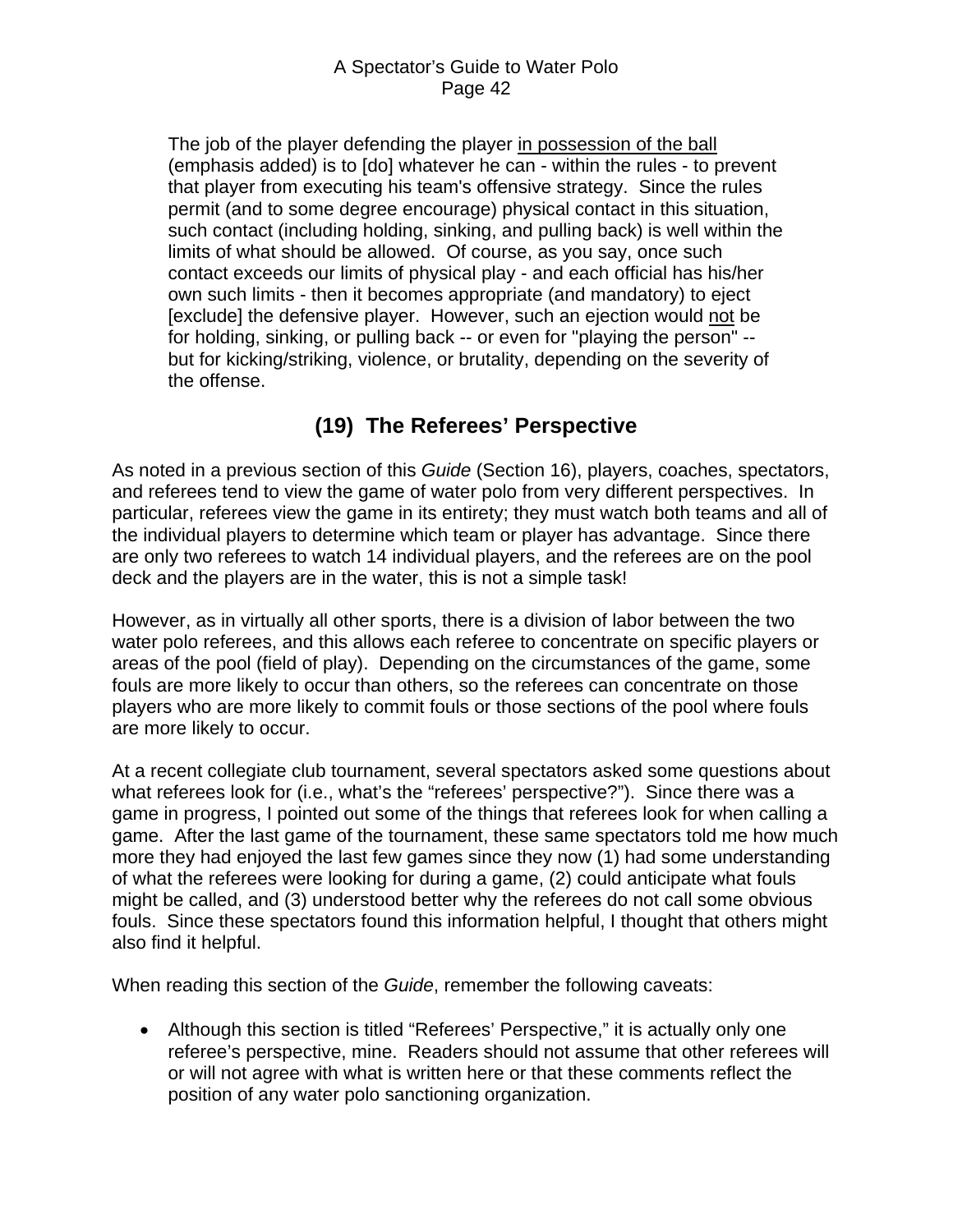<span id="page-41-0"></span>The job of the player defending the player in possession of the ball (emphasis added) is to [do] whatever he can - within the rules - to prevent that player from executing his team's offensive strategy. Since the rules permit (and to some degree encourage) physical contact in this situation, such contact (including holding, sinking, and pulling back) is well within the limits of what should be allowed. Of course, as you say, once such contact exceeds our limits of physical play - and each official has his/her own such limits - then it becomes appropriate (and mandatory) to eject [exclude] the defensive player. However, such an ejection would not be for holding, sinking, or pulling back -- or even for "playing the person" - but for kicking/striking, violence, or brutality, depending on the severity of the offense.

# **(19) The Referees' Perspective**

As noted in a previous section of this *Guide* (Section 16), players, coaches, spectators, and referees tend to view the game of water polo from very different perspectives. In particular, referees view the game in its entirety; they must watch both teams and all of the individual players to determine which team or player has advantage. Since there are only two referees to watch 14 individual players, and the referees are on the pool deck and the players are in the water, this is not a simple task!

However, as in virtually all other sports, there is a division of labor between the two water polo referees, and this allows each referee to concentrate on specific players or areas of the pool (field of play). Depending on the circumstances of the game, some fouls are more likely to occur than others, so the referees can concentrate on those players who are more likely to commit fouls or those sections of the pool where fouls are more likely to occur.

At a recent collegiate club tournament, several spectators asked some questions about what referees look for (i.e., what's the "referees' perspective?"). Since there was a game in progress, I pointed out some of the things that referees look for when calling a game. After the last game of the tournament, these same spectators told me how much more they had enjoyed the last few games since they now (1) had some understanding of what the referees were looking for during a game, (2) could anticipate what fouls might be called, and (3) understood better why the referees do not call some obvious fouls. Since these spectators found this information helpful, I thought that others might also find it helpful.

When reading this section of the *Guide*, remember the following caveats:

• Although this section is titled "Referees' Perspective," it is actually only one referee's perspective, mine. Readers should not assume that other referees will or will not agree with what is written here or that these comments reflect the position of any water polo sanctioning organization.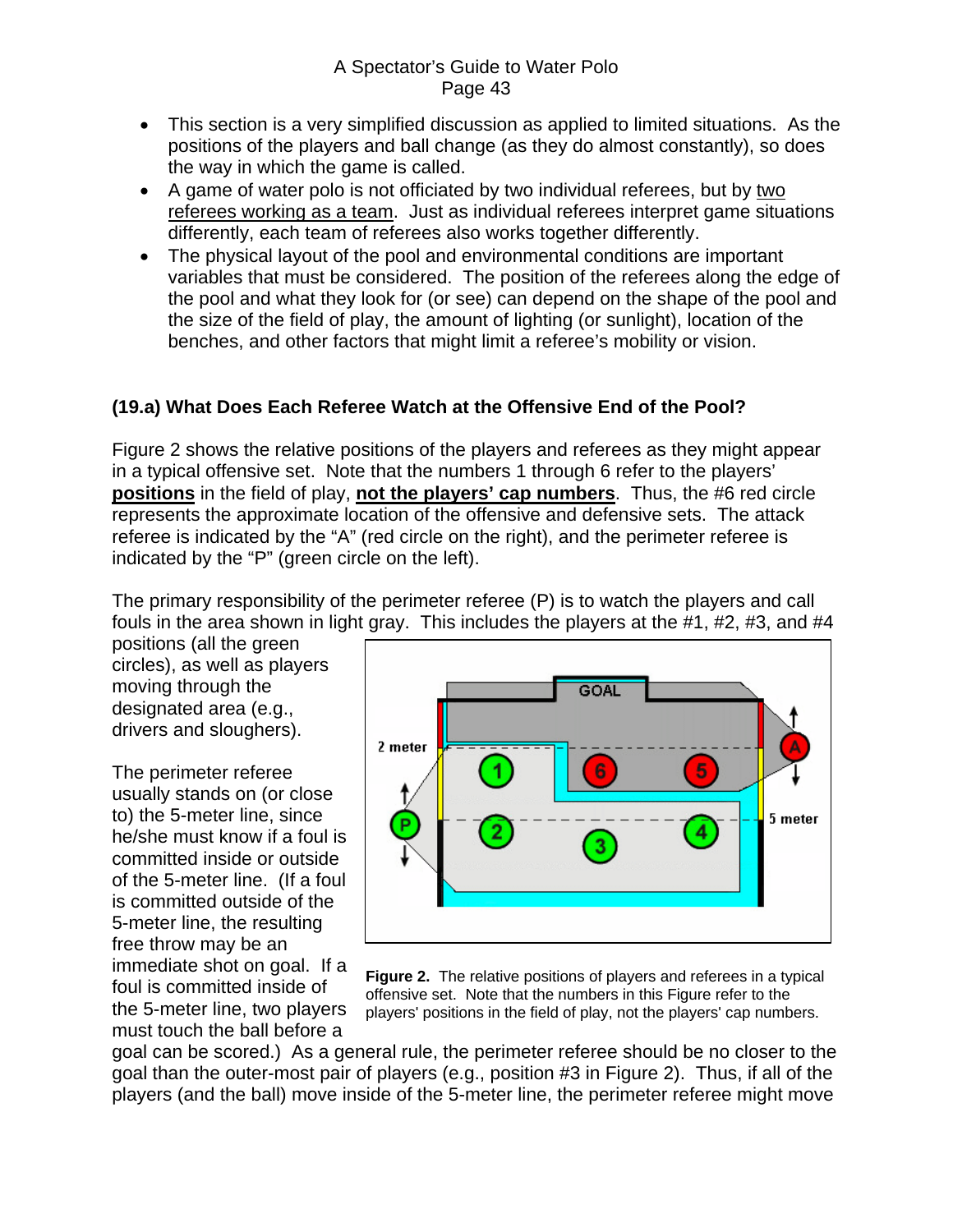- <span id="page-42-0"></span>• This section is a very simplified discussion as applied to limited situations. As the positions of the players and ball change (as they do almost constantly), so does the way in which the game is called.
- A game of water polo is not officiated by two individual referees, but by two referees working as a team. Just as individual referees interpret game situations differently, each team of referees also works together differently.
- The physical layout of the pool and environmental conditions are important variables that must be considered. The position of the referees along the edge of the pool and what they look for (or see) can depend on the shape of the pool and the size of the field of play, the amount of lighting (or sunlight), location of the benches, and other factors that might limit a referee's mobility or vision.

### **(19.a) What Does Each Referee Watch at the Offensive End of the Pool?**

Figure 2 shows the relative positions of the players and referees as they might appear in a typical offensive set. Note that the numbers 1 through 6 refer to the players' **positions** in the field of play, **not the players' cap numbers**. Thus, the #6 red circle represents the approximate location of the offensive and defensive sets. The attack referee is indicated by the "A" (red circle on the right), and the perimeter referee is indicated by the "P" (green circle on the left).

The primary responsibility of the perimeter referee (P) is to watch the players and call fouls in the area shown in light gray. This includes the players at the #1, #2, #3, and #4

positions (all the green circles), as well as players moving through the designated area (e.g., drivers and sloughers).

The perimeter referee usually stands on (or close to) the 5-meter line, since he/she must know if a foul is committed inside or outside of the 5-meter line. (If a foul is committed outside of the 5-meter line, the resulting free throw may be an immediate shot on goal. If a foul is committed inside of the 5-meter line, two players

must touch the ball before a



**Figure 2.** The relative positions of players and referees in a typical offensive set. Note that the numbers in this Figure refer to the players' positions in the field of play, not the players' cap numbers.

goal can be scored.) As a general rule, the perimeter referee should be no closer to the goal than the outer-most pair of players (e.g., position #3 in Figure 2). Thus, if all of the players (and the ball) move inside of the 5-meter line, the perimeter referee might move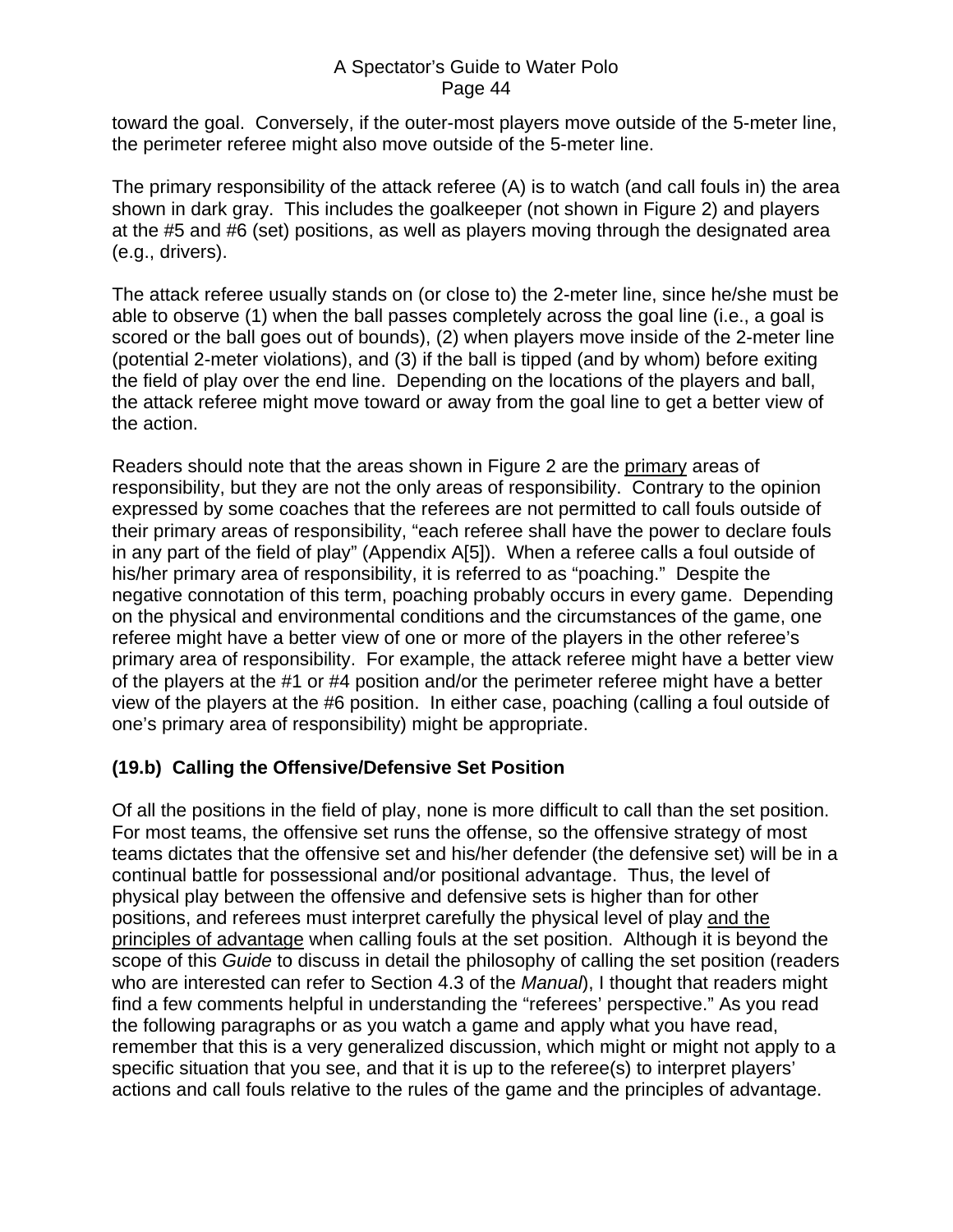<span id="page-43-0"></span>toward the goal. Conversely, if the outer-most players move outside of the 5-meter line, the perimeter referee might also move outside of the 5-meter line.

The primary responsibility of the attack referee (A) is to watch (and call fouls in) the area shown in dark gray. This includes the goalkeeper (not shown in Figure 2) and players at the #5 and #6 (set) positions, as well as players moving through the designated area (e.g., drivers).

The attack referee usually stands on (or close to) the 2-meter line, since he/she must be able to observe (1) when the ball passes completely across the goal line (i.e., a goal is scored or the ball goes out of bounds), (2) when players move inside of the 2-meter line (potential 2-meter violations), and (3) if the ball is tipped (and by whom) before exiting the field of play over the end line. Depending on the locations of the players and ball, the attack referee might move toward or away from the goal line to get a better view of the action.

Readers should note that the areas shown in Figure 2 are the primary areas of responsibility, but they are not the only areas of responsibility. Contrary to the opinion expressed by some coaches that the referees are not permitted to call fouls outside of their primary areas of responsibility, "each referee shall have the power to declare fouls in any part of the field of play" (Appendix A[5]). When a referee calls a foul outside of his/her primary area of responsibility, it is referred to as "poaching." Despite the negative connotation of this term, poaching probably occurs in every game. Depending on the physical and environmental conditions and the circumstances of the game, one referee might have a better view of one or more of the players in the other referee's primary area of responsibility. For example, the attack referee might have a better view of the players at the #1 or #4 position and/or the perimeter referee might have a better view of the players at the #6 position. In either case, poaching (calling a foul outside of one's primary area of responsibility) might be appropriate.

## **(19.b) Calling the Offensive/Defensive Set Position**

Of all the positions in the field of play, none is more difficult to call than the set position. For most teams, the offensive set runs the offense, so the offensive strategy of most teams dictates that the offensive set and his/her defender (the defensive set) will be in a continual battle for possessional and/or positional advantage. Thus, the level of physical play between the offensive and defensive sets is higher than for other positions, and referees must interpret carefully the physical level of play and the principles of advantage when calling fouls at the set position. Although it is beyond the scope of this *Guide* to discuss in detail the philosophy of calling the set position (readers who are interested can refer to Section 4.3 of the *Manual*), I thought that readers might find a few comments helpful in understanding the "referees' perspective." As you read the following paragraphs or as you watch a game and apply what you have read, remember that this is a very generalized discussion, which might or might not apply to a specific situation that you see, and that it is up to the referee(s) to interpret players' actions and call fouls relative to the rules of the game and the principles of advantage.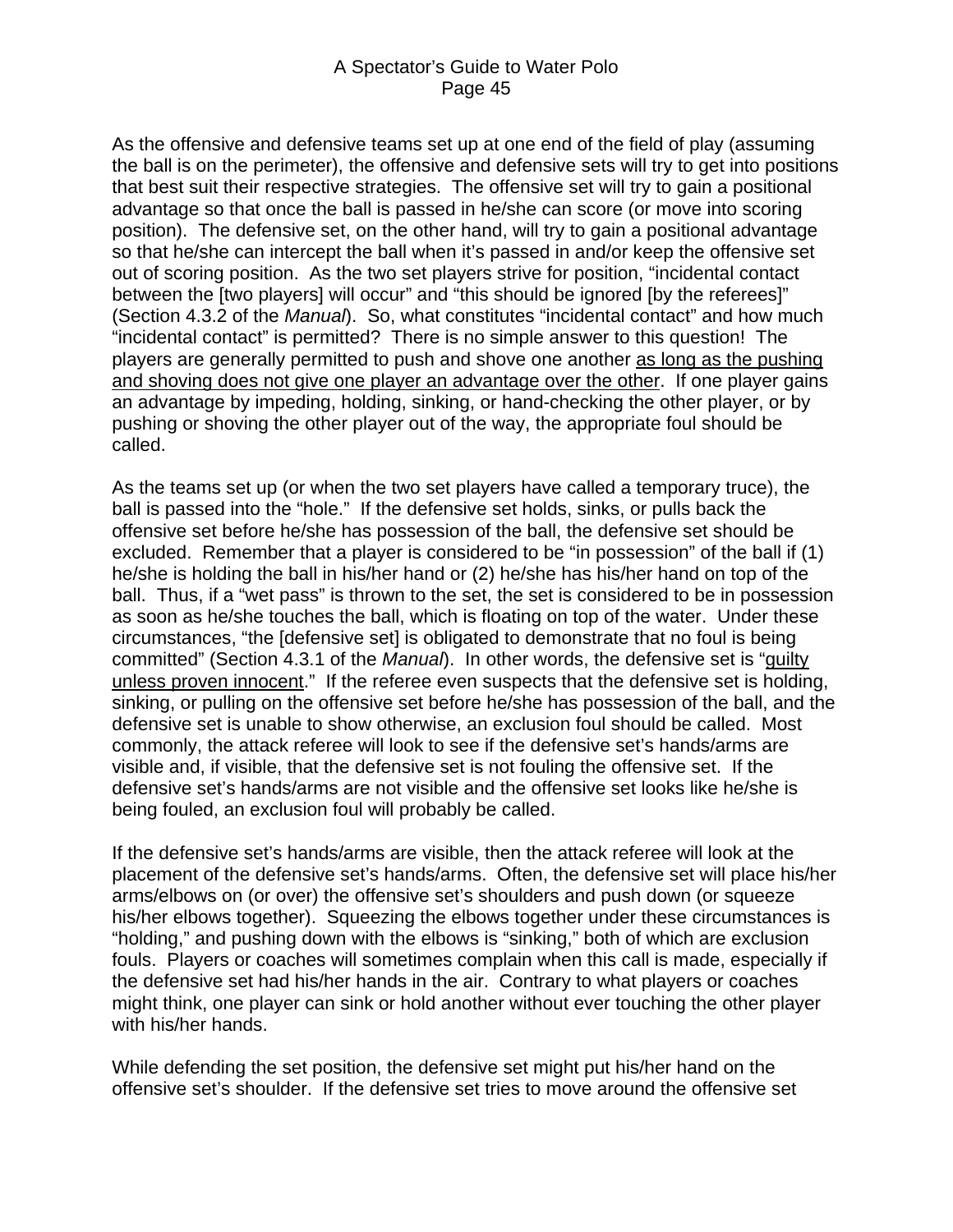As the offensive and defensive teams set up at one end of the field of play (assuming the ball is on the perimeter), the offensive and defensive sets will try to get into positions that best suit their respective strategies. The offensive set will try to gain a positional advantage so that once the ball is passed in he/she can score (or move into scoring position). The defensive set, on the other hand, will try to gain a positional advantage so that he/she can intercept the ball when it's passed in and/or keep the offensive set out of scoring position. As the two set players strive for position, "incidental contact between the [two players] will occur" and "this should be ignored [by the referees]" (Section 4.3.2 of the *Manual*). So, what constitutes "incidental contact" and how much "incidental contact" is permitted? There is no simple answer to this question! The players are generally permitted to push and shove one another as long as the pushing and shoving does not give one player an advantage over the other. If one player gains an advantage by impeding, holding, sinking, or hand-checking the other player, or by pushing or shoving the other player out of the way, the appropriate foul should be called.

As the teams set up (or when the two set players have called a temporary truce), the ball is passed into the "hole." If the defensive set holds, sinks, or pulls back the offensive set before he/she has possession of the ball, the defensive set should be excluded. Remember that a player is considered to be "in possession" of the ball if (1) he/she is holding the ball in his/her hand or (2) he/she has his/her hand on top of the ball. Thus, if a "wet pass" is thrown to the set, the set is considered to be in possession as soon as he/she touches the ball, which is floating on top of the water. Under these circumstances, "the [defensive set] is obligated to demonstrate that no foul is being committed" (Section 4.3.1 of the *Manual*). In other words, the defensive set is "guilty unless proven innocent." If the referee even suspects that the defensive set is holding, sinking, or pulling on the offensive set before he/she has possession of the ball, and the defensive set is unable to show otherwise, an exclusion foul should be called. Most commonly, the attack referee will look to see if the defensive set's hands/arms are visible and, if visible, that the defensive set is not fouling the offensive set. If the defensive set's hands/arms are not visible and the offensive set looks like he/she is being fouled, an exclusion foul will probably be called.

If the defensive set's hands/arms are visible, then the attack referee will look at the placement of the defensive set's hands/arms. Often, the defensive set will place his/her arms/elbows on (or over) the offensive set's shoulders and push down (or squeeze his/her elbows together). Squeezing the elbows together under these circumstances is "holding," and pushing down with the elbows is "sinking," both of which are exclusion fouls. Players or coaches will sometimes complain when this call is made, especially if the defensive set had his/her hands in the air. Contrary to what players or coaches might think, one player can sink or hold another without ever touching the other player with his/her hands.

While defending the set position, the defensive set might put his/her hand on the offensive set's shoulder. If the defensive set tries to move around the offensive set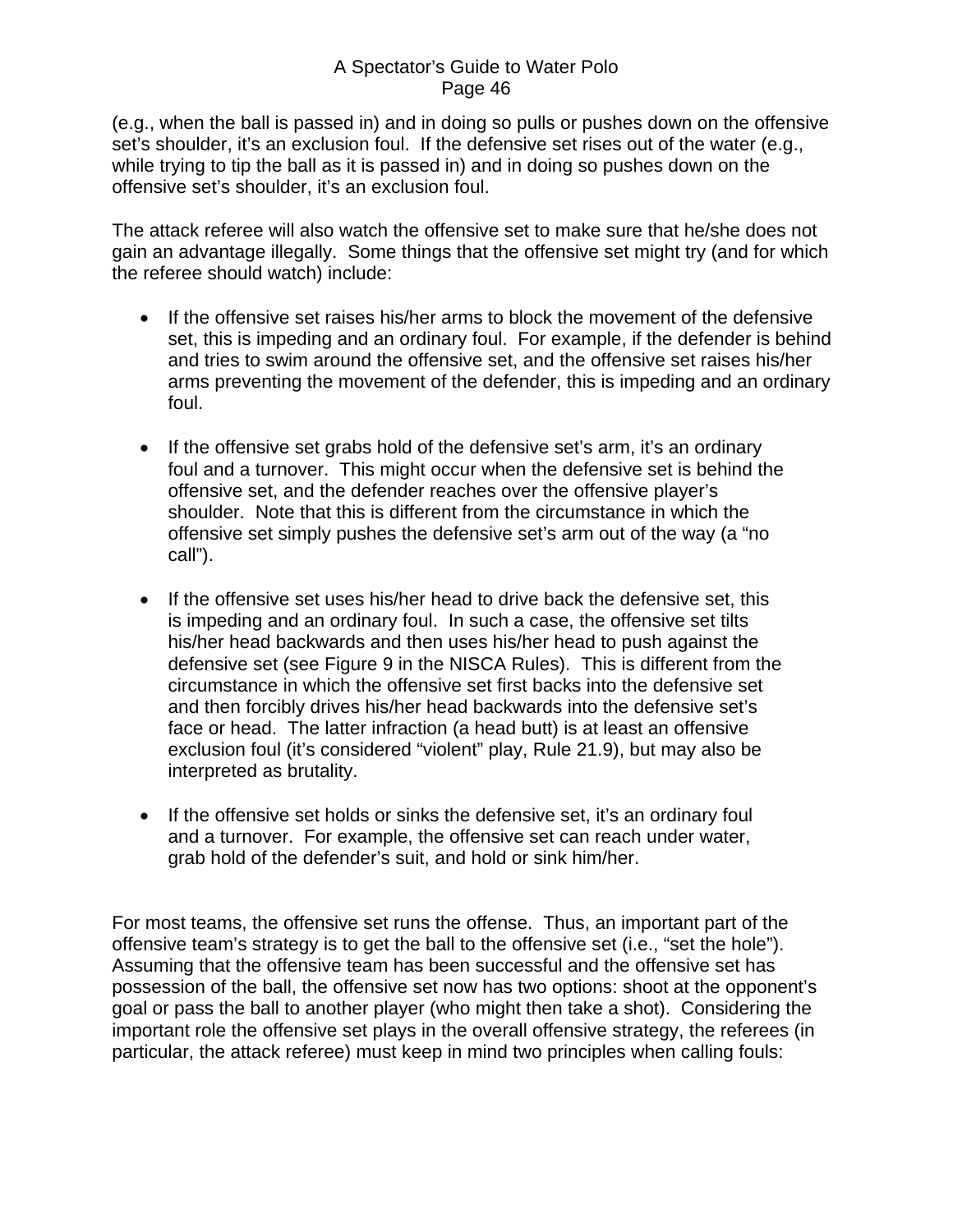(e.g., when the ball is passed in) and in doing so pulls or pushes down on the offensive set's shoulder, it's an exclusion foul. If the defensive set rises out of the water (e.g., while trying to tip the ball as it is passed in) and in doing so pushes down on the offensive set's shoulder, it's an exclusion foul.

The attack referee will also watch the offensive set to make sure that he/she does not gain an advantage illegally. Some things that the offensive set might try (and for which the referee should watch) include:

- If the offensive set raises his/her arms to block the movement of the defensive set, this is impeding and an ordinary foul. For example, if the defender is behind and tries to swim around the offensive set, and the offensive set raises his/her arms preventing the movement of the defender, this is impeding and an ordinary foul.
- If the offensive set grabs hold of the defensive set's arm, it's an ordinary foul and a turnover. This might occur when the defensive set is behind the offensive set, and the defender reaches over the offensive player's shoulder. Note that this is different from the circumstance in which the offensive set simply pushes the defensive set's arm out of the way (a "no call").
- If the offensive set uses his/her head to drive back the defensive set, this is impeding and an ordinary foul. In such a case, the offensive set tilts his/her head backwards and then uses his/her head to push against the defensive set (see Figure 9 in the NISCA Rules). This is different from the circumstance in which the offensive set first backs into the defensive set and then forcibly drives his/her head backwards into the defensive set's face or head. The latter infraction (a head butt) is at least an offensive exclusion foul (it's considered "violent" play, Rule 21.9), but may also be interpreted as brutality.
- If the offensive set holds or sinks the defensive set, it's an ordinary foul and a turnover. For example, the offensive set can reach under water, grab hold of the defender's suit, and hold or sink him/her.

For most teams, the offensive set runs the offense. Thus, an important part of the offensive team's strategy is to get the ball to the offensive set (i.e., "set the hole"). Assuming that the offensive team has been successful and the offensive set has possession of the ball, the offensive set now has two options: shoot at the opponent's goal or pass the ball to another player (who might then take a shot). Considering the important role the offensive set plays in the overall offensive strategy, the referees (in particular, the attack referee) must keep in mind two principles when calling fouls: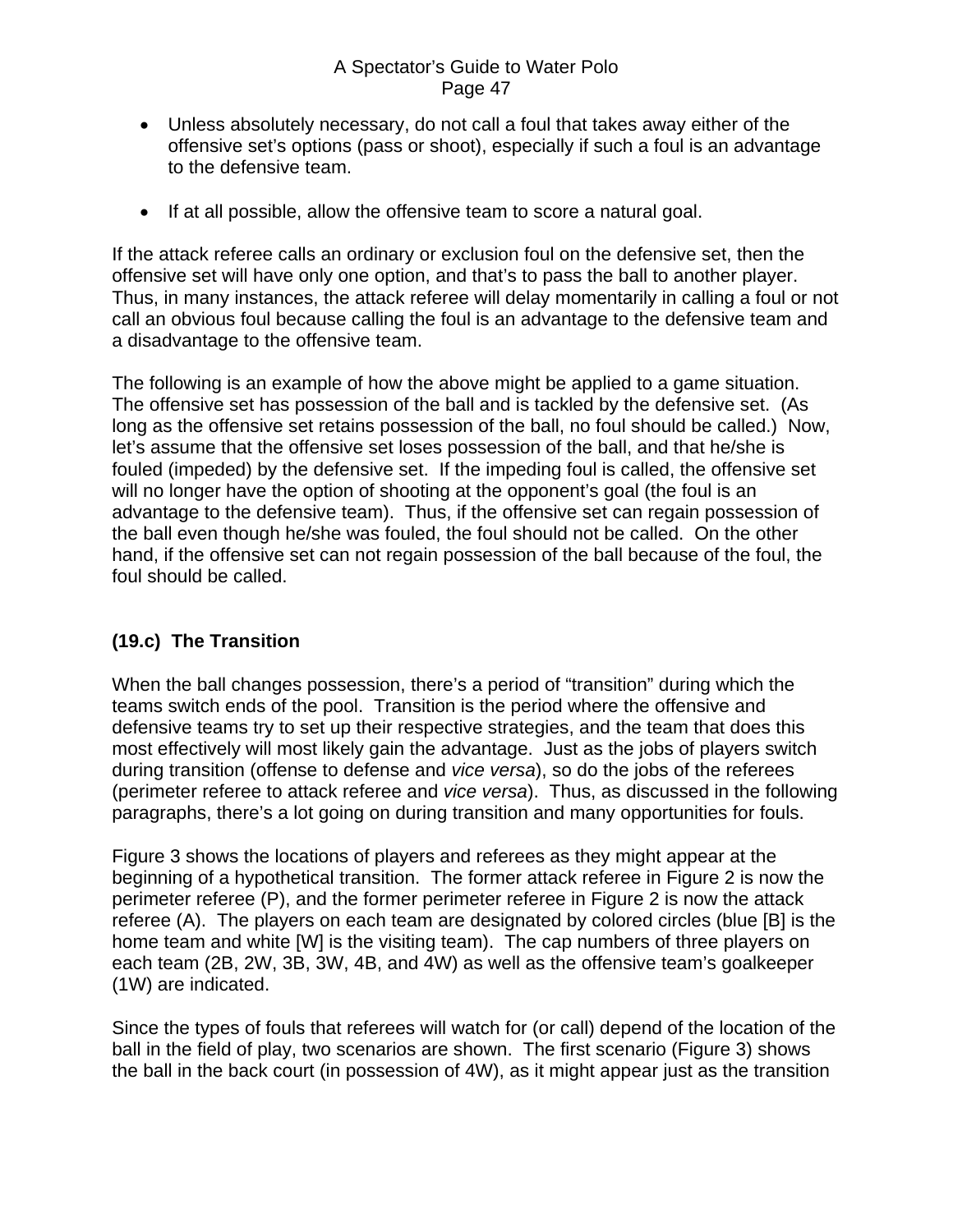- <span id="page-46-0"></span>• Unless absolutely necessary, do not call a foul that takes away either of the offensive set's options (pass or shoot), especially if such a foul is an advantage to the defensive team.
- If at all possible, allow the offensive team to score a natural goal.

If the attack referee calls an ordinary or exclusion foul on the defensive set, then the offensive set will have only one option, and that's to pass the ball to another player. Thus, in many instances, the attack referee will delay momentarily in calling a foul or not call an obvious foul because calling the foul is an advantage to the defensive team and a disadvantage to the offensive team.

The following is an example of how the above might be applied to a game situation. The offensive set has possession of the ball and is tackled by the defensive set. (As long as the offensive set retains possession of the ball, no foul should be called.) Now, let's assume that the offensive set loses possession of the ball, and that he/she is fouled (impeded) by the defensive set. If the impeding foul is called, the offensive set will no longer have the option of shooting at the opponent's goal (the foul is an advantage to the defensive team). Thus, if the offensive set can regain possession of the ball even though he/she was fouled, the foul should not be called. On the other hand, if the offensive set can not regain possession of the ball because of the foul, the foul should be called.

### **(19.c) The Transition**

When the ball changes possession, there's a period of "transition" during which the teams switch ends of the pool. Transition is the period where the offensive and defensive teams try to set up their respective strategies, and the team that does this most effectively will most likely gain the advantage. Just as the jobs of players switch during transition (offense to defense and *vice versa*), so do the jobs of the referees (perimeter referee to attack referee and *vice versa*). Thus, as discussed in the following paragraphs, there's a lot going on during transition and many opportunities for fouls.

Figure 3 shows the locations of players and referees as they might appear at the beginning of a hypothetical transition. The former attack referee in Figure 2 is now the perimeter referee (P), and the former perimeter referee in Figure 2 is now the attack referee (A). The players on each team are designated by colored circles (blue [B] is the home team and white [W] is the visiting team). The cap numbers of three players on each team (2B, 2W, 3B, 3W, 4B, and 4W) as well as the offensive team's goalkeeper (1W) are indicated.

Since the types of fouls that referees will watch for (or call) depend of the location of the ball in the field of play, two scenarios are shown. The first scenario (Figure 3) shows the ball in the back court (in possession of 4W), as it might appear just as the transition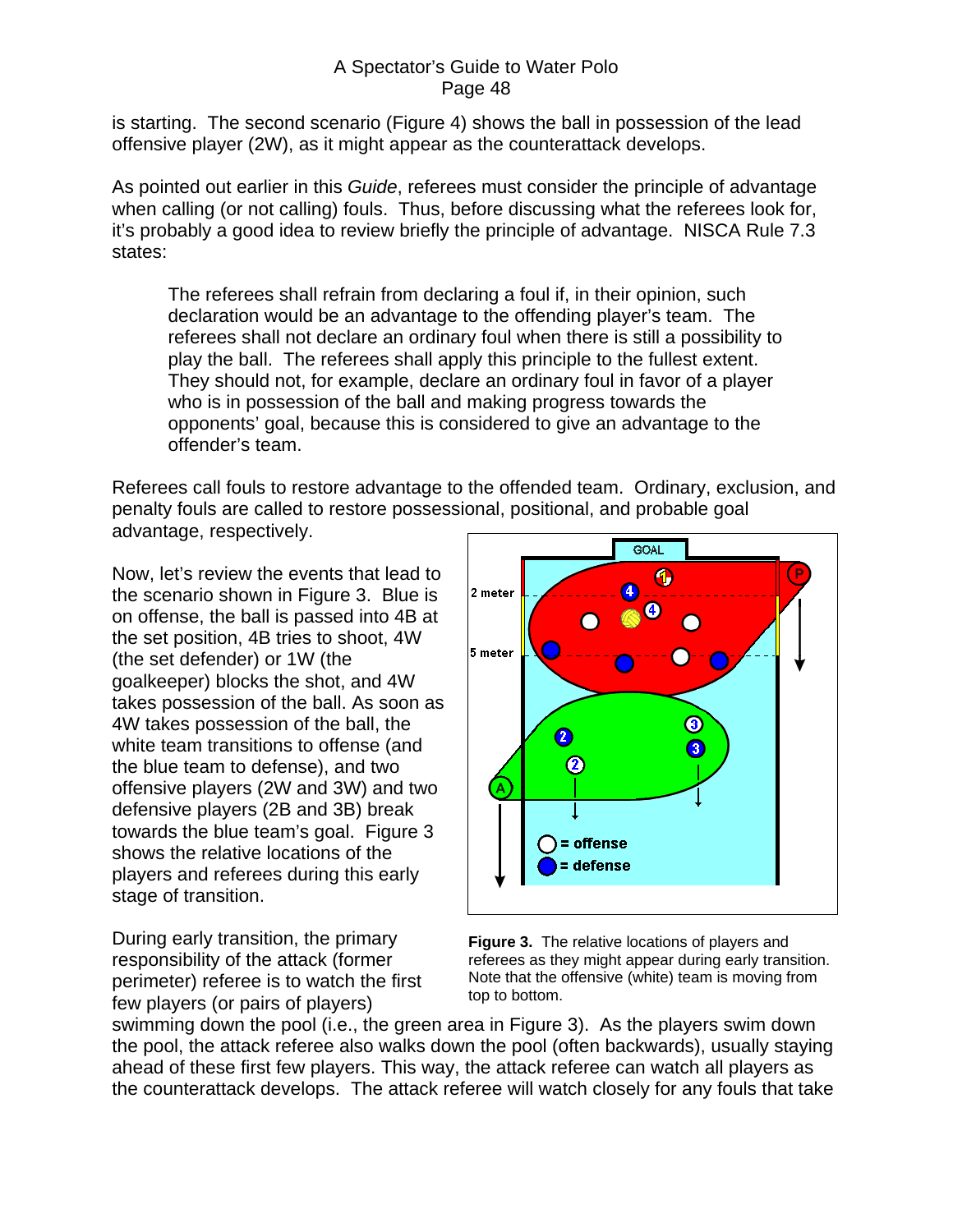is starting. The second scenario (Figure 4) shows the ball in possession of the lead offensive player (2W), as it might appear as the counterattack develops.

As pointed out earlier in this *Guide*, referees must consider the principle of advantage when calling (or not calling) fouls. Thus, before discussing what the referees look for, it's probably a good idea to review briefly the principle of advantage. NISCA Rule 7.3 states:

The referees shall refrain from declaring a foul if, in their opinion, such declaration would be an advantage to the offending player's team. The referees shall not declare an ordinary foul when there is still a possibility to play the ball. The referees shall apply this principle to the fullest extent. They should not, for example, declare an ordinary foul in favor of a player who is in possession of the ball and making progress towards the opponents' goal, because this is considered to give an advantage to the offender's team.

Referees call fouls to restore advantage to the offended team. Ordinary, exclusion, and penalty fouls are called to restore possessional, positional, and probable goal advantage, respectively.

Now, let's review the events that lead to the scenario shown in Figure 3. Blue is on offense, the ball is passed into 4B at the set position, 4B tries to shoot, 4W (the set defender) or 1W (the goalkeeper) blocks the shot, and 4W takes possession of the ball. As soon as 4W takes possession of the ball, the white team transitions to offense (and the blue team to defense), and two offensive players (2W and 3W) and two defensive players (2B and 3B) break towards the blue team's goal. Figure 3 shows the relative locations of the players and referees during this early stage of transition.

During early transition, the primary responsibility of the attack (former perimeter) referee is to watch the first few players (or pairs of players)



**Figure 3.** The relative locations of players and referees as they might appear during early transition. Note that the offensive (white) team is moving from top to bottom.

swimming down the pool (i.e., the green area in Figure 3). As the players swim down the pool, the attack referee also walks down the pool (often backwards), usually staying ahead of these first few players. This way, the attack referee can watch all players as the counterattack develops. The attack referee will watch closely for any fouls that take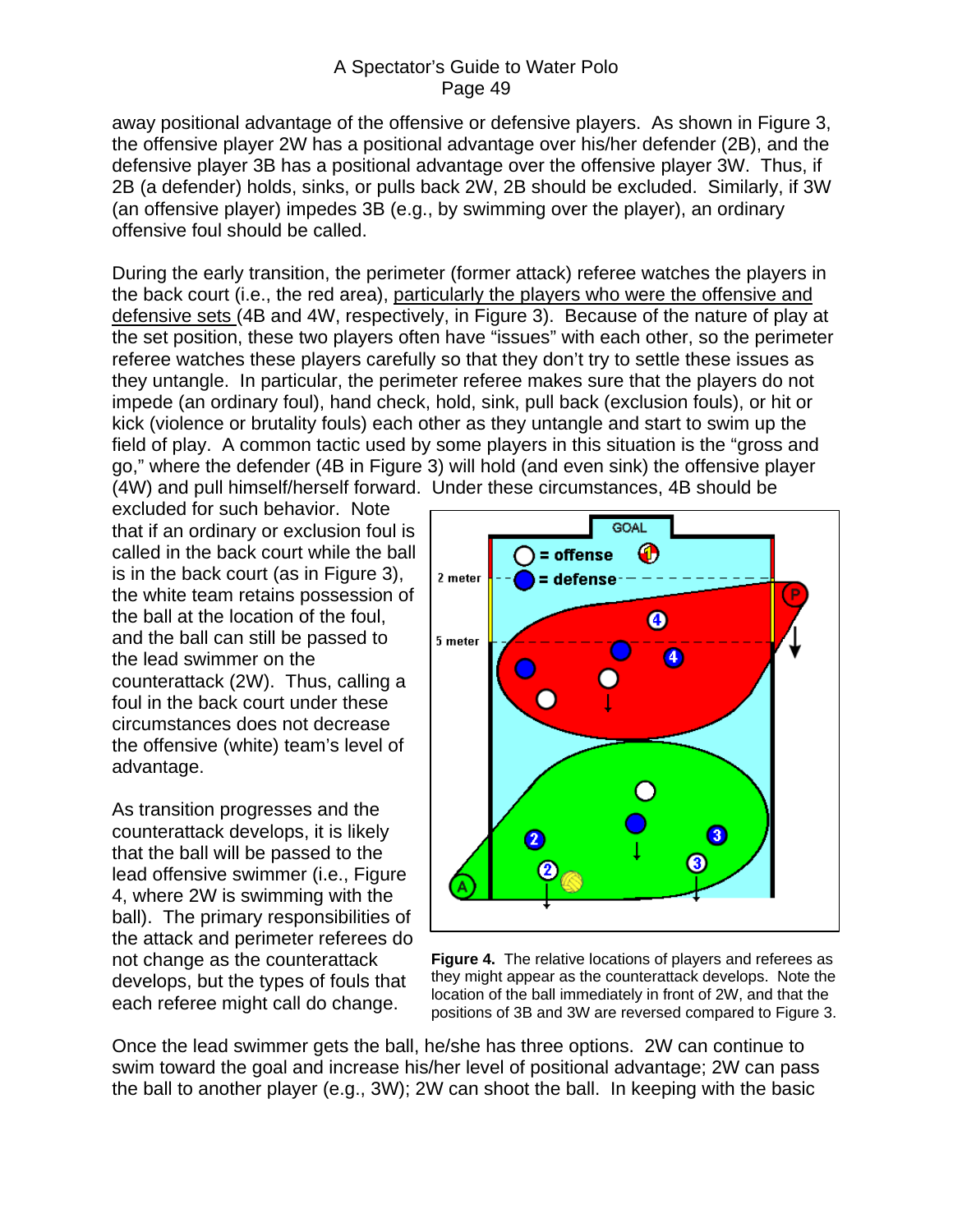away positional advantage of the offensive or defensive players. As shown in Figure 3, the offensive player 2W has a positional advantage over his/her defender (2B), and the defensive player 3B has a positional advantage over the offensive player 3W. Thus, if 2B (a defender) holds, sinks, or pulls back 2W, 2B should be excluded. Similarly, if 3W (an offensive player) impedes 3B (e.g., by swimming over the player), an ordinary offensive foul should be called.

During the early transition, the perimeter (former attack) referee watches the players in the back court (i.e., the red area), particularly the players who were the offensive and defensive sets (4B and 4W, respectively, in Figure 3). Because of the nature of play at the set position, these two players often have "issues" with each other, so the perimeter referee watches these players carefully so that they don't try to settle these issues as they untangle. In particular, the perimeter referee makes sure that the players do not impede (an ordinary foul), hand check, hold, sink, pull back (exclusion fouls), or hit or kick (violence or brutality fouls) each other as they untangle and start to swim up the field of play. A common tactic used by some players in this situation is the "gross and go," where the defender (4B in Figure 3) will hold (and even sink) the offensive player (4W) and pull himself/herself forward. Under these circumstances, 4B should be

excluded for such behavior. Note that if an ordinary or exclusion foul is called in the back court while the ball is in the back court (as in Figure 3), the white team retains possession of the ball at the location of the foul, and the ball can still be passed to the lead swimmer on the counterattack (2W). Thus, calling a foul in the back court under these circumstances does not decrease the offensive (white) team's level of advantage.

As transition progresses and the counterattack develops, it is likely that the ball will be passed to the lead offensive swimmer (i.e., Figure 4, where 2W is swimming with the ball). The primary responsibilities of the attack and perimeter referees do not change as the counterattack develops, but the types of fouls that each referee might call do change.



**Figure 4.** The relative locations of players and referees as they might appear as the counterattack develops. Note the location of the ball immediately in front of 2W, and that the positions of 3B and 3W are reversed compared to Figure 3.

Once the lead swimmer gets the ball, he/she has three options. 2W can continue to swim toward the goal and increase his/her level of positional advantage; 2W can pass the ball to another player (e.g., 3W); 2W can shoot the ball. In keeping with the basic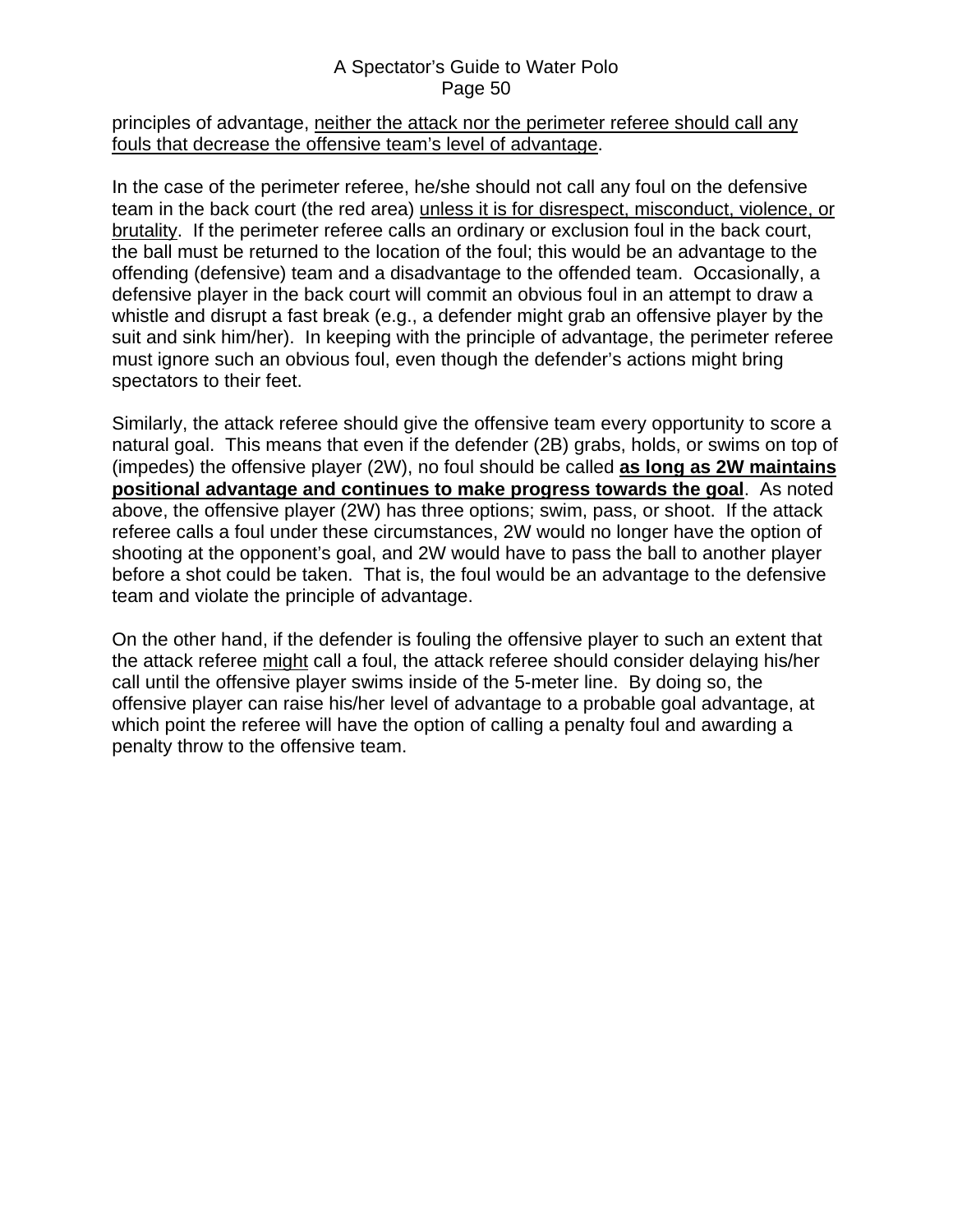#### principles of advantage, neither the attack nor the perimeter referee should call any fouls that decrease the offensive team's level of advantage.

In the case of the perimeter referee, he/she should not call any foul on the defensive team in the back court (the red area) unless it is for disrespect, misconduct, violence, or brutality. If the perimeter referee calls an ordinary or exclusion foul in the back court, the ball must be returned to the location of the foul; this would be an advantage to the offending (defensive) team and a disadvantage to the offended team. Occasionally, a defensive player in the back court will commit an obvious foul in an attempt to draw a whistle and disrupt a fast break (e.g., a defender might grab an offensive player by the suit and sink him/her). In keeping with the principle of advantage, the perimeter referee must ignore such an obvious foul, even though the defender's actions might bring spectators to their feet.

Similarly, the attack referee should give the offensive team every opportunity to score a natural goal. This means that even if the defender (2B) grabs, holds, or swims on top of (impedes) the offensive player (2W), no foul should be called **as long as 2W maintains positional advantage and continues to make progress towards the goal**. As noted above, the offensive player (2W) has three options; swim, pass, or shoot. If the attack referee calls a foul under these circumstances, 2W would no longer have the option of shooting at the opponent's goal, and 2W would have to pass the ball to another player before a shot could be taken. That is, the foul would be an advantage to the defensive team and violate the principle of advantage.

On the other hand, if the defender is fouling the offensive player to such an extent that the attack referee might call a foul, the attack referee should consider delaying his/her call until the offensive player swims inside of the 5-meter line. By doing so, the offensive player can raise his/her level of advantage to a probable goal advantage, at which point the referee will have the option of calling a penalty foul and awarding a penalty throw to the offensive team.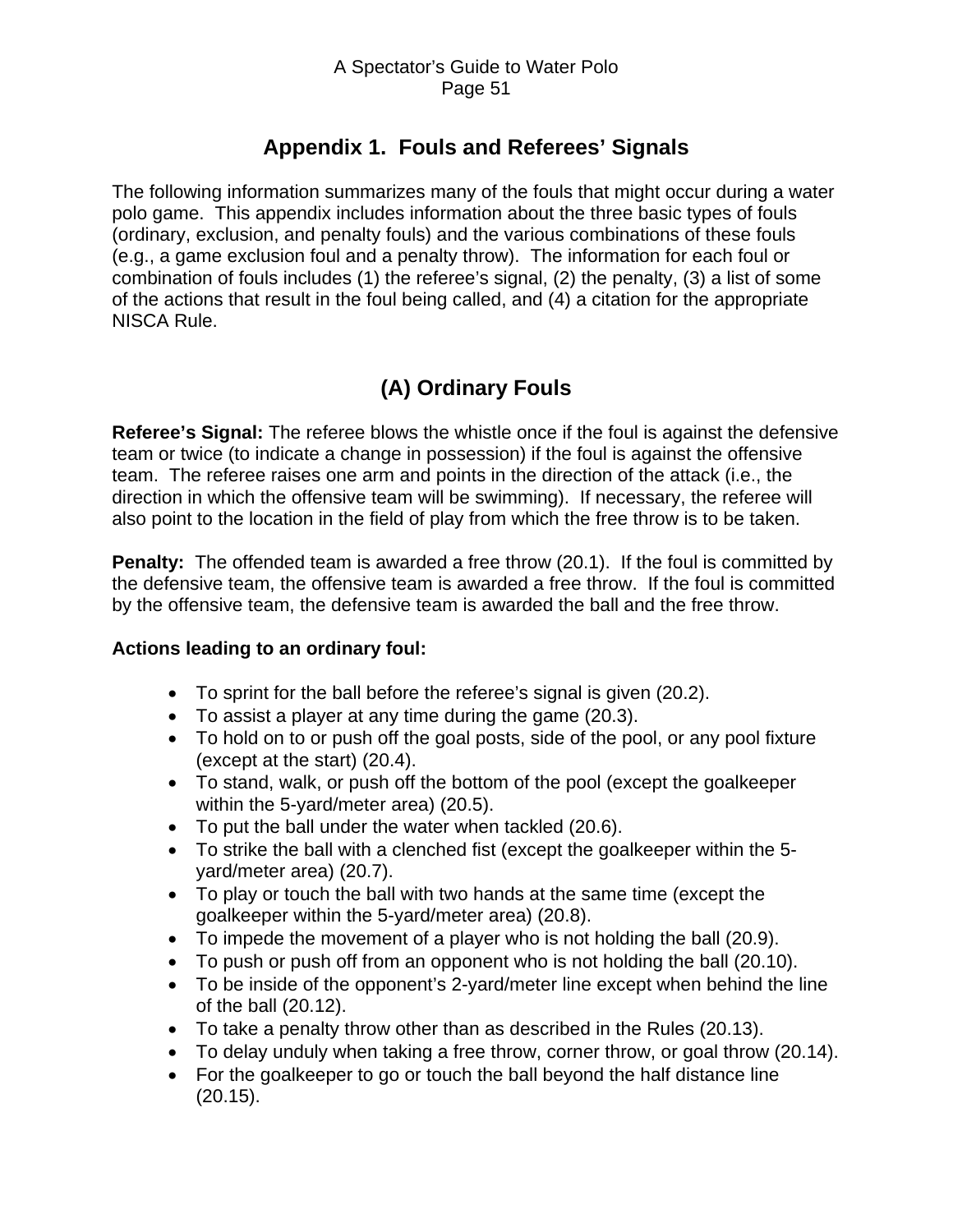# **Appendix 1. Fouls and Referees' Signals**

<span id="page-50-0"></span>The following information summarizes many of the fouls that might occur during a water polo game. This appendix includes information about the three basic types of fouls (ordinary, exclusion, and penalty fouls) and the various combinations of these fouls (e.g., a game exclusion foul and a penalty throw). The information for each foul or combination of fouls includes (1) the referee's signal, (2) the penalty, (3) a list of some of the actions that result in the foul being called, and (4) a citation for the appropriate NISCA Rule.

# **(A) Ordinary Fouls**

**Referee's Signal:** The referee blows the whistle once if the foul is against the defensive team or twice (to indicate a change in possession) if the foul is against the offensive team. The referee raises one arm and points in the direction of the attack (i.e., the direction in which the offensive team will be swimming). If necessary, the referee will also point to the location in the field of play from which the free throw is to be taken.

**Penalty:** The offended team is awarded a free throw (20.1). If the foul is committed by the defensive team, the offensive team is awarded a free throw. If the foul is committed by the offensive team, the defensive team is awarded the ball and the free throw.

## **Actions leading to an ordinary foul:**

- To sprint for the ball before the referee's signal is given (20.2).
- To assist a player at any time during the game (20.3).
- To hold on to or push off the goal posts, side of the pool, or any pool fixture (except at the start) (20.4).
- To stand, walk, or push off the bottom of the pool (except the goalkeeper within the 5-yard/meter area) (20.5).
- To put the ball under the water when tackled (20.6).
- To strike the ball with a clenched fist (except the goalkeeper within the 5 yard/meter area) (20.7).
- To play or touch the ball with two hands at the same time (except the goalkeeper within the 5-yard/meter area) (20.8).
- To impede the movement of a player who is not holding the ball (20.9).
- To push or push off from an opponent who is not holding the ball (20.10).
- To be inside of the opponent's 2-yard/meter line except when behind the line of the ball (20.12).
- To take a penalty throw other than as described in the Rules (20.13).
- To delay unduly when taking a free throw, corner throw, or goal throw (20.14).
- For the goalkeeper to go or touch the ball beyond the half distance line (20.15).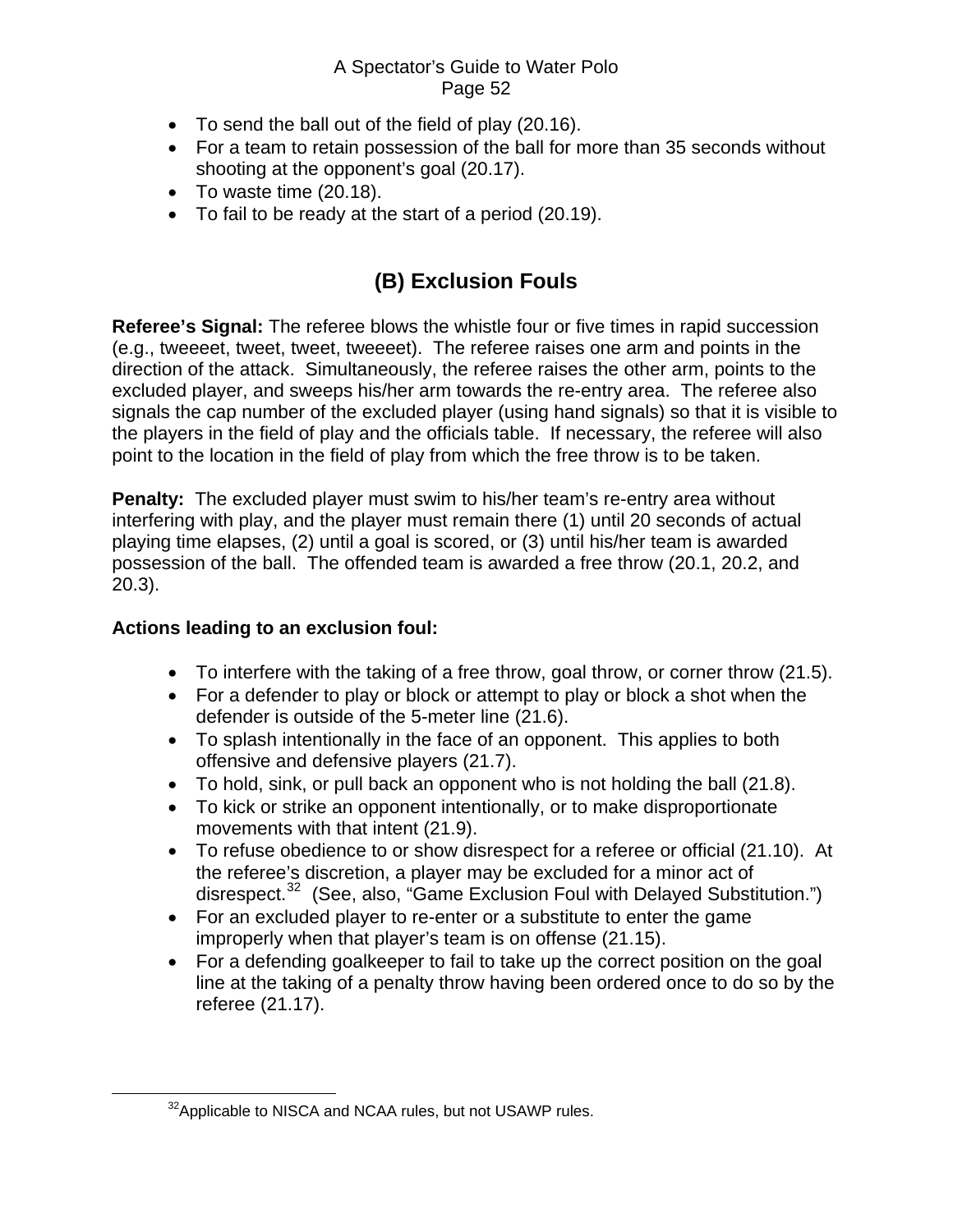- <span id="page-51-0"></span>• To send the ball out of the field of play (20.16).
- For a team to retain possession of the ball for more than 35 seconds without shooting at the opponent's goal (20.17).
- To waste time (20.18).
- To fail to be ready at the start of a period (20.19).

# **(B) Exclusion Fouls**

**Referee's Signal:** The referee blows the whistle four or five times in rapid succession (e.g., tweeeet, tweet, tweet, tweeeet). The referee raises one arm and points in the direction of the attack. Simultaneously, the referee raises the other arm, points to the excluded player, and sweeps his/her arm towards the re-entry area. The referee also signals the cap number of the excluded player (using hand signals) so that it is visible to the players in the field of play and the officials table. If necessary, the referee will also point to the location in the field of play from which the free throw is to be taken.

**Penalty:** The excluded player must swim to his/her team's re-entry area without interfering with play, and the player must remain there (1) until 20 seconds of actual playing time elapses, (2) until a goal is scored, or (3) until his/her team is awarded possession of the ball. The offended team is awarded a free throw (20.1, 20.2, and 20.3).

### **Actions leading to an exclusion foul:**

- To interfere with the taking of a free throw, goal throw, or corner throw (21.5).
- For a defender to play or block or attempt to play or block a shot when the defender is outside of the 5-meter line (21.6).
- To splash intentionally in the face of an opponent. This applies to both offensive and defensive players (21.7).
- To hold, sink, or pull back an opponent who is not holding the ball (21.8).
- To kick or strike an opponent intentionally, or to make disproportionate movements with that intent (21.9).
- To refuse obedience to or show disrespect for a referee or official (21.10). At the referee's discretion, a player may be excluded for a minor act of disrespect.[32](#page-51-1) (See, also, "Game Exclusion Foul with Delayed Substitution.")
- For an excluded player to re-enter or a substitute to enter the game improperly when that player's team is on offense (21.15).
- For a defending goalkeeper to fail to take up the correct position on the goal line at the taking of a penalty throw having been ordered once to do so by the referee (21.17).

<span id="page-51-1"></span><sup>&</sup>lt;sup>32</sup> Applicable to NISCA and NCAA rules, but not USAWP rules.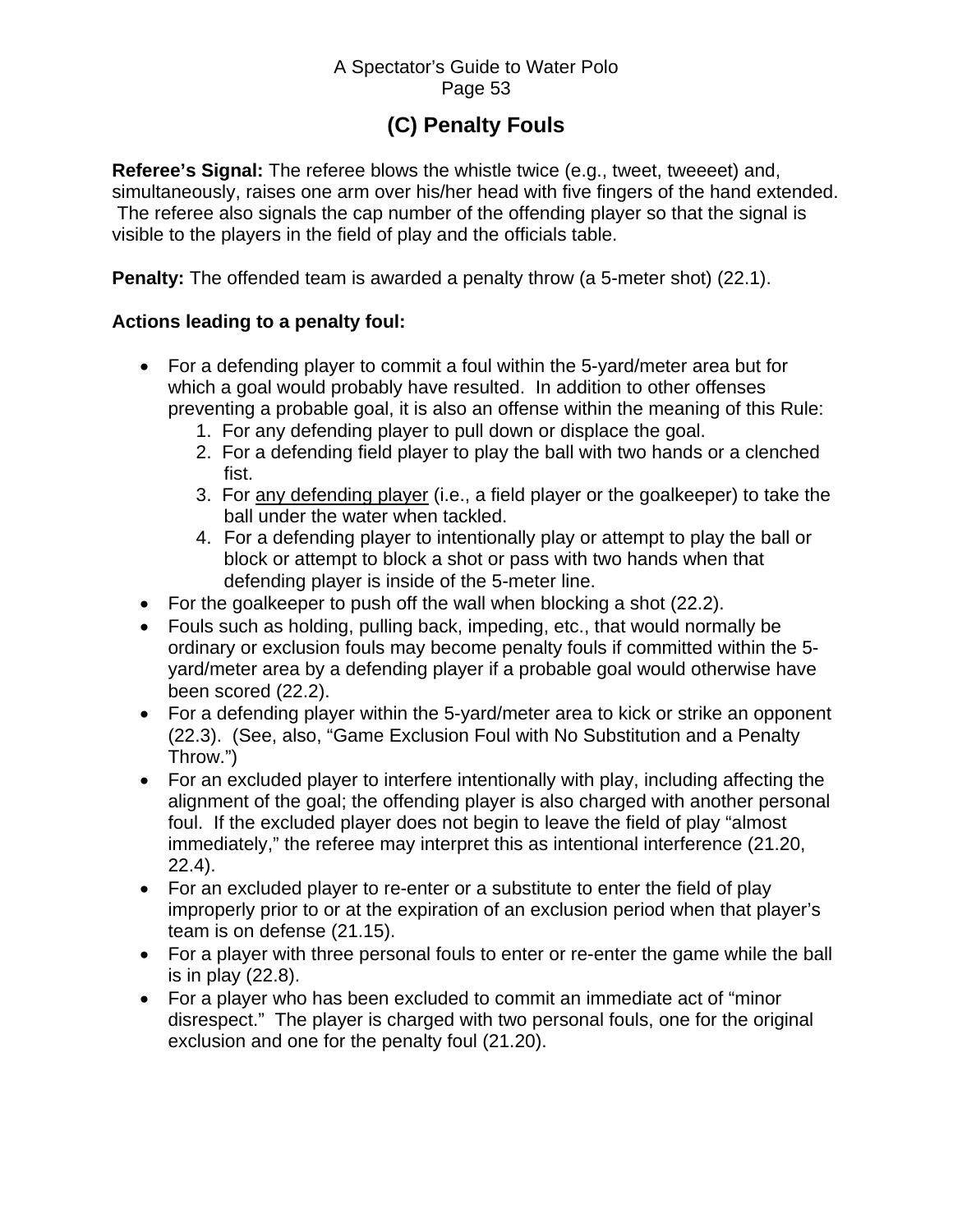# **(C) Penalty Fouls**

<span id="page-52-0"></span>**Referee's Signal:** The referee blows the whistle twice (e.g., tweet, tweeeet) and, simultaneously, raises one arm over his/her head with five fingers of the hand extended. The referee also signals the cap number of the offending player so that the signal is visible to the players in the field of play and the officials table.

**Penalty:** The offended team is awarded a penalty throw (a 5-meter shot) (22.1).

### **Actions leading to a penalty foul:**

- For a defending player to commit a foul within the 5-yard/meter area but for which a goal would probably have resulted. In addition to other offenses preventing a probable goal, it is also an offense within the meaning of this Rule:
	- 1. For any defending player to pull down or displace the goal.
	- 2. For a defending field player to play the ball with two hands or a clenched fist.
	- 3. For any defending player (i.e., a field player or the goalkeeper) to take the ball under the water when tackled.
	- 4. For a defending player to intentionally play or attempt to play the ball or block or attempt to block a shot or pass with two hands when that defending player is inside of the 5-meter line.
- For the goalkeeper to push off the wall when blocking a shot (22.2).
- Fouls such as holding, pulling back, impeding, etc., that would normally be ordinary or exclusion fouls may become penalty fouls if committed within the 5 yard/meter area by a defending player if a probable goal would otherwise have been scored (22.2).
- For a defending player within the 5-yard/meter area to kick or strike an opponent (22.3). (See, also, "Game Exclusion Foul with No Substitution and a Penalty Throw.")
- For an excluded player to interfere intentionally with play, including affecting the alignment of the goal; the offending player is also charged with another personal foul. If the excluded player does not begin to leave the field of play "almost immediately," the referee may interpret this as intentional interference (21.20, 22.4).
- For an excluded player to re-enter or a substitute to enter the field of play improperly prior to or at the expiration of an exclusion period when that player's team is on defense (21.15).
- For a player with three personal fouls to enter or re-enter the game while the ball is in play (22.8).
- For a player who has been excluded to commit an immediate act of "minor disrespect." The player is charged with two personal fouls, one for the original exclusion and one for the penalty foul (21.20).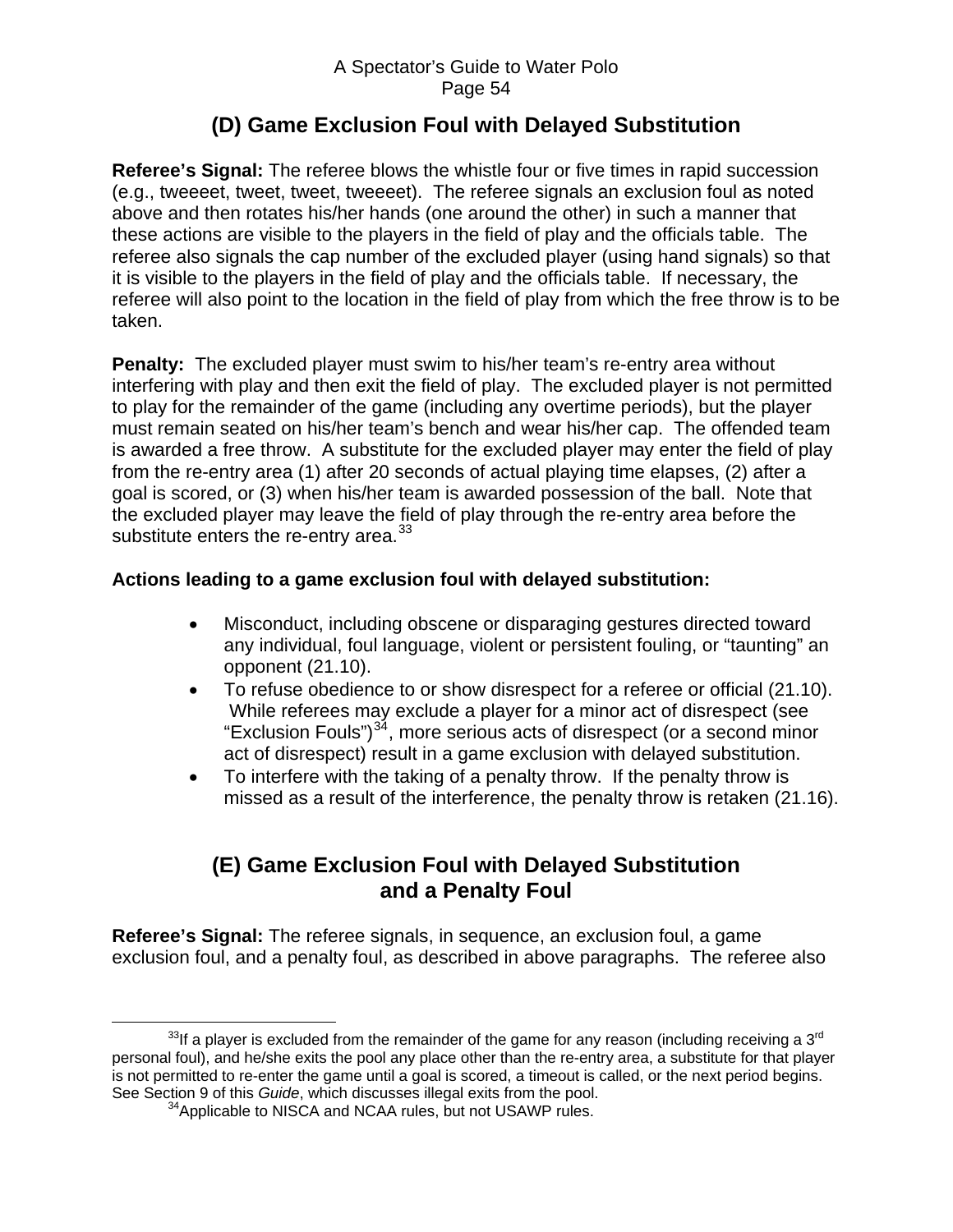# **(D) Game Exclusion Foul with Delayed Substitution**

<span id="page-53-0"></span>**Referee's Signal:** The referee blows the whistle four or five times in rapid succession (e.g., tweeeet, tweet, tweet, tweeeet). The referee signals an exclusion foul as noted above and then rotates his/her hands (one around the other) in such a manner that these actions are visible to the players in the field of play and the officials table. The referee also signals the cap number of the excluded player (using hand signals) so that it is visible to the players in the field of play and the officials table. If necessary, the referee will also point to the location in the field of play from which the free throw is to be taken.

**Penalty:** The excluded player must swim to his/her team's re-entry area without interfering with play and then exit the field of play. The excluded player is not permitted to play for the remainder of the game (including any overtime periods), but the player must remain seated on his/her team's bench and wear his/her cap. The offended team is awarded a free throw. A substitute for the excluded player may enter the field of play from the re-entry area (1) after 20 seconds of actual playing time elapses, (2) after a goal is scored, or (3) when his/her team is awarded possession of the ball. Note that the excluded player may leave the field of play through the re-entry area before the substitute enters the re-entry area. $33$ 

### **Actions leading to a game exclusion foul with delayed substitution:**

- Misconduct, including obscene or disparaging gestures directed toward any individual, foul language, violent or persistent fouling, or "taunting" an opponent (21.10).
- To refuse obedience to or show disrespect for a referee or official (21.10). While referees may exclude a player for a minor act of disrespect (see "Exclusion Fouls") $34$ , more serious acts of disrespect (or a second minor act of disrespect) result in a game exclusion with delayed substitution.
- To interfere with the taking of a penalty throw. If the penalty throw is missed as a result of the interference, the penalty throw is retaken (21.16).

# **(E) Game Exclusion Foul with Delayed Substitution and a Penalty Foul**

**Referee's Signal:** The referee signals, in sequence, an exclusion foul, a game exclusion foul, and a penalty foul, as described in above paragraphs. The referee also

<span id="page-53-2"></span><span id="page-53-1"></span> $33$ If a player is excluded from the remainder of the game for any reason (including receiving a  $3<sup>rd</sup>$ personal foul), and he/she exits the pool any place other than the re-entry area, a substitute for that player is not permitted to re-enter the game until a goal is scored, a timeout is called, or the next period begins. See Section 9 of this *Guide*, which discusses illegal exits from the pool.

<sup>&</sup>lt;sup>34</sup>Applicable to NISCA and NCAA rules, but not USAWP rules.